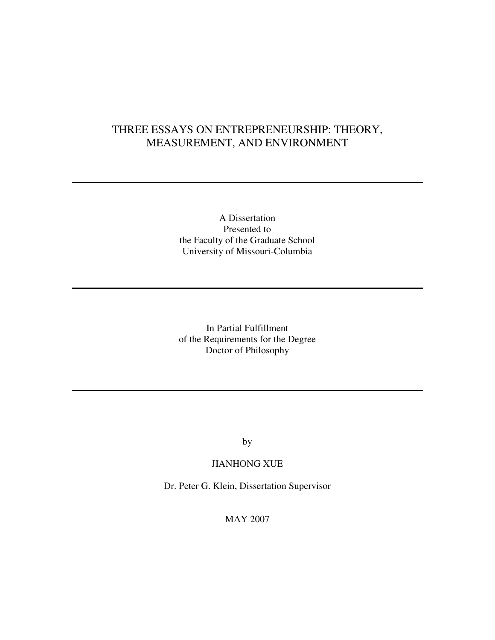# THREE ESSAYS ON ENTREPRENEURSHIP: THEORY, MEASUREMENT, AND ENVIRONMENT

## A Dissertation Presented to the Faculty of the Graduate School University of Missouri-Columbia

In Partial Fulfillment of the Requirements for the Degree Doctor of Philosophy

by

## JIANHONG XUE

Dr. Peter G. Klein, Dissertation Supervisor

MAY 2007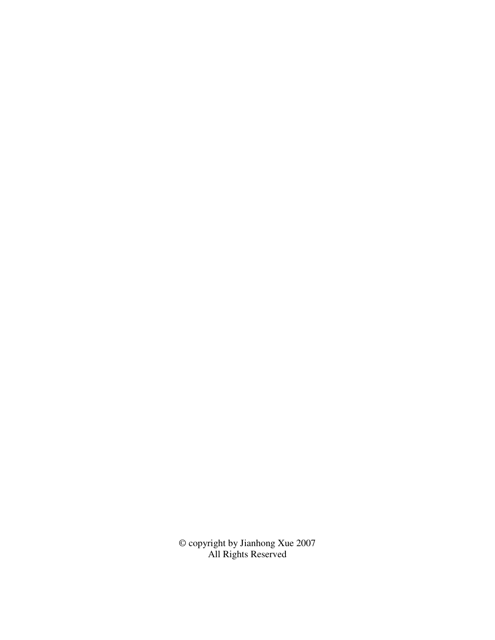© copyright by Jianhong Xue 2007 All Rights Reserved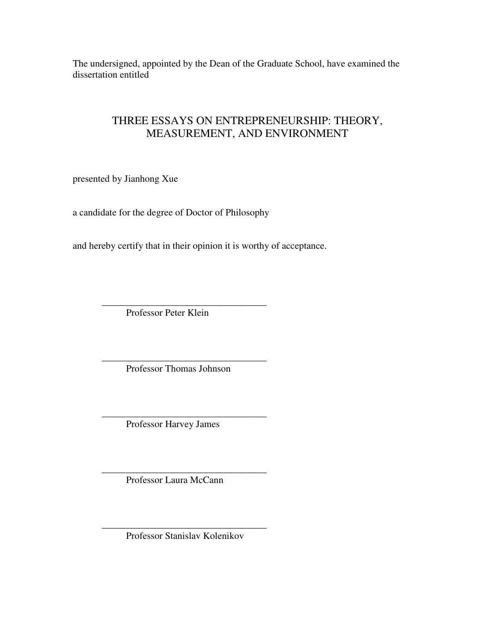The undersigned, appointed by the Dean of the Graduate School, have examined the dissertation entitled

## THREE ESSAYS ON ENTREPRENEURSHIP: THEORY, MEASUREMENT, AND ENVIRONMENT

presented by Jianhong Xue

a candidate for the degree of Doctor of Philosophy

and hereby certify that in their opinion it is worthy of acceptance.

 $\frac{1}{2}$  ,  $\frac{1}{2}$  ,  $\frac{1}{2}$  ,  $\frac{1}{2}$  ,  $\frac{1}{2}$  ,  $\frac{1}{2}$  ,  $\frac{1}{2}$  ,  $\frac{1}{2}$  ,  $\frac{1}{2}$  ,  $\frac{1}{2}$  ,  $\frac{1}{2}$  ,  $\frac{1}{2}$  ,  $\frac{1}{2}$  ,  $\frac{1}{2}$  ,  $\frac{1}{2}$  ,  $\frac{1}{2}$  ,  $\frac{1}{2}$  ,  $\frac{1}{2}$  ,  $\frac{1$ Professor Peter Klein

 $\frac{1}{2}$  ,  $\frac{1}{2}$  ,  $\frac{1}{2}$  ,  $\frac{1}{2}$  ,  $\frac{1}{2}$  ,  $\frac{1}{2}$  ,  $\frac{1}{2}$  ,  $\frac{1}{2}$  ,  $\frac{1}{2}$  ,  $\frac{1}{2}$  ,  $\frac{1}{2}$  ,  $\frac{1}{2}$  ,  $\frac{1}{2}$  ,  $\frac{1}{2}$  ,  $\frac{1}{2}$  ,  $\frac{1}{2}$  ,  $\frac{1}{2}$  ,  $\frac{1}{2}$  ,  $\frac{1$ Professor Thomas Johnson

 $\frac{1}{2}$  ,  $\frac{1}{2}$  ,  $\frac{1}{2}$  ,  $\frac{1}{2}$  ,  $\frac{1}{2}$  ,  $\frac{1}{2}$  ,  $\frac{1}{2}$  ,  $\frac{1}{2}$  ,  $\frac{1}{2}$  ,  $\frac{1}{2}$  ,  $\frac{1}{2}$  ,  $\frac{1}{2}$  ,  $\frac{1}{2}$  ,  $\frac{1}{2}$  ,  $\frac{1}{2}$  ,  $\frac{1}{2}$  ,  $\frac{1}{2}$  ,  $\frac{1}{2}$  ,  $\frac{1$ Professor Harvey James

 $\frac{1}{2}$  ,  $\frac{1}{2}$  ,  $\frac{1}{2}$  ,  $\frac{1}{2}$  ,  $\frac{1}{2}$  ,  $\frac{1}{2}$  ,  $\frac{1}{2}$  ,  $\frac{1}{2}$  ,  $\frac{1}{2}$  ,  $\frac{1}{2}$  ,  $\frac{1}{2}$  ,  $\frac{1}{2}$  ,  $\frac{1}{2}$  ,  $\frac{1}{2}$  ,  $\frac{1}{2}$  ,  $\frac{1}{2}$  ,  $\frac{1}{2}$  ,  $\frac{1}{2}$  ,  $\frac{1$ Professor Laura McCann

 $\frac{1}{2}$  ,  $\frac{1}{2}$  ,  $\frac{1}{2}$  ,  $\frac{1}{2}$  ,  $\frac{1}{2}$  ,  $\frac{1}{2}$  ,  $\frac{1}{2}$  ,  $\frac{1}{2}$  ,  $\frac{1}{2}$  ,  $\frac{1}{2}$  ,  $\frac{1}{2}$  ,  $\frac{1}{2}$  ,  $\frac{1}{2}$  ,  $\frac{1}{2}$  ,  $\frac{1}{2}$  ,  $\frac{1}{2}$  ,  $\frac{1}{2}$  ,  $\frac{1}{2}$  ,  $\frac{1$ Professor Stanislav Kolenikov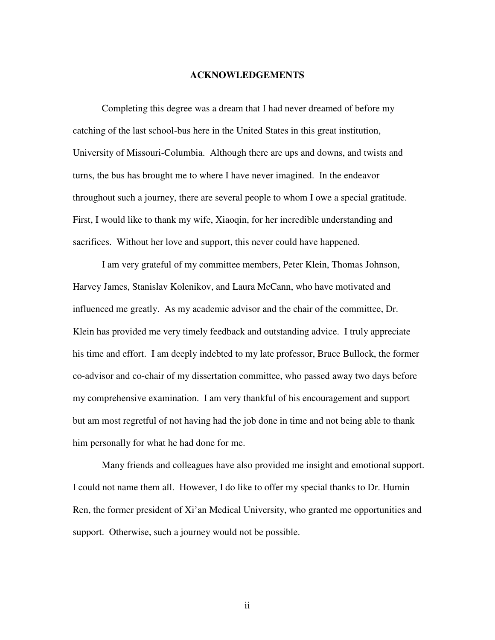#### **ACKNOWLEDGEMENTS**

Completing this degree was a dream that I had never dreamed of before my catching of the last school-bus here in the United States in this great institution, University of Missouri-Columbia. Although there are ups and downs, and twists and turns, the bus has brought me to where I have never imagined. In the endeavor throughout such a journey, there are several people to whom I owe a special gratitude. First, I would like to thank my wife, Xiaoqin, for her incredible understanding and sacrifices. Without her love and support, this never could have happened.

 I am very grateful of my committee members, Peter Klein, Thomas Johnson, Harvey James, Stanislav Kolenikov, and Laura McCann, who have motivated and influenced me greatly. As my academic advisor and the chair of the committee, Dr. Klein has provided me very timely feedback and outstanding advice. I truly appreciate his time and effort. I am deeply indebted to my late professor, Bruce Bullock, the former co-advisor and co-chair of my dissertation committee, who passed away two days before my comprehensive examination. I am very thankful of his encouragement and support but am most regretful of not having had the job done in time and not being able to thank him personally for what he had done for me.

 Many friends and colleagues have also provided me insight and emotional support. I could not name them all. However, I do like to offer my special thanks to Dr. Humin Ren, the former president of Xi'an Medical University, who granted me opportunities and support. Otherwise, such a journey would not be possible.

ii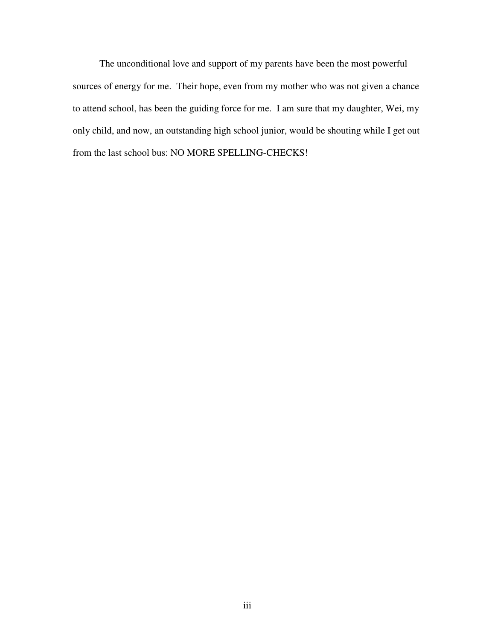The unconditional love and support of my parents have been the most powerful sources of energy for me. Their hope, even from my mother who was not given a chance to attend school, has been the guiding force for me. I am sure that my daughter, Wei, my only child, and now, an outstanding high school junior, would be shouting while I get out from the last school bus: NO MORE SPELLING-CHECKS!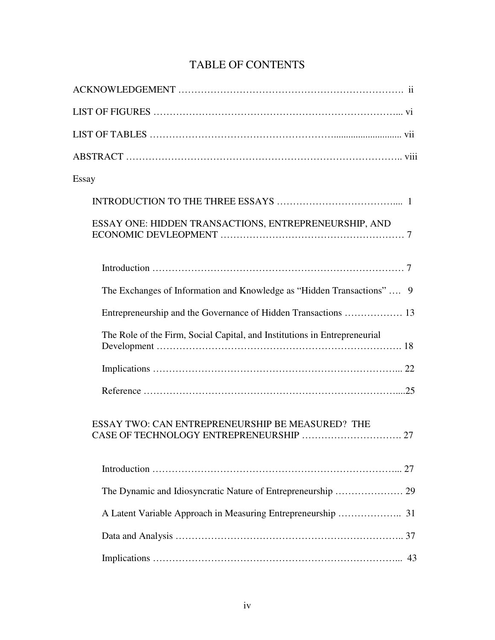| Essay                                                                     |
|---------------------------------------------------------------------------|
|                                                                           |
| ESSAY ONE: HIDDEN TRANSACTIONS, ENTREPRENEURSHIP, AND                     |
|                                                                           |
| The Exchanges of Information and Knowledge as "Hidden Transactions"  9    |
|                                                                           |
| The Role of the Firm, Social Capital, and Institutions in Entrepreneurial |
|                                                                           |
|                                                                           |
| ESSAY TWO: CAN ENTREPRENEURSHIP BE MEASURED? THE                          |
|                                                                           |
|                                                                           |
|                                                                           |
|                                                                           |
| 43                                                                        |

# TABLE OF CONTENTS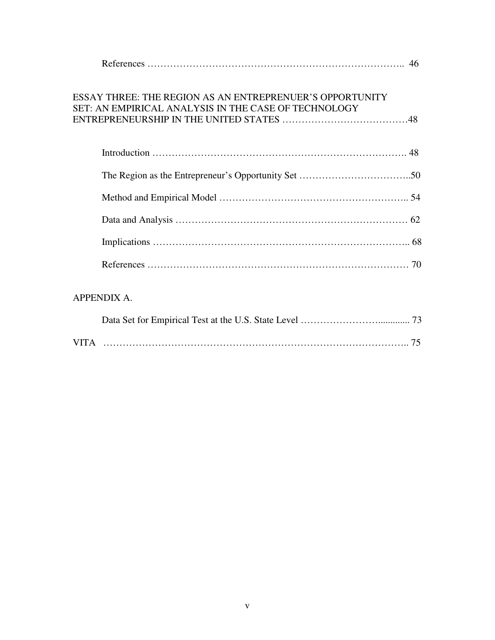| ESSAY THREE: THE REGION AS AN ENTREPRENUER'S OPPORTUNITY<br>SET: AN EMPIRICAL ANALYSIS IN THE CASE OF TECHNOLOGY |
|------------------------------------------------------------------------------------------------------------------|
|                                                                                                                  |
|                                                                                                                  |
|                                                                                                                  |
|                                                                                                                  |
|                                                                                                                  |
|                                                                                                                  |
| <b>APPENDIX A.</b>                                                                                               |

| <b>VITA</b> |  |
|-------------|--|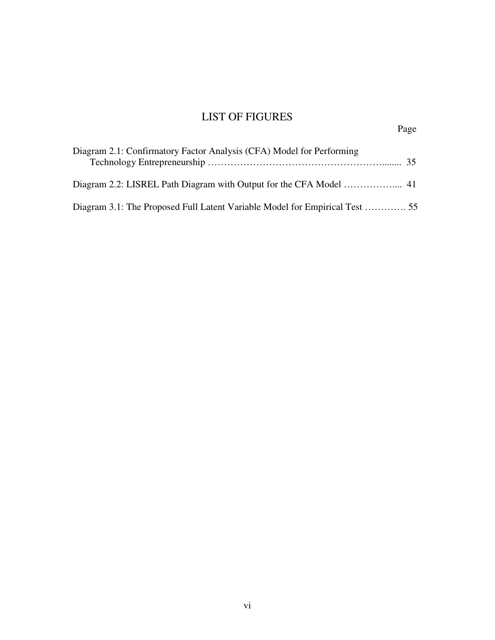# LIST OF FIGURES

| Diagram 2.1: Confirmatory Factor Analysis (CFA) Model for Performing |  |
|----------------------------------------------------------------------|--|
|                                                                      |  |
|                                                                      |  |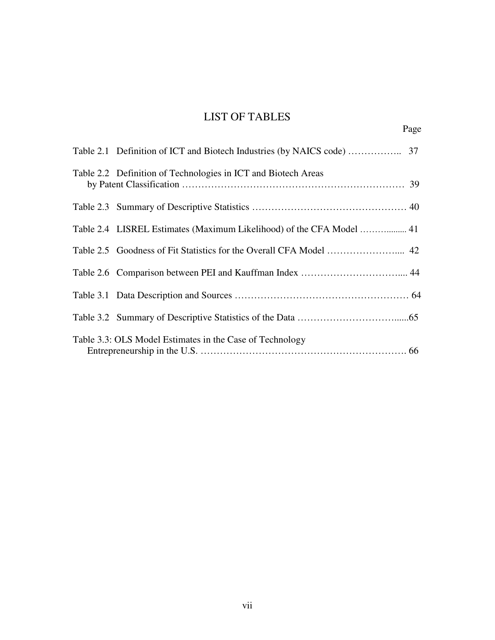# LIST OF TABLES

| Table 2.2 Definition of Technologies in ICT and Biotech Areas |  |
|---------------------------------------------------------------|--|
|                                                               |  |
|                                                               |  |
|                                                               |  |
|                                                               |  |
|                                                               |  |
|                                                               |  |
| Table 3.3: OLS Model Estimates in the Case of Technology      |  |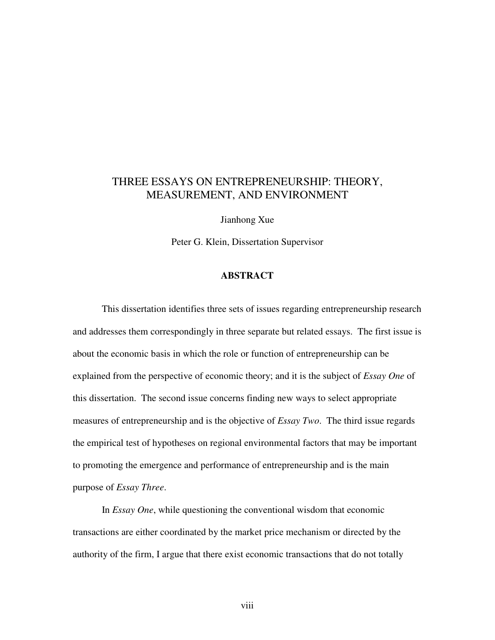## THREE ESSAYS ON ENTREPRENEURSHIP: THEORY, MEASUREMENT, AND ENVIRONMENT

Jianhong Xue

Peter G. Klein, Dissertation Supervisor

#### **ABSTRACT**

 This dissertation identifies three sets of issues regarding entrepreneurship research and addresses them correspondingly in three separate but related essays. The first issue is about the economic basis in which the role or function of entrepreneurship can be explained from the perspective of economic theory; and it is the subject of *Essay One* of this dissertation. The second issue concerns finding new ways to select appropriate measures of entrepreneurship and is the objective of *Essay Two*. The third issue regards the empirical test of hypotheses on regional environmental factors that may be important to promoting the emergence and performance of entrepreneurship and is the main purpose of *Essay Three*.

 In *Essay One*, while questioning the conventional wisdom that economic transactions are either coordinated by the market price mechanism or directed by the authority of the firm, I argue that there exist economic transactions that do not totally

viii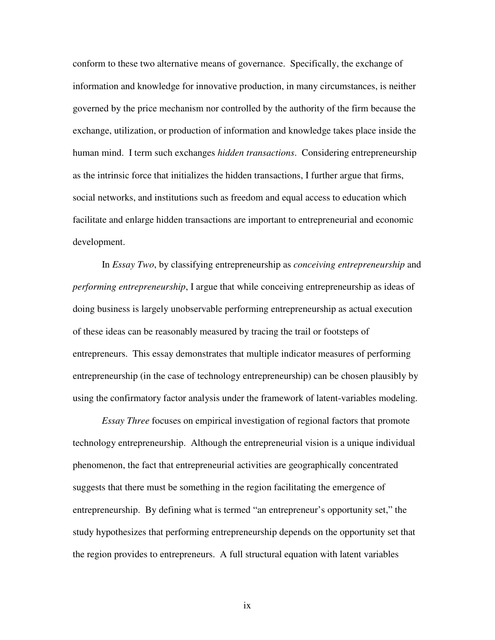conform to these two alternative means of governance. Specifically, the exchange of information and knowledge for innovative production, in many circumstances, is neither governed by the price mechanism nor controlled by the authority of the firm because the exchange, utilization, or production of information and knowledge takes place inside the human mind. I term such exchanges *hidden transactions*. Considering entrepreneurship as the intrinsic force that initializes the hidden transactions, I further argue that firms, social networks, and institutions such as freedom and equal access to education which facilitate and enlarge hidden transactions are important to entrepreneurial and economic development.

 In *Essay Two*, by classifying entrepreneurship as *conceiving entrepreneurship* and *performing entrepreneurship*, I argue that while conceiving entrepreneurship as ideas of doing business is largely unobservable performing entrepreneurship as actual execution of these ideas can be reasonably measured by tracing the trail or footsteps of entrepreneurs. This essay demonstrates that multiple indicator measures of performing entrepreneurship (in the case of technology entrepreneurship) can be chosen plausibly by using the confirmatory factor analysis under the framework of latent-variables modeling.

 *Essay Three* focuses on empirical investigation of regional factors that promote technology entrepreneurship. Although the entrepreneurial vision is a unique individual phenomenon, the fact that entrepreneurial activities are geographically concentrated suggests that there must be something in the region facilitating the emergence of entrepreneurship. By defining what is termed "an entrepreneur's opportunity set," the study hypothesizes that performing entrepreneurship depends on the opportunity set that the region provides to entrepreneurs. A full structural equation with latent variables

ix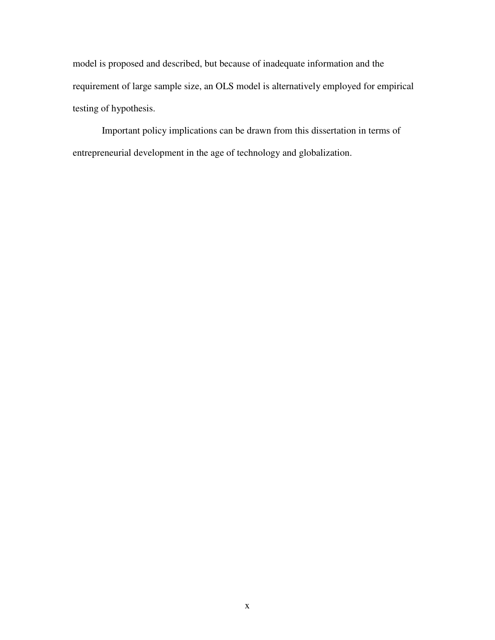model is proposed and described, but because of inadequate information and the requirement of large sample size, an OLS model is alternatively employed for empirical testing of hypothesis.

 Important policy implications can be drawn from this dissertation in terms of entrepreneurial development in the age of technology and globalization.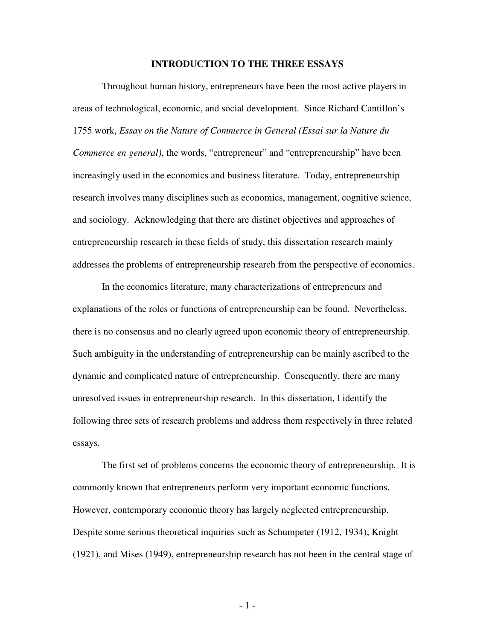#### **INTRODUCTION TO THE THREE ESSAYS**

 Throughout human history, entrepreneurs have been the most active players in areas of technological, economic, and social development. Since Richard Cantillon's 1755 work, *Essay on the Nature of Commerce in General (Essai sur la Nature du Commerce en general)*, the words, "entrepreneur" and "entrepreneurship" have been increasingly used in the economics and business literature. Today, entrepreneurship research involves many disciplines such as economics, management, cognitive science, and sociology. Acknowledging that there are distinct objectives and approaches of entrepreneurship research in these fields of study, this dissertation research mainly addresses the problems of entrepreneurship research from the perspective of economics.

 In the economics literature, many characterizations of entrepreneurs and explanations of the roles or functions of entrepreneurship can be found. Nevertheless, there is no consensus and no clearly agreed upon economic theory of entrepreneurship. Such ambiguity in the understanding of entrepreneurship can be mainly ascribed to the dynamic and complicated nature of entrepreneurship. Consequently, there are many unresolved issues in entrepreneurship research. In this dissertation, I identify the following three sets of research problems and address them respectively in three related essays.

 The first set of problems concerns the economic theory of entrepreneurship. It is commonly known that entrepreneurs perform very important economic functions. However, contemporary economic theory has largely neglected entrepreneurship. Despite some serious theoretical inquiries such as Schumpeter (1912, 1934), Knight (1921), and Mises (1949), entrepreneurship research has not been in the central stage of

- 1 -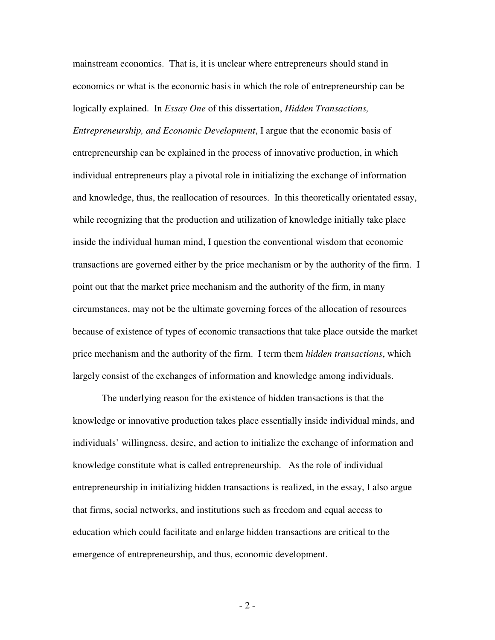mainstream economics. That is, it is unclear where entrepreneurs should stand in economics or what is the economic basis in which the role of entrepreneurship can be logically explained. In *Essay One* of this dissertation, *Hidden Transactions,* 

*Entrepreneurship, and Economic Development*, I argue that the economic basis of entrepreneurship can be explained in the process of innovative production, in which individual entrepreneurs play a pivotal role in initializing the exchange of information and knowledge, thus, the reallocation of resources. In this theoretically orientated essay, while recognizing that the production and utilization of knowledge initially take place inside the individual human mind, I question the conventional wisdom that economic transactions are governed either by the price mechanism or by the authority of the firm. I point out that the market price mechanism and the authority of the firm, in many circumstances, may not be the ultimate governing forces of the allocation of resources because of existence of types of economic transactions that take place outside the market price mechanism and the authority of the firm. I term them *hidden transactions*, which largely consist of the exchanges of information and knowledge among individuals.

 The underlying reason for the existence of hidden transactions is that the knowledge or innovative production takes place essentially inside individual minds, and individuals' willingness, desire, and action to initialize the exchange of information and knowledge constitute what is called entrepreneurship. As the role of individual entrepreneurship in initializing hidden transactions is realized, in the essay, I also argue that firms, social networks, and institutions such as freedom and equal access to education which could facilitate and enlarge hidden transactions are critical to the emergence of entrepreneurship, and thus, economic development.

- 2 -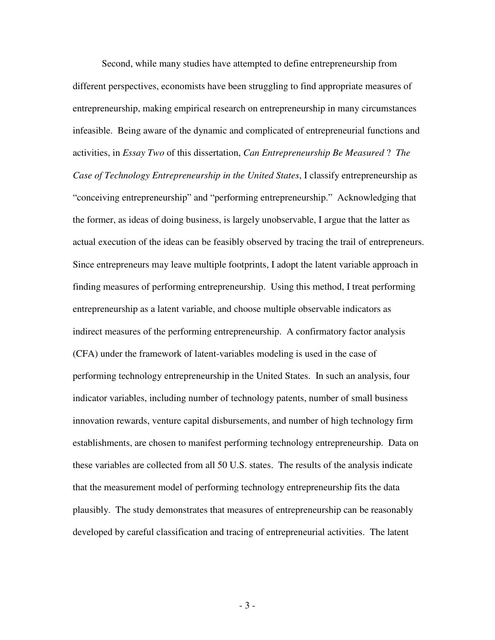Second, while many studies have attempted to define entrepreneurship from different perspectives, economists have been struggling to find appropriate measures of entrepreneurship, making empirical research on entrepreneurship in many circumstances infeasible. Being aware of the dynamic and complicated of entrepreneurial functions and activities, in *Essay Two* of this dissertation, *Can Entrepreneurship Be Measured* ? *The Case of Technology Entrepreneurship in the United States*, I classify entrepreneurship as "conceiving entrepreneurship" and "performing entrepreneurship." Acknowledging that the former, as ideas of doing business, is largely unobservable, I argue that the latter as actual execution of the ideas can be feasibly observed by tracing the trail of entrepreneurs. Since entrepreneurs may leave multiple footprints, I adopt the latent variable approach in finding measures of performing entrepreneurship. Using this method, I treat performing entrepreneurship as a latent variable, and choose multiple observable indicators as indirect measures of the performing entrepreneurship. A confirmatory factor analysis (CFA) under the framework of latent-variables modeling is used in the case of performing technology entrepreneurship in the United States. In such an analysis, four indicator variables, including number of technology patents, number of small business innovation rewards, venture capital disbursements, and number of high technology firm establishments, are chosen to manifest performing technology entrepreneurship. Data on these variables are collected from all 50 U.S. states. The results of the analysis indicate that the measurement model of performing technology entrepreneurship fits the data plausibly. The study demonstrates that measures of entrepreneurship can be reasonably developed by careful classification and tracing of entrepreneurial activities. The latent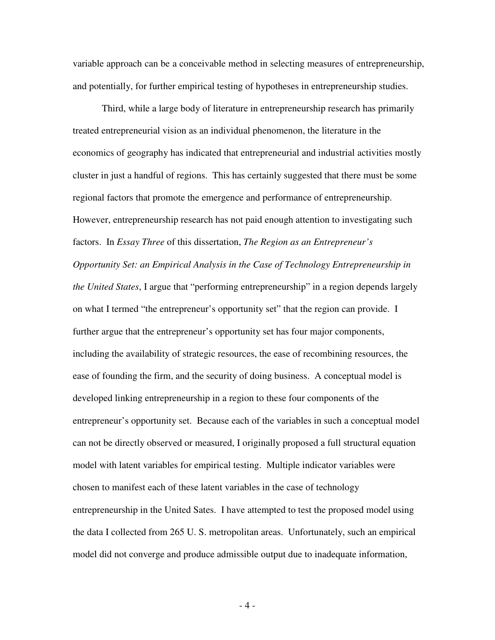variable approach can be a conceivable method in selecting measures of entrepreneurship, and potentially, for further empirical testing of hypotheses in entrepreneurship studies.

 Third, while a large body of literature in entrepreneurship research has primarily treated entrepreneurial vision as an individual phenomenon, the literature in the economics of geography has indicated that entrepreneurial and industrial activities mostly cluster in just a handful of regions. This has certainly suggested that there must be some regional factors that promote the emergence and performance of entrepreneurship. However, entrepreneurship research has not paid enough attention to investigating such factors. In *Essay Three* of this dissertation, *The Region as an Entrepreneur's Opportunity Set: an Empirical Analysis in the Case of Technology Entrepreneurship in the United States*, I argue that "performing entrepreneurship" in a region depends largely on what I termed "the entrepreneur's opportunity set" that the region can provide. I further argue that the entrepreneur's opportunity set has four major components, including the availability of strategic resources, the ease of recombining resources, the ease of founding the firm, and the security of doing business. A conceptual model is developed linking entrepreneurship in a region to these four components of the entrepreneur's opportunity set. Because each of the variables in such a conceptual model can not be directly observed or measured, I originally proposed a full structural equation model with latent variables for empirical testing. Multiple indicator variables were chosen to manifest each of these latent variables in the case of technology entrepreneurship in the United Sates. I have attempted to test the proposed model using the data I collected from 265 U. S. metropolitan areas. Unfortunately, such an empirical model did not converge and produce admissible output due to inadequate information,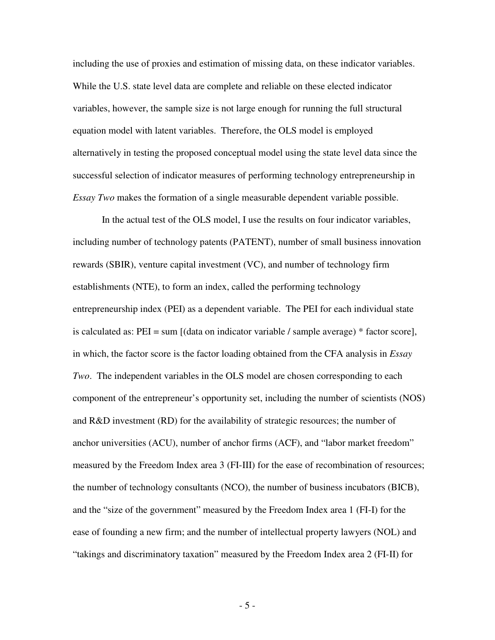including the use of proxies and estimation of missing data, on these indicator variables. While the U.S. state level data are complete and reliable on these elected indicator variables, however, the sample size is not large enough for running the full structural equation model with latent variables. Therefore, the OLS model is employed alternatively in testing the proposed conceptual model using the state level data since the successful selection of indicator measures of performing technology entrepreneurship in *Essay Two* makes the formation of a single measurable dependent variable possible.

 In the actual test of the OLS model, I use the results on four indicator variables, including number of technology patents (PATENT), number of small business innovation rewards (SBIR), venture capital investment (VC), and number of technology firm establishments (NTE), to form an index, called the performing technology entrepreneurship index (PEI) as a dependent variable. The PEI for each individual state is calculated as: PEI = sum [(data on indicator variable / sample average) \* factor score], in which, the factor score is the factor loading obtained from the CFA analysis in *Essay Two*. The independent variables in the OLS model are chosen corresponding to each component of the entrepreneur's opportunity set, including the number of scientists (NOS) and R&D investment (RD) for the availability of strategic resources; the number of anchor universities (ACU), number of anchor firms (ACF), and "labor market freedom" measured by the Freedom Index area 3 (FI-III) for the ease of recombination of resources; the number of technology consultants (NCO), the number of business incubators (BICB), and the "size of the government" measured by the Freedom Index area 1 (FI-I) for the ease of founding a new firm; and the number of intellectual property lawyers (NOL) and "takings and discriminatory taxation" measured by the Freedom Index area 2 (FI-II) for

- 5 -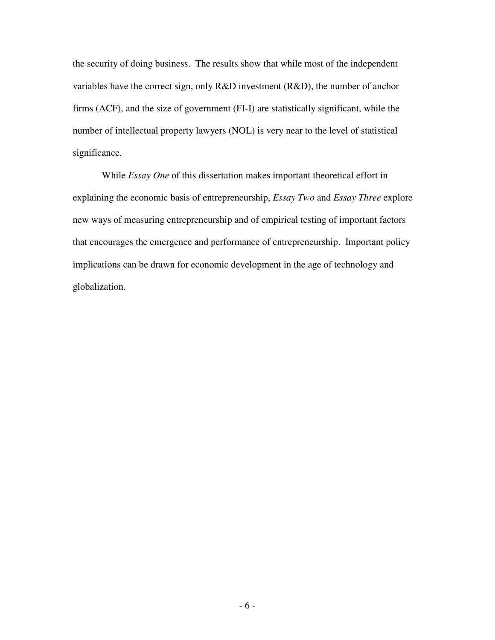the security of doing business. The results show that while most of the independent variables have the correct sign, only R&D investment (R&D), the number of anchor firms (ACF), and the size of government (FI-I) are statistically significant, while the number of intellectual property lawyers (NOL) is very near to the level of statistical significance.

 While *Essay One* of this dissertation makes important theoretical effort in explaining the economic basis of entrepreneurship, *Essay Two* and *Essay Three* explore new ways of measuring entrepreneurship and of empirical testing of important factors that encourages the emergence and performance of entrepreneurship. Important policy implications can be drawn for economic development in the age of technology and globalization.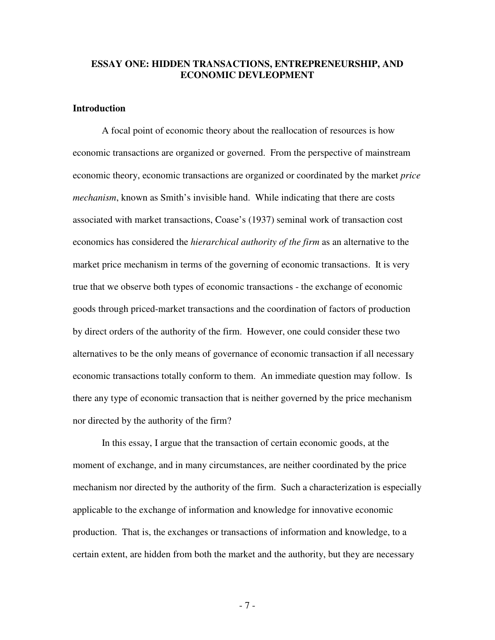#### **ESSAY ONE: HIDDEN TRANSACTIONS, ENTREPRENEURSHIP, AND ECONOMIC DEVLEOPMENT**

## **Introduction**

 A focal point of economic theory about the reallocation of resources is how economic transactions are organized or governed. From the perspective of mainstream economic theory, economic transactions are organized or coordinated by the market *price mechanism*, known as Smith's invisible hand. While indicating that there are costs associated with market transactions, Coase's (1937) seminal work of transaction cost economics has considered the *hierarchical authority of the firm* as an alternative to the market price mechanism in terms of the governing of economic transactions. It is very true that we observe both types of economic transactions - the exchange of economic goods through priced-market transactions and the coordination of factors of production by direct orders of the authority of the firm. However, one could consider these two alternatives to be the only means of governance of economic transaction if all necessary economic transactions totally conform to them. An immediate question may follow. Is there any type of economic transaction that is neither governed by the price mechanism nor directed by the authority of the firm?

 In this essay, I argue that the transaction of certain economic goods, at the moment of exchange, and in many circumstances, are neither coordinated by the price mechanism nor directed by the authority of the firm. Such a characterization is especially applicable to the exchange of information and knowledge for innovative economic production. That is, the exchanges or transactions of information and knowledge, to a certain extent, are hidden from both the market and the authority, but they are necessary

- 7 -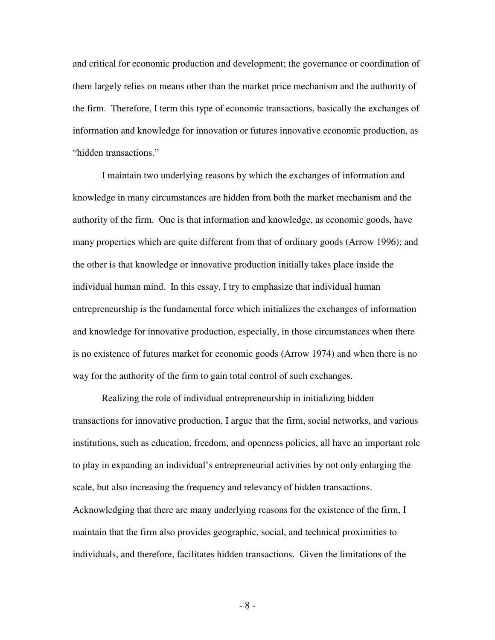and critical for economic production and development; the governance or coordination of them largely relies on means other than the market price mechanism and the authority of the firm. Therefore, I term this type of economic transactions, basically the exchanges of information and knowledge for innovation or futures innovative economic production, as "hidden transactions."

 I maintain two underlying reasons by which the exchanges of information and knowledge in many circumstances are hidden from both the market mechanism and the authority of the firm. One is that information and knowledge, as economic goods, have many properties which are quite different from that of ordinary goods (Arrow 1996); and the other is that knowledge or innovative production initially takes place inside the individual human mind. In this essay, I try to emphasize that individual human entrepreneurship is the fundamental force which initializes the exchanges of information and knowledge for innovative production, especially, in those circumstances when there is no existence of futures market for economic goods (Arrow 1974) and when there is no way for the authority of the firm to gain total control of such exchanges.

 Realizing the role of individual entrepreneurship in initializing hidden transactions for innovative production, I argue that the firm, social networks, and various institutions, such as education, freedom, and openness policies, all have an important role to play in expanding an individual's entrepreneurial activities by not only enlarging the scale, but also increasing the frequency and relevancy of hidden transactions. Acknowledging that there are many underlying reasons for the existence of the firm, I maintain that the firm also provides geographic, social, and technical proximities to individuals, and therefore, facilitates hidden transactions. Given the limitations of the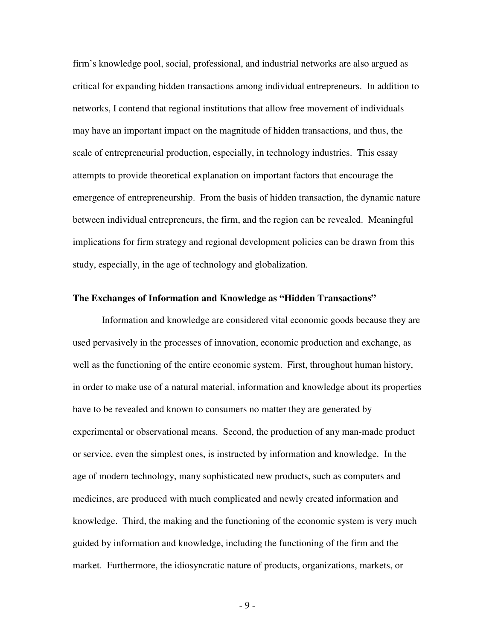firm's knowledge pool, social, professional, and industrial networks are also argued as critical for expanding hidden transactions among individual entrepreneurs. In addition to networks, I contend that regional institutions that allow free movement of individuals may have an important impact on the magnitude of hidden transactions, and thus, the scale of entrepreneurial production, especially, in technology industries. This essay attempts to provide theoretical explanation on important factors that encourage the emergence of entrepreneurship. From the basis of hidden transaction, the dynamic nature between individual entrepreneurs, the firm, and the region can be revealed. Meaningful implications for firm strategy and regional development policies can be drawn from this study, especially, in the age of technology and globalization.

#### **The Exchanges of Information and Knowledge as "Hidden Transactions"**

 Information and knowledge are considered vital economic goods because they are used pervasively in the processes of innovation, economic production and exchange, as well as the functioning of the entire economic system. First, throughout human history, in order to make use of a natural material, information and knowledge about its properties have to be revealed and known to consumers no matter they are generated by experimental or observational means. Second, the production of any man-made product or service, even the simplest ones, is instructed by information and knowledge. In the age of modern technology, many sophisticated new products, such as computers and medicines, are produced with much complicated and newly created information and knowledge. Third, the making and the functioning of the economic system is very much guided by information and knowledge, including the functioning of the firm and the market. Furthermore, the idiosyncratic nature of products, organizations, markets, or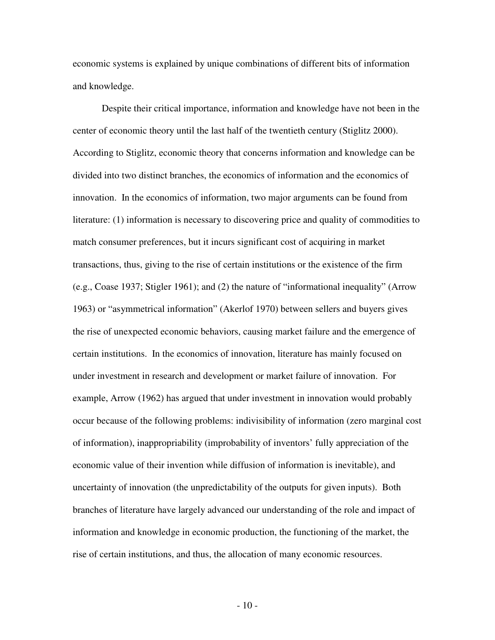economic systems is explained by unique combinations of different bits of information and knowledge.

 Despite their critical importance, information and knowledge have not been in the center of economic theory until the last half of the twentieth century (Stiglitz 2000). According to Stiglitz, economic theory that concerns information and knowledge can be divided into two distinct branches, the economics of information and the economics of innovation. In the economics of information, two major arguments can be found from literature: (1) information is necessary to discovering price and quality of commodities to match consumer preferences, but it incurs significant cost of acquiring in market transactions, thus, giving to the rise of certain institutions or the existence of the firm (e.g., Coase 1937; Stigler 1961); and (2) the nature of "informational inequality" (Arrow 1963) or "asymmetrical information" (Akerlof 1970) between sellers and buyers gives the rise of unexpected economic behaviors, causing market failure and the emergence of certain institutions. In the economics of innovation, literature has mainly focused on under investment in research and development or market failure of innovation. For example, Arrow (1962) has argued that under investment in innovation would probably occur because of the following problems: indivisibility of information (zero marginal cost of information), inappropriability (improbability of inventors' fully appreciation of the economic value of their invention while diffusion of information is inevitable), and uncertainty of innovation (the unpredictability of the outputs for given inputs). Both branches of literature have largely advanced our understanding of the role and impact of information and knowledge in economic production, the functioning of the market, the rise of certain institutions, and thus, the allocation of many economic resources.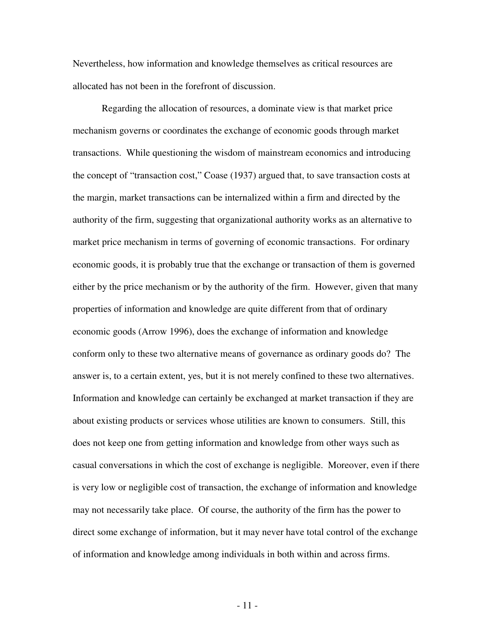Nevertheless, how information and knowledge themselves as critical resources are allocated has not been in the forefront of discussion.

 Regarding the allocation of resources, a dominate view is that market price mechanism governs or coordinates the exchange of economic goods through market transactions. While questioning the wisdom of mainstream economics and introducing the concept of "transaction cost," Coase (1937) argued that, to save transaction costs at the margin, market transactions can be internalized within a firm and directed by the authority of the firm, suggesting that organizational authority works as an alternative to market price mechanism in terms of governing of economic transactions. For ordinary economic goods, it is probably true that the exchange or transaction of them is governed either by the price mechanism or by the authority of the firm. However, given that many properties of information and knowledge are quite different from that of ordinary economic goods (Arrow 1996), does the exchange of information and knowledge conform only to these two alternative means of governance as ordinary goods do? The answer is, to a certain extent, yes, but it is not merely confined to these two alternatives. Information and knowledge can certainly be exchanged at market transaction if they are about existing products or services whose utilities are known to consumers. Still, this does not keep one from getting information and knowledge from other ways such as casual conversations in which the cost of exchange is negligible. Moreover, even if there is very low or negligible cost of transaction, the exchange of information and knowledge may not necessarily take place. Of course, the authority of the firm has the power to direct some exchange of information, but it may never have total control of the exchange of information and knowledge among individuals in both within and across firms.

- 11 -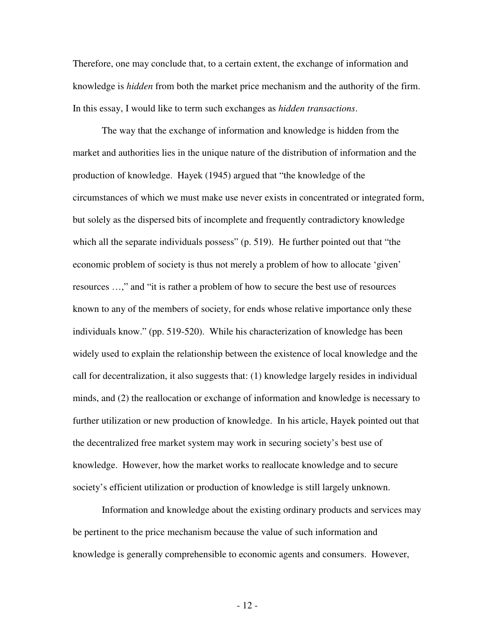Therefore, one may conclude that, to a certain extent, the exchange of information and knowledge is *hidden* from both the market price mechanism and the authority of the firm. In this essay, I would like to term such exchanges as *hidden transactions*.

 The way that the exchange of information and knowledge is hidden from the market and authorities lies in the unique nature of the distribution of information and the production of knowledge. Hayek (1945) argued that "the knowledge of the circumstances of which we must make use never exists in concentrated or integrated form, but solely as the dispersed bits of incomplete and frequently contradictory knowledge which all the separate individuals possess" (p. 519). He further pointed out that "the economic problem of society is thus not merely a problem of how to allocate 'given' resources …," and "it is rather a problem of how to secure the best use of resources known to any of the members of society, for ends whose relative importance only these individuals know." (pp. 519-520). While his characterization of knowledge has been widely used to explain the relationship between the existence of local knowledge and the call for decentralization, it also suggests that: (1) knowledge largely resides in individual minds, and (2) the reallocation or exchange of information and knowledge is necessary to further utilization or new production of knowledge. In his article, Hayek pointed out that the decentralized free market system may work in securing society's best use of knowledge. However, how the market works to reallocate knowledge and to secure society's efficient utilization or production of knowledge is still largely unknown.

 Information and knowledge about the existing ordinary products and services may be pertinent to the price mechanism because the value of such information and knowledge is generally comprehensible to economic agents and consumers. However,

- 12 -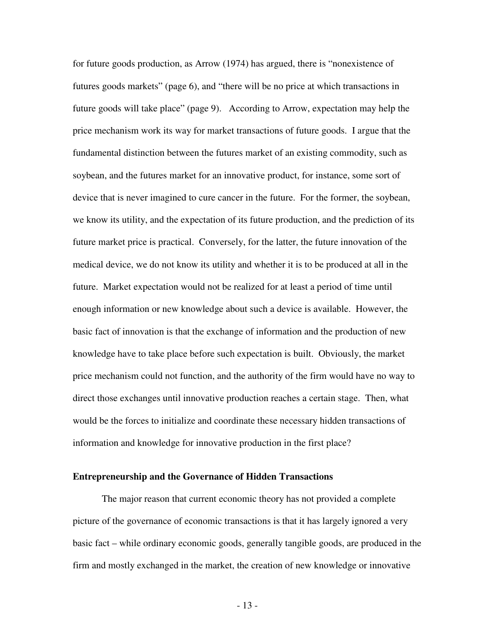for future goods production, as Arrow (1974) has argued, there is "nonexistence of futures goods markets" (page 6), and "there will be no price at which transactions in future goods will take place" (page 9). According to Arrow, expectation may help the price mechanism work its way for market transactions of future goods. I argue that the fundamental distinction between the futures market of an existing commodity, such as soybean, and the futures market for an innovative product, for instance, some sort of device that is never imagined to cure cancer in the future. For the former, the soybean, we know its utility, and the expectation of its future production, and the prediction of its future market price is practical. Conversely, for the latter, the future innovation of the medical device, we do not know its utility and whether it is to be produced at all in the future. Market expectation would not be realized for at least a period of time until enough information or new knowledge about such a device is available. However, the basic fact of innovation is that the exchange of information and the production of new knowledge have to take place before such expectation is built. Obviously, the market price mechanism could not function, and the authority of the firm would have no way to direct those exchanges until innovative production reaches a certain stage. Then, what would be the forces to initialize and coordinate these necessary hidden transactions of information and knowledge for innovative production in the first place?

#### **Entrepreneurship and the Governance of Hidden Transactions**

 The major reason that current economic theory has not provided a complete picture of the governance of economic transactions is that it has largely ignored a very basic fact – while ordinary economic goods, generally tangible goods, are produced in the firm and mostly exchanged in the market, the creation of new knowledge or innovative

- 13 -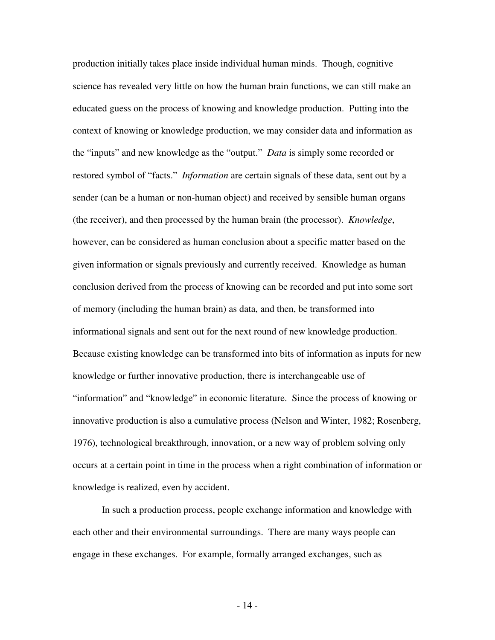production initially takes place inside individual human minds. Though, cognitive science has revealed very little on how the human brain functions, we can still make an educated guess on the process of knowing and knowledge production. Putting into the context of knowing or knowledge production, we may consider data and information as the "inputs" and new knowledge as the "output." *Data* is simply some recorded or restored symbol of "facts." *Information* are certain signals of these data, sent out by a sender (can be a human or non-human object) and received by sensible human organs (the receiver), and then processed by the human brain (the processor). *Knowledge*, however, can be considered as human conclusion about a specific matter based on the given information or signals previously and currently received. Knowledge as human conclusion derived from the process of knowing can be recorded and put into some sort of memory (including the human brain) as data, and then, be transformed into informational signals and sent out for the next round of new knowledge production. Because existing knowledge can be transformed into bits of information as inputs for new knowledge or further innovative production, there is interchangeable use of "information" and "knowledge" in economic literature. Since the process of knowing or innovative production is also a cumulative process (Nelson and Winter, 1982; Rosenberg, 1976), technological breakthrough, innovation, or a new way of problem solving only occurs at a certain point in time in the process when a right combination of information or knowledge is realized, even by accident.

 In such a production process, people exchange information and knowledge with each other and their environmental surroundings. There are many ways people can engage in these exchanges. For example, formally arranged exchanges, such as

- 14 -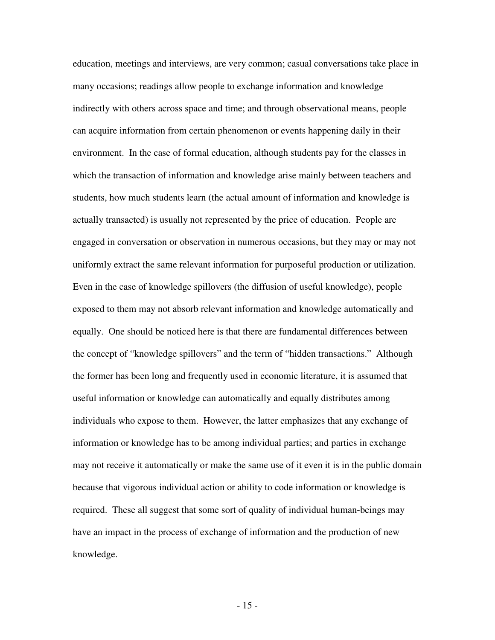education, meetings and interviews, are very common; casual conversations take place in many occasions; readings allow people to exchange information and knowledge indirectly with others across space and time; and through observational means, people can acquire information from certain phenomenon or events happening daily in their environment. In the case of formal education, although students pay for the classes in which the transaction of information and knowledge arise mainly between teachers and students, how much students learn (the actual amount of information and knowledge is actually transacted) is usually not represented by the price of education. People are engaged in conversation or observation in numerous occasions, but they may or may not uniformly extract the same relevant information for purposeful production or utilization. Even in the case of knowledge spillovers (the diffusion of useful knowledge), people exposed to them may not absorb relevant information and knowledge automatically and equally. One should be noticed here is that there are fundamental differences between the concept of "knowledge spillovers" and the term of "hidden transactions." Although the former has been long and frequently used in economic literature, it is assumed that useful information or knowledge can automatically and equally distributes among individuals who expose to them. However, the latter emphasizes that any exchange of information or knowledge has to be among individual parties; and parties in exchange may not receive it automatically or make the same use of it even it is in the public domain because that vigorous individual action or ability to code information or knowledge is required. These all suggest that some sort of quality of individual human-beings may have an impact in the process of exchange of information and the production of new knowledge.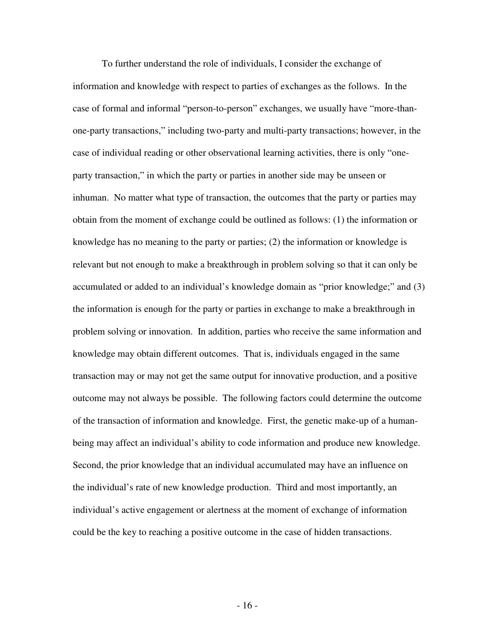To further understand the role of individuals, I consider the exchange of information and knowledge with respect to parties of exchanges as the follows. In the case of formal and informal "person-to-person" exchanges, we usually have "more-thanone-party transactions," including two-party and multi-party transactions; however, in the case of individual reading or other observational learning activities, there is only "oneparty transaction," in which the party or parties in another side may be unseen or inhuman. No matter what type of transaction, the outcomes that the party or parties may obtain from the moment of exchange could be outlined as follows: (1) the information or knowledge has no meaning to the party or parties; (2) the information or knowledge is relevant but not enough to make a breakthrough in problem solving so that it can only be accumulated or added to an individual's knowledge domain as "prior knowledge;" and (3) the information is enough for the party or parties in exchange to make a breakthrough in problem solving or innovation. In addition, parties who receive the same information and knowledge may obtain different outcomes. That is, individuals engaged in the same transaction may or may not get the same output for innovative production, and a positive outcome may not always be possible. The following factors could determine the outcome of the transaction of information and knowledge. First, the genetic make-up of a humanbeing may affect an individual's ability to code information and produce new knowledge. Second, the prior knowledge that an individual accumulated may have an influence on the individual's rate of new knowledge production. Third and most importantly, an individual's active engagement or alertness at the moment of exchange of information could be the key to reaching a positive outcome in the case of hidden transactions.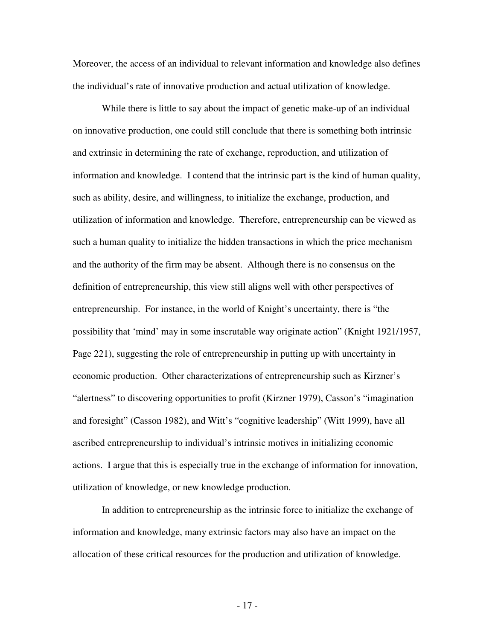Moreover, the access of an individual to relevant information and knowledge also defines the individual's rate of innovative production and actual utilization of knowledge.

 While there is little to say about the impact of genetic make-up of an individual on innovative production, one could still conclude that there is something both intrinsic and extrinsic in determining the rate of exchange, reproduction, and utilization of information and knowledge. I contend that the intrinsic part is the kind of human quality, such as ability, desire, and willingness, to initialize the exchange, production, and utilization of information and knowledge. Therefore, entrepreneurship can be viewed as such a human quality to initialize the hidden transactions in which the price mechanism and the authority of the firm may be absent. Although there is no consensus on the definition of entrepreneurship, this view still aligns well with other perspectives of entrepreneurship. For instance, in the world of Knight's uncertainty, there is "the possibility that 'mind' may in some inscrutable way originate action" (Knight 1921/1957, Page 221), suggesting the role of entrepreneurship in putting up with uncertainty in economic production. Other characterizations of entrepreneurship such as Kirzner's "alertness" to discovering opportunities to profit (Kirzner 1979), Casson's "imagination and foresight" (Casson 1982), and Witt's "cognitive leadership" (Witt 1999), have all ascribed entrepreneurship to individual's intrinsic motives in initializing economic actions. I argue that this is especially true in the exchange of information for innovation, utilization of knowledge, or new knowledge production.

 In addition to entrepreneurship as the intrinsic force to initialize the exchange of information and knowledge, many extrinsic factors may also have an impact on the allocation of these critical resources for the production and utilization of knowledge.

- 17 -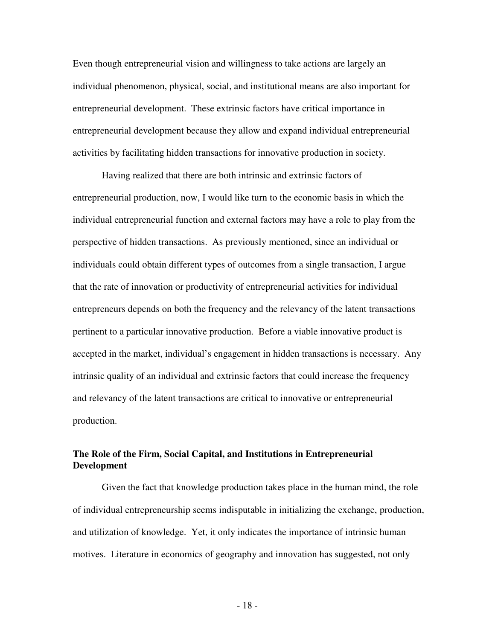Even though entrepreneurial vision and willingness to take actions are largely an individual phenomenon, physical, social, and institutional means are also important for entrepreneurial development. These extrinsic factors have critical importance in entrepreneurial development because they allow and expand individual entrepreneurial activities by facilitating hidden transactions for innovative production in society.

 Having realized that there are both intrinsic and extrinsic factors of entrepreneurial production, now, I would like turn to the economic basis in which the individual entrepreneurial function and external factors may have a role to play from the perspective of hidden transactions. As previously mentioned, since an individual or individuals could obtain different types of outcomes from a single transaction, I argue that the rate of innovation or productivity of entrepreneurial activities for individual entrepreneurs depends on both the frequency and the relevancy of the latent transactions pertinent to a particular innovative production. Before a viable innovative product is accepted in the market, individual's engagement in hidden transactions is necessary. Any intrinsic quality of an individual and extrinsic factors that could increase the frequency and relevancy of the latent transactions are critical to innovative or entrepreneurial production.

### **The Role of the Firm, Social Capital, and Institutions in Entrepreneurial Development**

 Given the fact that knowledge production takes place in the human mind, the role of individual entrepreneurship seems indisputable in initializing the exchange, production, and utilization of knowledge. Yet, it only indicates the importance of intrinsic human motives. Literature in economics of geography and innovation has suggested, not only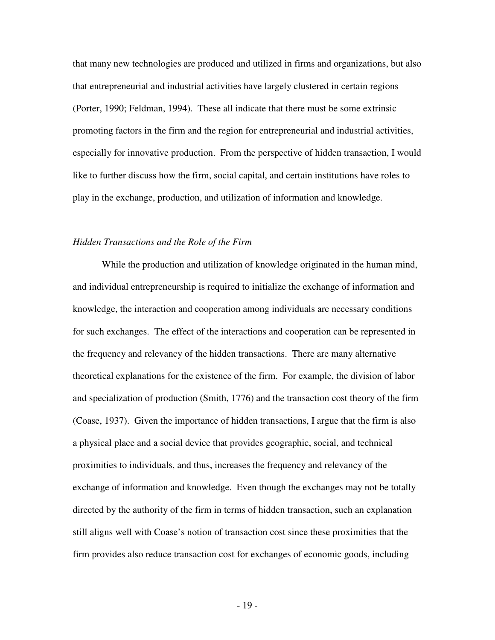that many new technologies are produced and utilized in firms and organizations, but also that entrepreneurial and industrial activities have largely clustered in certain regions (Porter, 1990; Feldman, 1994). These all indicate that there must be some extrinsic promoting factors in the firm and the region for entrepreneurial and industrial activities, especially for innovative production. From the perspective of hidden transaction, I would like to further discuss how the firm, social capital, and certain institutions have roles to play in the exchange, production, and utilization of information and knowledge.

#### *Hidden Transactions and the Role of the Firm*

 While the production and utilization of knowledge originated in the human mind, and individual entrepreneurship is required to initialize the exchange of information and knowledge, the interaction and cooperation among individuals are necessary conditions for such exchanges. The effect of the interactions and cooperation can be represented in the frequency and relevancy of the hidden transactions. There are many alternative theoretical explanations for the existence of the firm. For example, the division of labor and specialization of production (Smith, 1776) and the transaction cost theory of the firm (Coase, 1937). Given the importance of hidden transactions, I argue that the firm is also a physical place and a social device that provides geographic, social, and technical proximities to individuals, and thus, increases the frequency and relevancy of the exchange of information and knowledge. Even though the exchanges may not be totally directed by the authority of the firm in terms of hidden transaction, such an explanation still aligns well with Coase's notion of transaction cost since these proximities that the firm provides also reduce transaction cost for exchanges of economic goods, including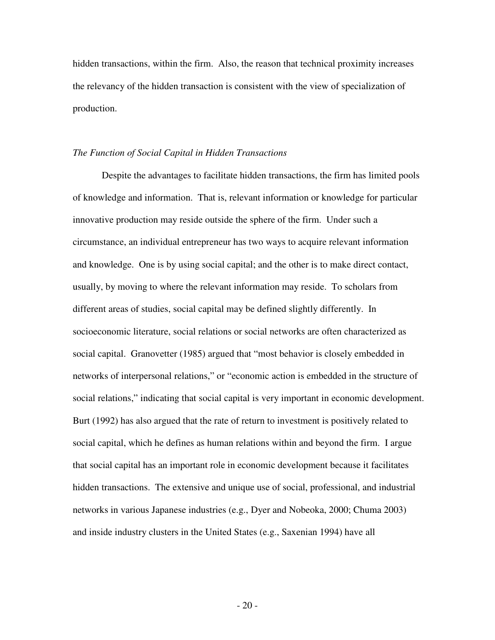hidden transactions, within the firm. Also, the reason that technical proximity increases the relevancy of the hidden transaction is consistent with the view of specialization of production.

#### *The Function of Social Capital in Hidden Transactions*

 Despite the advantages to facilitate hidden transactions, the firm has limited pools of knowledge and information. That is, relevant information or knowledge for particular innovative production may reside outside the sphere of the firm. Under such a circumstance, an individual entrepreneur has two ways to acquire relevant information and knowledge. One is by using social capital; and the other is to make direct contact, usually, by moving to where the relevant information may reside. To scholars from different areas of studies, social capital may be defined slightly differently. In socioeconomic literature, social relations or social networks are often characterized as social capital. Granovetter (1985) argued that "most behavior is closely embedded in networks of interpersonal relations," or "economic action is embedded in the structure of social relations," indicating that social capital is very important in economic development. Burt (1992) has also argued that the rate of return to investment is positively related to social capital, which he defines as human relations within and beyond the firm. I argue that social capital has an important role in economic development because it facilitates hidden transactions. The extensive and unique use of social, professional, and industrial networks in various Japanese industries (e.g., Dyer and Nobeoka, 2000; Chuma 2003) and inside industry clusters in the United States (e.g., Saxenian 1994) have all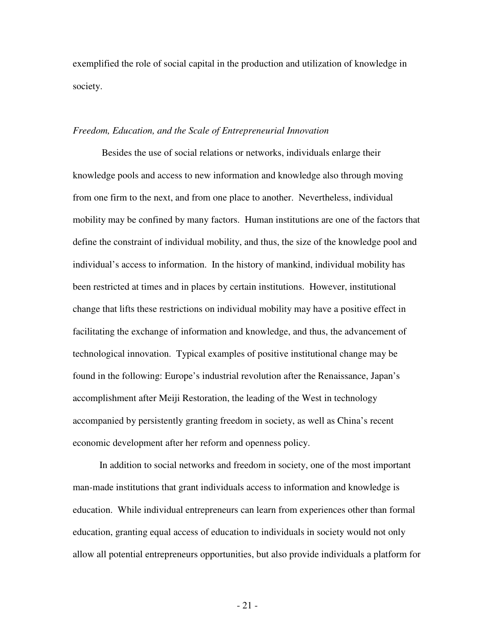exemplified the role of social capital in the production and utilization of knowledge in society.

#### *Freedom, Education, and the Scale of Entrepreneurial Innovation*

 Besides the use of social relations or networks, individuals enlarge their knowledge pools and access to new information and knowledge also through moving from one firm to the next, and from one place to another. Nevertheless, individual mobility may be confined by many factors. Human institutions are one of the factors that define the constraint of individual mobility, and thus, the size of the knowledge pool and individual's access to information. In the history of mankind, individual mobility has been restricted at times and in places by certain institutions. However, institutional change that lifts these restrictions on individual mobility may have a positive effect in facilitating the exchange of information and knowledge, and thus, the advancement of technological innovation. Typical examples of positive institutional change may be found in the following: Europe's industrial revolution after the Renaissance, Japan's accomplishment after Meiji Restoration, the leading of the West in technology accompanied by persistently granting freedom in society, as well as China's recent economic development after her reform and openness policy.

 In addition to social networks and freedom in society, one of the most important man-made institutions that grant individuals access to information and knowledge is education. While individual entrepreneurs can learn from experiences other than formal education, granting equal access of education to individuals in society would not only allow all potential entrepreneurs opportunities, but also provide individuals a platform for

- 21 -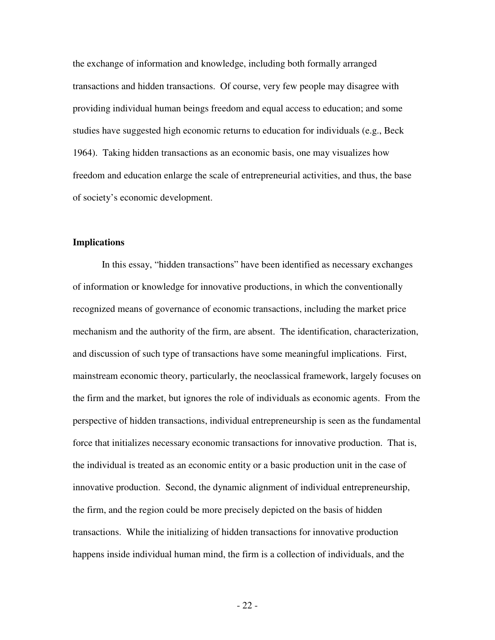the exchange of information and knowledge, including both formally arranged transactions and hidden transactions. Of course, very few people may disagree with providing individual human beings freedom and equal access to education; and some studies have suggested high economic returns to education for individuals (e.g., Beck 1964). Taking hidden transactions as an economic basis, one may visualizes how freedom and education enlarge the scale of entrepreneurial activities, and thus, the base of society's economic development.

#### **Implications**

 In this essay, "hidden transactions" have been identified as necessary exchanges of information or knowledge for innovative productions, in which the conventionally recognized means of governance of economic transactions, including the market price mechanism and the authority of the firm, are absent. The identification, characterization, and discussion of such type of transactions have some meaningful implications. First, mainstream economic theory, particularly, the neoclassical framework, largely focuses on the firm and the market, but ignores the role of individuals as economic agents. From the perspective of hidden transactions, individual entrepreneurship is seen as the fundamental force that initializes necessary economic transactions for innovative production. That is, the individual is treated as an economic entity or a basic production unit in the case of innovative production. Second, the dynamic alignment of individual entrepreneurship, the firm, and the region could be more precisely depicted on the basis of hidden transactions. While the initializing of hidden transactions for innovative production happens inside individual human mind, the firm is a collection of individuals, and the

- 22 -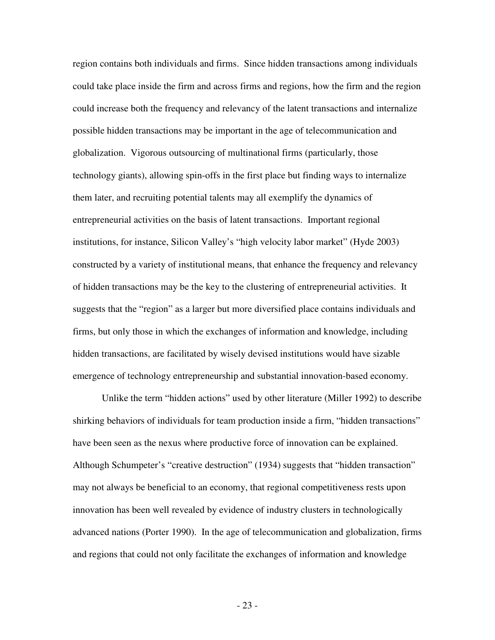region contains both individuals and firms. Since hidden transactions among individuals could take place inside the firm and across firms and regions, how the firm and the region could increase both the frequency and relevancy of the latent transactions and internalize possible hidden transactions may be important in the age of telecommunication and globalization. Vigorous outsourcing of multinational firms (particularly, those technology giants), allowing spin-offs in the first place but finding ways to internalize them later, and recruiting potential talents may all exemplify the dynamics of entrepreneurial activities on the basis of latent transactions. Important regional institutions, for instance, Silicon Valley's "high velocity labor market" (Hyde 2003) constructed by a variety of institutional means, that enhance the frequency and relevancy of hidden transactions may be the key to the clustering of entrepreneurial activities. It suggests that the "region" as a larger but more diversified place contains individuals and firms, but only those in which the exchanges of information and knowledge, including hidden transactions, are facilitated by wisely devised institutions would have sizable emergence of technology entrepreneurship and substantial innovation-based economy.

 Unlike the term "hidden actions" used by other literature (Miller 1992) to describe shirking behaviors of individuals for team production inside a firm, "hidden transactions" have been seen as the nexus where productive force of innovation can be explained. Although Schumpeter's "creative destruction" (1934) suggests that "hidden transaction" may not always be beneficial to an economy, that regional competitiveness rests upon innovation has been well revealed by evidence of industry clusters in technologically advanced nations (Porter 1990). In the age of telecommunication and globalization, firms and regions that could not only facilitate the exchanges of information and knowledge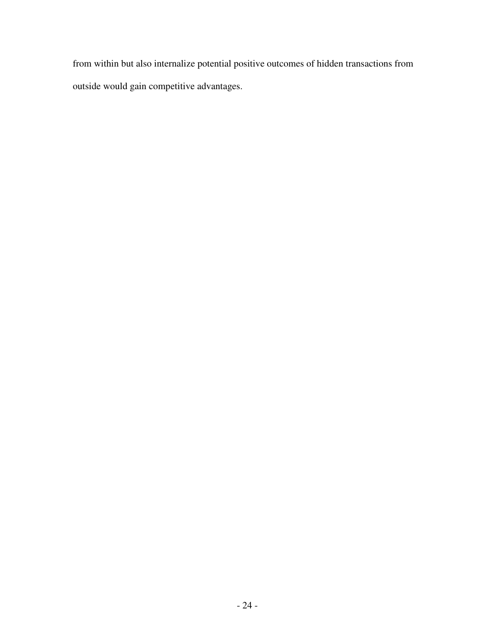from within but also internalize potential positive outcomes of hidden transactions from outside would gain competitive advantages.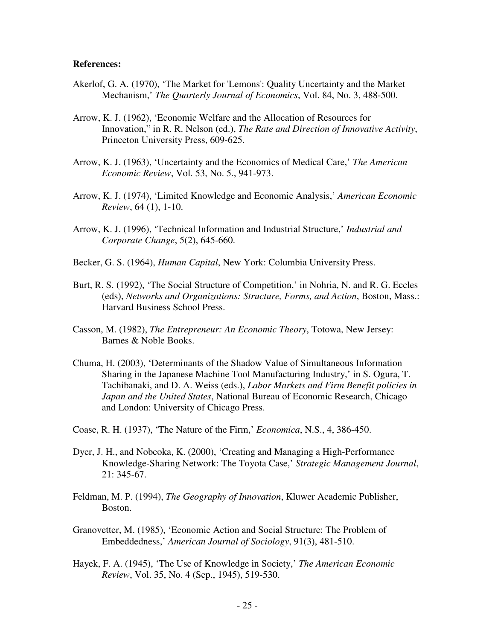### **References:**

- Akerlof, G. A. (1970), 'The Market for 'Lemons': Quality Uncertainty and the Market Mechanism,' *The Quarterly Journal of Economics*, Vol. 84, No. 3, 488-500.
- Arrow, K. J. (1962), 'Economic Welfare and the Allocation of Resources for Innovation," in R. R. Nelson (ed.), *The Rate and Direction of Innovative Activity*, Princeton University Press, 609-625.
- Arrow, K. J. (1963), 'Uncertainty and the Economics of Medical Care,' *The American Economic Review*, Vol. 53, No. 5., 941-973.
- Arrow, K. J. (1974), 'Limited Knowledge and Economic Analysis,' *American Economic Review*, 64 (1), 1-10.
- Arrow, K. J. (1996), 'Technical Information and Industrial Structure,' *Industrial and Corporate Change*, 5(2), 645-660.
- Becker, G. S. (1964), *Human Capital*, New York: Columbia University Press.
- Burt, R. S. (1992), 'The Social Structure of Competition,' in Nohria, N. and R. G. Eccles (eds), *Networks and Organizations: Structure, Forms, and Action*, Boston, Mass.: Harvard Business School Press.
- Casson, M. (1982), *The Entrepreneur: An Economic Theory*, Totowa, New Jersey: Barnes & Noble Books.
- Chuma, H. (2003), 'Determinants of the Shadow Value of Simultaneous Information Sharing in the Japanese Machine Tool Manufacturing Industry,' in S. Ogura, T. Tachibanaki, and D. A. Weiss (eds.), *Labor Markets and Firm Benefit policies in Japan and the United States*, National Bureau of Economic Research, Chicago and London: University of Chicago Press.
- Coase, R. H. (1937), 'The Nature of the Firm,' *Economica*, N.S., 4, 386-450.
- Dyer, J. H., and Nobeoka, K. (2000), 'Creating and Managing a High-Performance Knowledge-Sharing Network: The Toyota Case,' *Strategic Management Journal*, 21: 345-67.
- Feldman, M. P. (1994), *The Geography of Innovation*, Kluwer Academic Publisher, Boston.
- Granovetter, M. (1985), 'Economic Action and Social Structure: The Problem of Embeddedness,' *American Journal of Sociology*, 91(3), 481-510.
- Hayek, F. A. (1945), 'The Use of Knowledge in Society,' *The American Economic Review*, Vol. 35, No. 4 (Sep., 1945), 519-530.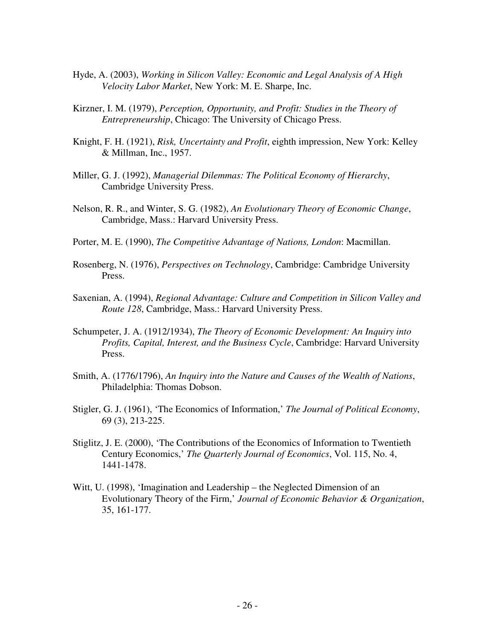- Hyde, A. (2003), *Working in Silicon Valley: Economic and Legal Analysis of A High Velocity Labor Market*, New York: M. E. Sharpe, Inc.
- Kirzner, I. M. (1979), *Perception, Opportunity, and Profit: Studies in the Theory of Entrepreneurship*, Chicago: The University of Chicago Press.
- Knight, F. H. (1921), *Risk, Uncertainty and Profit*, eighth impression, New York: Kelley & Millman, Inc., 1957.
- Miller, G. J. (1992), *Managerial Dilemmas: The Political Economy of Hierarchy*, Cambridge University Press.
- Nelson, R. R., and Winter, S. G. (1982), *An Evolutionary Theory of Economic Change*, Cambridge, Mass.: Harvard University Press.
- Porter, M. E. (1990), *The Competitive Advantage of Nations, London*: Macmillan.
- Rosenberg, N. (1976), *Perspectives on Technology*, Cambridge: Cambridge University Press.
- Saxenian, A. (1994), *Regional Advantage: Culture and Competition in Silicon Valley and Route 128*, Cambridge, Mass.: Harvard University Press.
- Schumpeter, J. A. (1912/1934), *The Theory of Economic Development: An Inquiry into Profits, Capital, Interest, and the Business Cycle*, Cambridge: Harvard University Press.
- Smith, A. (1776/1796), *An Inquiry into the Nature and Causes of the Wealth of Nations*, Philadelphia: Thomas Dobson.
- Stigler, G. J. (1961), 'The Economics of Information,' *The Journal of Political Economy*, 69 (3), 213-225.
- Stiglitz, J. E. (2000), 'The Contributions of the Economics of Information to Twentieth Century Economics,' *The Quarterly Journal of Economics*, Vol. 115, No. 4, 1441-1478.
- Witt, U. (1998), 'Imagination and Leadership the Neglected Dimension of an Evolutionary Theory of the Firm,' *Journal of Economic Behavior & Organization*, 35, 161-177.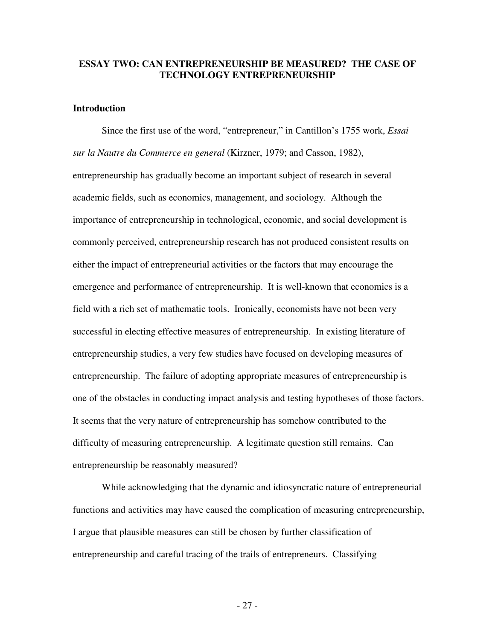## **ESSAY TWO: CAN ENTREPRENEURSHIP BE MEASURED? THE CASE OF TECHNOLOGY ENTREPRENEURSHIP**

## **Introduction**

 Since the first use of the word, "entrepreneur," in Cantillon's 1755 work, *Essai sur la Nautre du Commerce en general* (Kirzner, 1979; and Casson, 1982), entrepreneurship has gradually become an important subject of research in several academic fields, such as economics, management, and sociology. Although the importance of entrepreneurship in technological, economic, and social development is commonly perceived, entrepreneurship research has not produced consistent results on either the impact of entrepreneurial activities or the factors that may encourage the emergence and performance of entrepreneurship. It is well-known that economics is a field with a rich set of mathematic tools. Ironically, economists have not been very successful in electing effective measures of entrepreneurship. In existing literature of entrepreneurship studies, a very few studies have focused on developing measures of entrepreneurship. The failure of adopting appropriate measures of entrepreneurship is one of the obstacles in conducting impact analysis and testing hypotheses of those factors. It seems that the very nature of entrepreneurship has somehow contributed to the difficulty of measuring entrepreneurship. A legitimate question still remains. Can entrepreneurship be reasonably measured?

 While acknowledging that the dynamic and idiosyncratic nature of entrepreneurial functions and activities may have caused the complication of measuring entrepreneurship, I argue that plausible measures can still be chosen by further classification of entrepreneurship and careful tracing of the trails of entrepreneurs. Classifying

- 27 -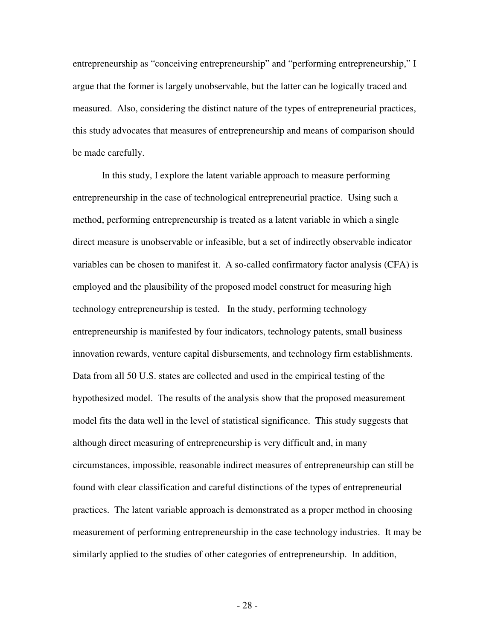entrepreneurship as "conceiving entrepreneurship" and "performing entrepreneurship," I argue that the former is largely unobservable, but the latter can be logically traced and measured. Also, considering the distinct nature of the types of entrepreneurial practices, this study advocates that measures of entrepreneurship and means of comparison should be made carefully.

 In this study, I explore the latent variable approach to measure performing entrepreneurship in the case of technological entrepreneurial practice. Using such a method, performing entrepreneurship is treated as a latent variable in which a single direct measure is unobservable or infeasible, but a set of indirectly observable indicator variables can be chosen to manifest it. A so-called confirmatory factor analysis (CFA) is employed and the plausibility of the proposed model construct for measuring high technology entrepreneurship is tested. In the study, performing technology entrepreneurship is manifested by four indicators, technology patents, small business innovation rewards, venture capital disbursements, and technology firm establishments. Data from all 50 U.S. states are collected and used in the empirical testing of the hypothesized model. The results of the analysis show that the proposed measurement model fits the data well in the level of statistical significance. This study suggests that although direct measuring of entrepreneurship is very difficult and, in many circumstances, impossible, reasonable indirect measures of entrepreneurship can still be found with clear classification and careful distinctions of the types of entrepreneurial practices. The latent variable approach is demonstrated as a proper method in choosing measurement of performing entrepreneurship in the case technology industries. It may be similarly applied to the studies of other categories of entrepreneurship. In addition,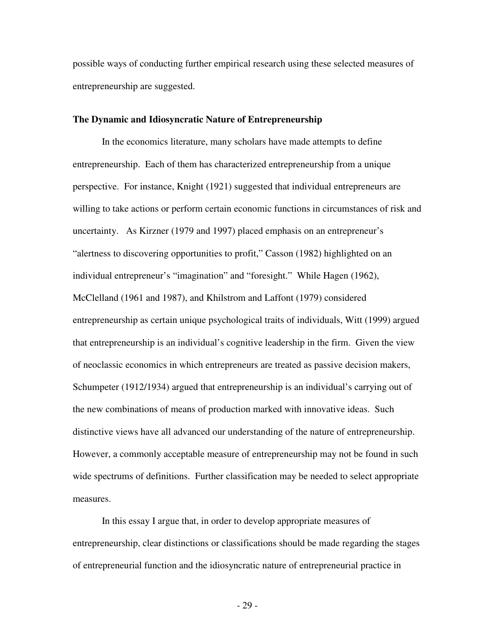possible ways of conducting further empirical research using these selected measures of entrepreneurship are suggested.

#### **The Dynamic and Idiosyncratic Nature of Entrepreneurship**

 In the economics literature, many scholars have made attempts to define entrepreneurship. Each of them has characterized entrepreneurship from a unique perspective. For instance, Knight (1921) suggested that individual entrepreneurs are willing to take actions or perform certain economic functions in circumstances of risk and uncertainty. As Kirzner (1979 and 1997) placed emphasis on an entrepreneur's "alertness to discovering opportunities to profit," Casson (1982) highlighted on an individual entrepreneur's "imagination" and "foresight." While Hagen (1962), McClelland (1961 and 1987), and Khilstrom and Laffont (1979) considered entrepreneurship as certain unique psychological traits of individuals, Witt (1999) argued that entrepreneurship is an individual's cognitive leadership in the firm. Given the view of neoclassic economics in which entrepreneurs are treated as passive decision makers, Schumpeter (1912/1934) argued that entrepreneurship is an individual's carrying out of the new combinations of means of production marked with innovative ideas. Such distinctive views have all advanced our understanding of the nature of entrepreneurship. However, a commonly acceptable measure of entrepreneurship may not be found in such wide spectrums of definitions. Further classification may be needed to select appropriate measures.

 In this essay I argue that, in order to develop appropriate measures of entrepreneurship, clear distinctions or classifications should be made regarding the stages of entrepreneurial function and the idiosyncratic nature of entrepreneurial practice in

- 29 -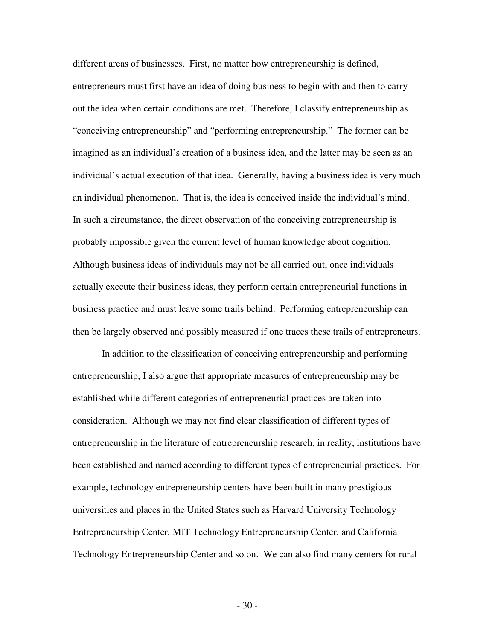different areas of businesses. First, no matter how entrepreneurship is defined, entrepreneurs must first have an idea of doing business to begin with and then to carry out the idea when certain conditions are met. Therefore, I classify entrepreneurship as "conceiving entrepreneurship" and "performing entrepreneurship." The former can be imagined as an individual's creation of a business idea, and the latter may be seen as an individual's actual execution of that idea. Generally, having a business idea is very much an individual phenomenon. That is, the idea is conceived inside the individual's mind. In such a circumstance, the direct observation of the conceiving entrepreneurship is probably impossible given the current level of human knowledge about cognition. Although business ideas of individuals may not be all carried out, once individuals actually execute their business ideas, they perform certain entrepreneurial functions in business practice and must leave some trails behind. Performing entrepreneurship can then be largely observed and possibly measured if one traces these trails of entrepreneurs.

 In addition to the classification of conceiving entrepreneurship and performing entrepreneurship, I also argue that appropriate measures of entrepreneurship may be established while different categories of entrepreneurial practices are taken into consideration. Although we may not find clear classification of different types of entrepreneurship in the literature of entrepreneurship research, in reality, institutions have been established and named according to different types of entrepreneurial practices. For example, technology entrepreneurship centers have been built in many prestigious universities and places in the United States such as Harvard University Technology Entrepreneurship Center, MIT Technology Entrepreneurship Center, and California Technology Entrepreneurship Center and so on. We can also find many centers for rural

- 30 -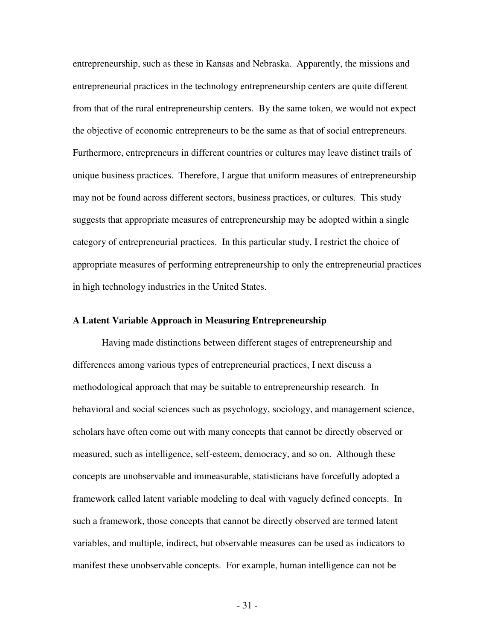entrepreneurship, such as these in Kansas and Nebraska. Apparently, the missions and entrepreneurial practices in the technology entrepreneurship centers are quite different from that of the rural entrepreneurship centers. By the same token, we would not expect the objective of economic entrepreneurs to be the same as that of social entrepreneurs. Furthermore, entrepreneurs in different countries or cultures may leave distinct trails of unique business practices. Therefore, I argue that uniform measures of entrepreneurship may not be found across different sectors, business practices, or cultures. This study suggests that appropriate measures of entrepreneurship may be adopted within a single category of entrepreneurial practices. In this particular study, I restrict the choice of appropriate measures of performing entrepreneurship to only the entrepreneurial practices in high technology industries in the United States.

### **A Latent Variable Approach in Measuring Entrepreneurship**

 Having made distinctions between different stages of entrepreneurship and differences among various types of entrepreneurial practices, I next discuss a methodological approach that may be suitable to entrepreneurship research. In behavioral and social sciences such as psychology, sociology, and management science, scholars have often come out with many concepts that cannot be directly observed or measured, such as intelligence, self-esteem, democracy, and so on. Although these concepts are unobservable and immeasurable, statisticians have forcefully adopted a framework called latent variable modeling to deal with vaguely defined concepts. In such a framework, those concepts that cannot be directly observed are termed latent variables, and multiple, indirect, but observable measures can be used as indicators to manifest these unobservable concepts. For example, human intelligence can not be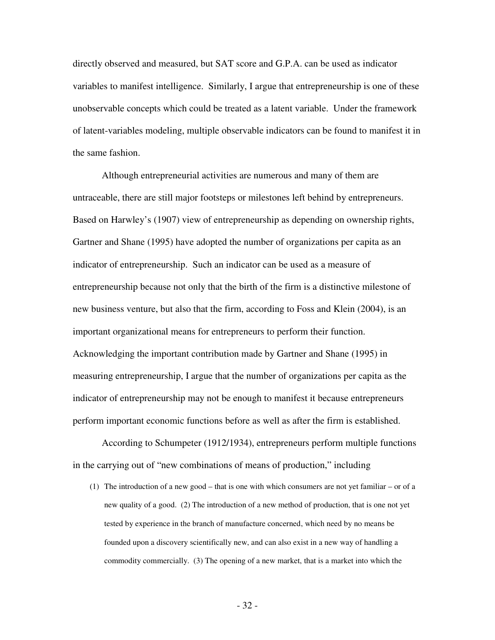directly observed and measured, but SAT score and G.P.A. can be used as indicator variables to manifest intelligence. Similarly, I argue that entrepreneurship is one of these unobservable concepts which could be treated as a latent variable. Under the framework of latent-variables modeling, multiple observable indicators can be found to manifest it in the same fashion.

 Although entrepreneurial activities are numerous and many of them are untraceable, there are still major footsteps or milestones left behind by entrepreneurs. Based on Harwley's (1907) view of entrepreneurship as depending on ownership rights, Gartner and Shane (1995) have adopted the number of organizations per capita as an indicator of entrepreneurship. Such an indicator can be used as a measure of entrepreneurship because not only that the birth of the firm is a distinctive milestone of new business venture, but also that the firm, according to Foss and Klein (2004), is an important organizational means for entrepreneurs to perform their function. Acknowledging the important contribution made by Gartner and Shane (1995) in measuring entrepreneurship, I argue that the number of organizations per capita as the indicator of entrepreneurship may not be enough to manifest it because entrepreneurs perform important economic functions before as well as after the firm is established.

 According to Schumpeter (1912/1934), entrepreneurs perform multiple functions in the carrying out of "new combinations of means of production," including

(1) The introduction of a new good – that is one with which consumers are not yet familiar – or of a new quality of a good. (2) The introduction of a new method of production, that is one not yet tested by experience in the branch of manufacture concerned, which need by no means be founded upon a discovery scientifically new, and can also exist in a new way of handling a commodity commercially. (3) The opening of a new market, that is a market into which the

- 32 -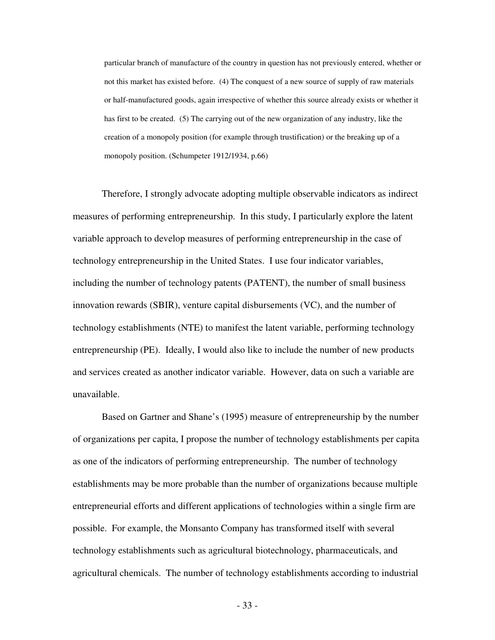particular branch of manufacture of the country in question has not previously entered, whether or not this market has existed before. (4) The conquest of a new source of supply of raw materials or half-manufactured goods, again irrespective of whether this source already exists or whether it has first to be created. (5) The carrying out of the new organization of any industry, like the creation of a monopoly position (for example through trustification) or the breaking up of a monopoly position. (Schumpeter 1912/1934, p.66)

 Therefore, I strongly advocate adopting multiple observable indicators as indirect measures of performing entrepreneurship. In this study, I particularly explore the latent variable approach to develop measures of performing entrepreneurship in the case of technology entrepreneurship in the United States. I use four indicator variables, including the number of technology patents (PATENT), the number of small business innovation rewards (SBIR), venture capital disbursements (VC), and the number of technology establishments (NTE) to manifest the latent variable, performing technology entrepreneurship (PE). Ideally, I would also like to include the number of new products and services created as another indicator variable. However, data on such a variable are unavailable.

 Based on Gartner and Shane's (1995) measure of entrepreneurship by the number of organizations per capita, I propose the number of technology establishments per capita as one of the indicators of performing entrepreneurship. The number of technology establishments may be more probable than the number of organizations because multiple entrepreneurial efforts and different applications of technologies within a single firm are possible. For example, the Monsanto Company has transformed itself with several technology establishments such as agricultural biotechnology, pharmaceuticals, and agricultural chemicals. The number of technology establishments according to industrial

- 33 -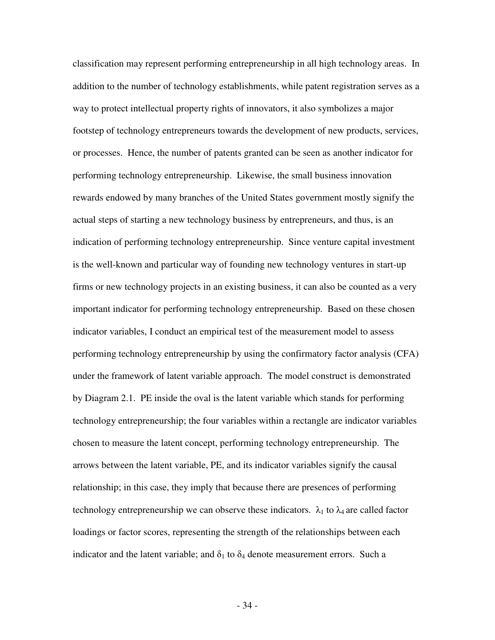classification may represent performing entrepreneurship in all high technology areas. In addition to the number of technology establishments, while patent registration serves as a way to protect intellectual property rights of innovators, it also symbolizes a major footstep of technology entrepreneurs towards the development of new products, services, or processes. Hence, the number of patents granted can be seen as another indicator for performing technology entrepreneurship. Likewise, the small business innovation rewards endowed by many branches of the United States government mostly signify the actual steps of starting a new technology business by entrepreneurs, and thus, is an indication of performing technology entrepreneurship. Since venture capital investment is the well-known and particular way of founding new technology ventures in start-up firms or new technology projects in an existing business, it can also be counted as a very important indicator for performing technology entrepreneurship. Based on these chosen indicator variables, I conduct an empirical test of the measurement model to assess performing technology entrepreneurship by using the confirmatory factor analysis (CFA) under the framework of latent variable approach. The model construct is demonstrated by Diagram 2.1. PE inside the oval is the latent variable which stands for performing technology entrepreneurship; the four variables within a rectangle are indicator variables chosen to measure the latent concept, performing technology entrepreneurship. The arrows between the latent variable, PE, and its indicator variables signify the causal relationship; in this case, they imply that because there are presences of performing technology entrepreneurship we can observe these indicators.  $\lambda_1$  to  $\lambda_4$  are called factor loadings or factor scores, representing the strength of the relationships between each indicator and the latent variable; and  $\delta_1$  to  $\delta_4$  denote measurement errors. Such a

- 34 -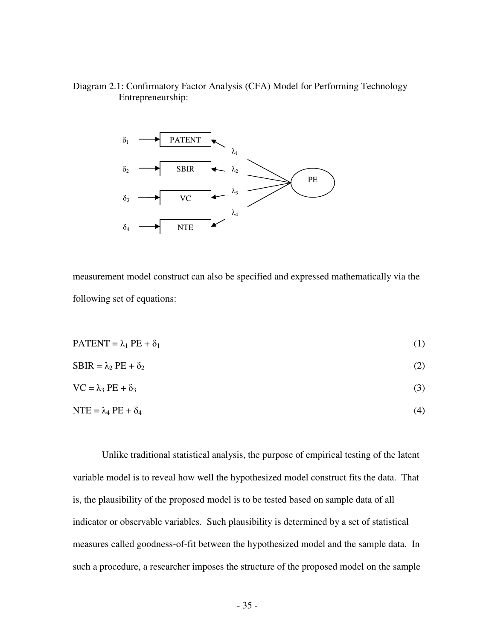# Diagram 2.1: Confirmatory Factor Analysis (CFA) Model for Performing Technology Entrepreneurship:



measurement model construct can also be specified and expressed mathematically via the following set of equations:

$$
PATENT = \lambda_1 PE + \delta_1 \tag{1}
$$

$$
SBIR = \lambda_2 PE + \delta_2 \tag{2}
$$

$$
VC = \lambda_3 PE + \delta_3 \tag{3}
$$

$$
NTE = \lambda_4 PE + \delta_4 \tag{4}
$$

 Unlike traditional statistical analysis, the purpose of empirical testing of the latent variable model is to reveal how well the hypothesized model construct fits the data. That is, the plausibility of the proposed model is to be tested based on sample data of all indicator or observable variables. Such plausibility is determined by a set of statistical measures called goodness-of-fit between the hypothesized model and the sample data. In such a procedure, a researcher imposes the structure of the proposed model on the sample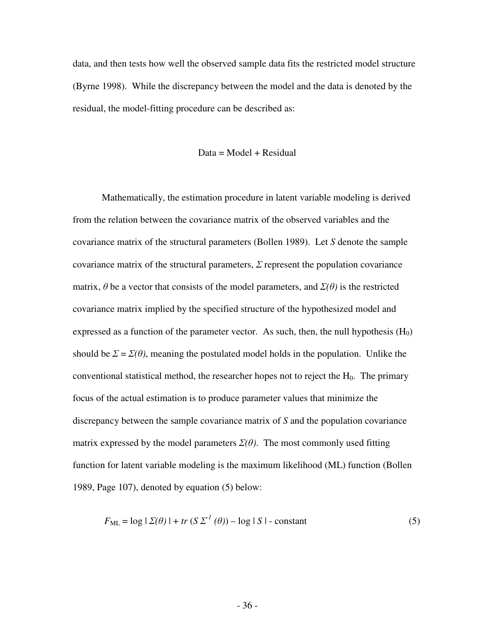data, and then tests how well the observed sample data fits the restricted model structure (Byrne 1998). While the discrepancy between the model and the data is denoted by the residual, the model-fitting procedure can be described as:

$$
Data = Model + Residual
$$

 Mathematically, the estimation procedure in latent variable modeling is derived from the relation between the covariance matrix of the observed variables and the covariance matrix of the structural parameters (Bollen 1989). Let *S* denote the sample covariance matrix of the structural parameters,  $\Sigma$  represent the population covariance matrix,  $\theta$  be a vector that consists of the model parameters, and  $\Sigma(\theta)$  is the restricted covariance matrix implied by the specified structure of the hypothesized model and expressed as a function of the parameter vector. As such, then, the null hypothesis  $(H_0)$ should be  $\Sigma = \Sigma(\theta)$ , meaning the postulated model holds in the population. Unlike the conventional statistical method, the researcher hopes not to reject the  $H_0$ . The primary focus of the actual estimation is to produce parameter values that minimize the discrepancy between the sample covariance matrix of *S* and the population covariance matrix expressed by the model parameters  $\Sigma(\theta)$ . The most commonly used fitting function for latent variable modeling is the maximum likelihood (ML) function (Bollen 1989, Page 107), denoted by equation (5) below:

$$
F_{\text{ML}} = \log |\Sigma(\theta)| + tr (S \Sigma^{1}(\theta)) - \log |S| - \text{constant}
$$
 (5)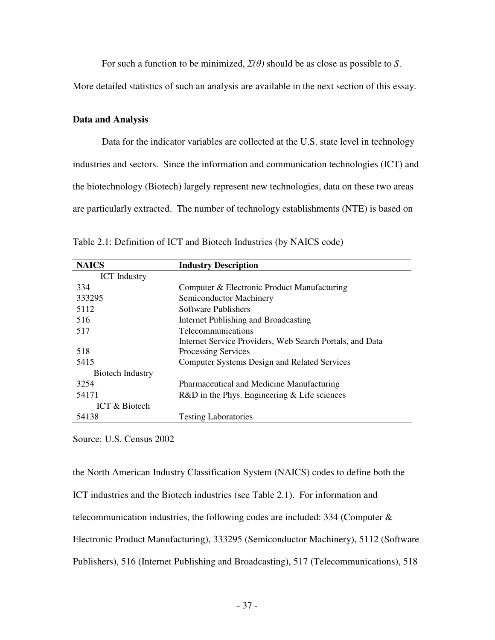For such a function to be minimized,  $\Sigma(\theta)$  should be as close as possible to *S*.

More detailed statistics of such an analysis are available in the next section of this essay.

## **Data and Analysis**

 Data for the indicator variables are collected at the U.S. state level in technology industries and sectors. Since the information and communication technologies (ICT) and the biotechnology (Biotech) largely represent new technologies, data on these two areas are particularly extracted. The number of technology establishments (NTE) is based on

| <b>NAICS</b>            | <b>Industry Description</b>                              |
|-------------------------|----------------------------------------------------------|
| <b>ICT</b> Industry     |                                                          |
| 334                     | Computer & Electronic Product Manufacturing              |
| 333295                  | Semiconductor Machinery                                  |
| 5112                    | Software Publishers                                      |
| 516                     | Internet Publishing and Broadcasting                     |
| 517                     | Telecommunications                                       |
|                         | Internet Service Providers, Web Search Portals, and Data |
| 518                     | <b>Processing Services</b>                               |
| 5415                    | <b>Computer Systems Design and Related Services</b>      |
| <b>Biotech Industry</b> |                                                          |
| 3254                    | Pharmaceutical and Medicine Manufacturing                |
| 54171                   | $R&D$ in the Phys. Engineering $&$ Life sciences         |
| ICT & Biotech           |                                                          |
| 54138                   | <b>Testing Laboratories</b>                              |

Table 2.1: Definition of ICT and Biotech Industries (by NAICS code)

Source: U.S. Census 2002

the North American Industry Classification System (NAICS) codes to define both the ICT industries and the Biotech industries (see Table 2.1). For information and telecommunication industries, the following codes are included: 334 (Computer & Electronic Product Manufacturing), 333295 (Semiconductor Machinery), 5112 (Software Publishers), 516 (Internet Publishing and Broadcasting), 517 (Telecommunications), 518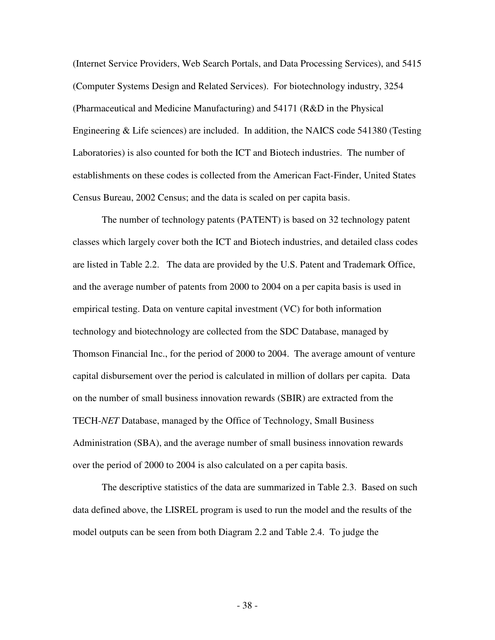(Internet Service Providers, Web Search Portals, and Data Processing Services), and 5415 (Computer Systems Design and Related Services). For biotechnology industry, 3254 (Pharmaceutical and Medicine Manufacturing) and 54171 (R&D in the Physical Engineering & Life sciences) are included. In addition, the NAICS code 541380 (Testing Laboratories) is also counted for both the ICT and Biotech industries. The number of establishments on these codes is collected from the American Fact-Finder, United States Census Bureau, 2002 Census; and the data is scaled on per capita basis.

 The number of technology patents (PATENT) is based on 32 technology patent classes which largely cover both the ICT and Biotech industries, and detailed class codes are listed in Table 2.2. The data are provided by the U.S. Patent and Trademark Office, and the average number of patents from 2000 to 2004 on a per capita basis is used in empirical testing. Data on venture capital investment (VC) for both information technology and biotechnology are collected from the SDC Database, managed by Thomson Financial Inc., for the period of 2000 to 2004. The average amount of venture capital disbursement over the period is calculated in million of dollars per capita. Data on the number of small business innovation rewards (SBIR) are extracted from the TECH-*NET* Database, managed by the Office of Technology, Small Business Administration (SBA), and the average number of small business innovation rewards over the period of 2000 to 2004 is also calculated on a per capita basis.

 The descriptive statistics of the data are summarized in Table 2.3. Based on such data defined above, the LISREL program is used to run the model and the results of the model outputs can be seen from both Diagram 2.2 and Table 2.4. To judge the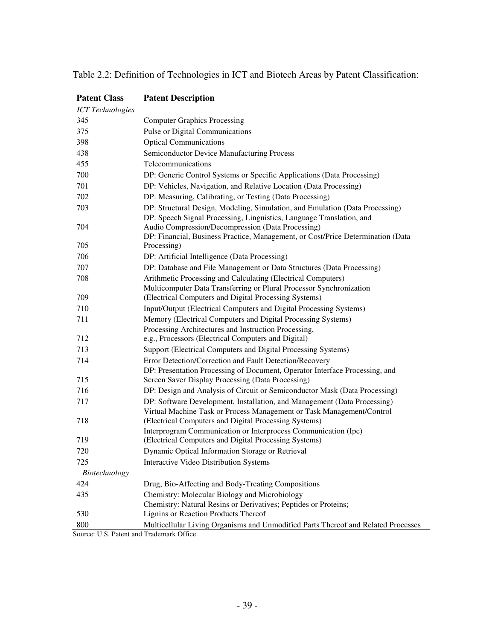| <b>Patent Class</b>     | <b>Patent Description</b>                                                                                                        |
|-------------------------|----------------------------------------------------------------------------------------------------------------------------------|
| <b>ICT</b> Technologies |                                                                                                                                  |
| 345                     | <b>Computer Graphics Processing</b>                                                                                              |
| 375                     | Pulse or Digital Communications                                                                                                  |
| 398                     | <b>Optical Communications</b>                                                                                                    |
| 438                     | Semiconductor Device Manufacturing Process                                                                                       |
| 455                     | Telecommunications                                                                                                               |
| 700                     | DP: Generic Control Systems or Specific Applications (Data Processing)                                                           |
| 701                     | DP: Vehicles, Navigation, and Relative Location (Data Processing)                                                                |
| 702                     | DP: Measuring, Calibrating, or Testing (Data Processing)                                                                         |
| 703                     | DP: Structural Design, Modeling, Simulation, and Emulation (Data Processing)                                                     |
| 704                     | DP: Speech Signal Processing, Linguistics, Language Translation, and<br>Audio Compression/Decompression (Data Processing)        |
| 705                     | DP: Financial, Business Practice, Management, or Cost/Price Determination (Data<br>Processing)                                   |
| 706                     | DP: Artificial Intelligence (Data Processing)                                                                                    |
| 707                     | DP: Database and File Management or Data Structures (Data Processing)                                                            |
| 708                     | Arithmetic Processing and Calculating (Electrical Computers)                                                                     |
|                         | Multicomputer Data Transferring or Plural Processor Synchronization                                                              |
| 709                     | (Electrical Computers and Digital Processing Systems)                                                                            |
| 710                     | Input/Output (Electrical Computers and Digital Processing Systems)                                                               |
| 711                     | Memory (Electrical Computers and Digital Processing Systems)                                                                     |
|                         | Processing Architectures and Instruction Processing,                                                                             |
| 712                     | e.g., Processors (Electrical Computers and Digital)                                                                              |
| 713                     | Support (Electrical Computers and Digital Processing Systems)                                                                    |
| 714                     | Error Detection/Correction and Fault Detection/Recovery                                                                          |
| 715                     | DP: Presentation Processing of Document, Operator Interface Processing, and<br>Screen Saver Display Processing (Data Processing) |
| 716                     | DP: Design and Analysis of Circuit or Semiconductor Mask (Data Processing)                                                       |
| 717                     | DP: Software Development, Installation, and Management (Data Processing)                                                         |
|                         | Virtual Machine Task or Process Management or Task Management/Control                                                            |
| 718                     | (Electrical Computers and Digital Processing Systems)                                                                            |
|                         | Interprogram Communication or Interprocess Communication (Ipc)                                                                   |
| 719                     | (Electrical Computers and Digital Processing Systems)                                                                            |
| 720                     | Dynamic Optical Information Storage or Retrieval                                                                                 |
| 725                     | Interactive Video Distribution Systems                                                                                           |
| Biotechnology           |                                                                                                                                  |
| 424                     | Drug, Bio-Affecting and Body-Treating Compositions                                                                               |
| 435                     | Chemistry: Molecular Biology and Microbiology                                                                                    |
|                         | Chemistry: Natural Resins or Derivatives; Peptides or Proteins;                                                                  |
| 530                     | Lignins or Reaction Products Thereof                                                                                             |
| 800                     | Multicellular Living Organisms and Unmodified Parts Thereof and Related Processes                                                |

Table 2.2: Definition of Technologies in ICT and Biotech Areas by Patent Classification:

Source: U.S. Patent and Trademark Office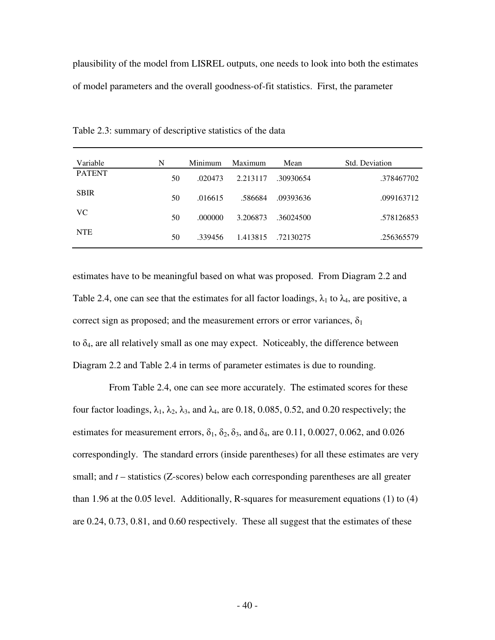plausibility of the model from LISREL outputs, one needs to look into both the estimates of model parameters and the overall goodness-of-fit statistics. First, the parameter

| Variable      | N  | Minimum | Maximum  | Mean      | Std. Deviation |
|---------------|----|---------|----------|-----------|----------------|
| <b>PATENT</b> | 50 | .020473 | 2.213117 | .30930654 | .378467702     |
| <b>SBIR</b>   | 50 | .016615 | .586684  | .09393636 | .099163712     |
| VC.           | 50 | .000000 | 3.206873 | .36024500 | .578126853     |
| <b>NTE</b>    | 50 | .339456 | 1.413815 | .72130275 | .256365579     |

Table 2.3: summary of descriptive statistics of the data

estimates have to be meaningful based on what was proposed. From Diagram 2.2 and Table 2.4, one can see that the estimates for all factor loadings,  $\lambda_1$  to  $\lambda_4$ , are positive, a correct sign as proposed; and the measurement errors or error variances,  $\delta_1$ to  $\delta_4$ , are all relatively small as one may expect. Noticeably, the difference between Diagram 2.2 and Table 2.4 in terms of parameter estimates is due to rounding.

 From Table 2.4, one can see more accurately. The estimated scores for these four factor loadings,  $\lambda_1$ ,  $\lambda_2$ ,  $\lambda_3$ , and  $\lambda_4$ , are 0.18, 0.085, 0.52, and 0.20 respectively; the estimates for measurement errors,  $\delta_1$ ,  $\delta_2$ ,  $\delta_3$ , and  $\delta_4$ , are 0.11, 0.0027, 0.062, and 0.026 correspondingly. The standard errors (inside parentheses) for all these estimates are very small; and *t* – statistics (Z-scores) below each corresponding parentheses are all greater than 1.96 at the 0.05 level. Additionally, R-squares for measurement equations (1) to (4) are 0.24, 0.73, 0.81, and 0.60 respectively. These all suggest that the estimates of these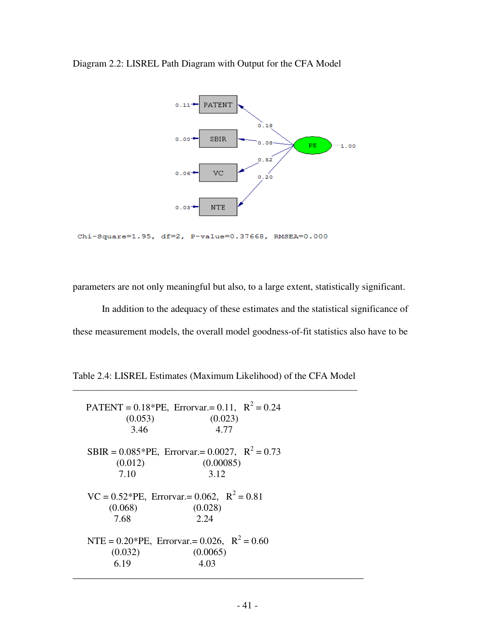

Diagram 2.2: LISREL Path Diagram with Output for the CFA Model

Chi-Square=1.95, df=2, P-value=0.37668, RMSEA=0.000

parameters are not only meaningful but also, to a large extent, statistically significant.

 In addition to the adequacy of these estimates and the statistical significance of these measurement models, the overall model goodness-of-fit statistics also have to be

Table 2.4: LISREL Estimates (Maximum Likelihood) of the CFA Model \_\_\_\_\_\_\_\_\_\_\_\_\_\_\_\_\_\_\_\_\_\_\_\_\_\_\_\_\_\_\_\_\_\_\_\_\_\_\_\_\_\_\_\_\_\_\_\_\_\_\_\_\_\_\_\_\_\_\_\_\_\_\_\_

| (0.053)<br>3.46 | PATENT = $0.18*$ PE, Errorvar.= $0.11$ , $R^2 = 0.24$<br>(0.023)<br>4.77 |  |
|-----------------|--------------------------------------------------------------------------|--|
|                 | SBIR = $0.085*PE$ , Errorvar.= 0.0027, R <sup>2</sup> = 0.73             |  |
| (0.012)         | (0.00085)                                                                |  |
| 7.10            | 3.12                                                                     |  |
| (0.068)<br>7.68 | $VC = 0.52*PE$ , Errorvar.= 0.062, $R^2 = 0.81$<br>(0.028)<br>2.24       |  |
|                 | NTE = $0.20*$ PE, Errorvar.= 0.026, R <sup>2</sup> = 0.60                |  |
| (0.032)         | (0.0065)                                                                 |  |
| 6.19            | 4.03                                                                     |  |
|                 |                                                                          |  |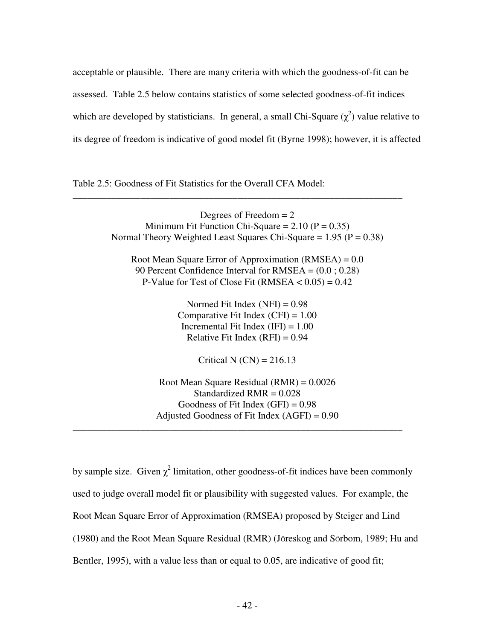acceptable or plausible. There are many criteria with which the goodness-of-fit can be assessed. Table 2.5 below contains statistics of some selected goodness-of-fit indices which are developed by statisticians. In general, a small Chi-Square  $(\chi^2)$  value relative to its degree of freedom is indicative of good model fit (Byrne 1998); however, it is affected

Table 2.5: Goodness of Fit Statistics for the Overall CFA Model:

Degrees of Freedom  $= 2$ Minimum Fit Function Chi-Square =  $2.10$  (P = 0.35) Normal Theory Weighted Least Squares Chi-Square =  $1.95$  (P = 0.38)

\_\_\_\_\_\_\_\_\_\_\_\_\_\_\_\_\_\_\_\_\_\_\_\_\_\_\_\_\_\_\_\_\_\_\_\_\_\_\_\_\_\_\_\_\_\_\_\_\_\_\_\_\_\_\_\_\_\_\_\_\_\_\_\_\_\_\_\_

Root Mean Square Error of Approximation (RMSEA) = 0.0 90 Percent Confidence Interval for RMSEA = (0.0 ; 0.28) P-Value for Test of Close Fit (RMSEA  $< 0.05$ ) = 0.42

> Normed Fit Index  $(NFI) = 0.98$ Comparative Fit Index  $(CFI) = 1.00$ Incremental Fit Index  $(IFI) = 1.00$ Relative Fit Index  $(RFI) = 0.94$

> > Critical N  $(CN) = 216.13$

Root Mean Square Residual (RMR) = 0.0026 Standardized  $RMR = 0.028$ Goodness of Fit Index  $(GFI) = 0.98$ Adjusted Goodness of Fit Index  $(AGFI) = 0.90$ \_\_\_\_\_\_\_\_\_\_\_\_\_\_\_\_\_\_\_\_\_\_\_\_\_\_\_\_\_\_\_\_\_\_\_\_\_\_\_\_\_\_\_\_\_\_\_\_\_\_\_\_\_\_\_\_\_\_\_\_\_\_\_\_\_\_\_\_

by sample size. Given  $\chi^2$  limitation, other goodness-of-fit indices have been commonly used to judge overall model fit or plausibility with suggested values. For example, the Root Mean Square Error of Approximation (RMSEA) proposed by Steiger and Lind (1980) and the Root Mean Square Residual (RMR) (JÖreskog and SÖrbom, 1989; Hu and Bentler, 1995), with a value less than or equal to 0.05, are indicative of good fit;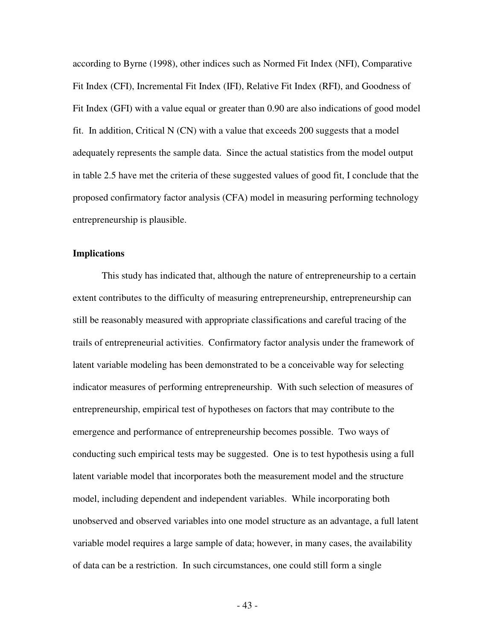according to Byrne (1998), other indices such as Normed Fit Index (NFI), Comparative Fit Index (CFI), Incremental Fit Index (IFI), Relative Fit Index (RFI), and Goodness of Fit Index (GFI) with a value equal or greater than 0.90 are also indications of good model fit. In addition, Critical N  $(CN)$  with a value that exceeds 200 suggests that a model adequately represents the sample data. Since the actual statistics from the model output in table 2.5 have met the criteria of these suggested values of good fit, I conclude that the proposed confirmatory factor analysis (CFA) model in measuring performing technology entrepreneurship is plausible.

### **Implications**

 This study has indicated that, although the nature of entrepreneurship to a certain extent contributes to the difficulty of measuring entrepreneurship, entrepreneurship can still be reasonably measured with appropriate classifications and careful tracing of the trails of entrepreneurial activities. Confirmatory factor analysis under the framework of latent variable modeling has been demonstrated to be a conceivable way for selecting indicator measures of performing entrepreneurship. With such selection of measures of entrepreneurship, empirical test of hypotheses on factors that may contribute to the emergence and performance of entrepreneurship becomes possible. Two ways of conducting such empirical tests may be suggested. One is to test hypothesis using a full latent variable model that incorporates both the measurement model and the structure model, including dependent and independent variables. While incorporating both unobserved and observed variables into one model structure as an advantage, a full latent variable model requires a large sample of data; however, in many cases, the availability of data can be a restriction. In such circumstances, one could still form a single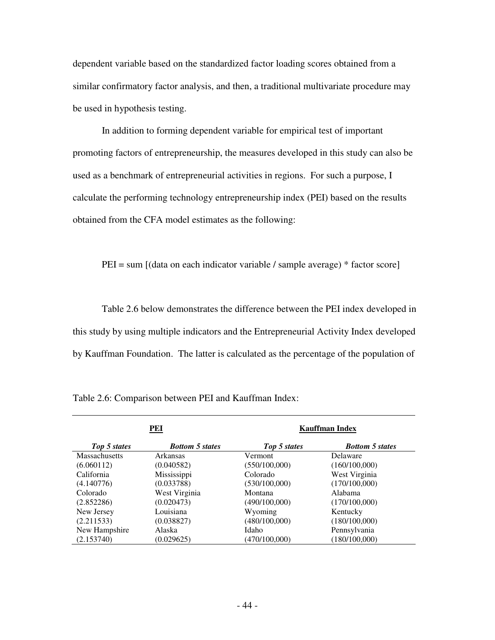dependent variable based on the standardized factor loading scores obtained from a similar confirmatory factor analysis, and then, a traditional multivariate procedure may be used in hypothesis testing.

 In addition to forming dependent variable for empirical test of important promoting factors of entrepreneurship, the measures developed in this study can also be used as a benchmark of entrepreneurial activities in regions. For such a purpose, I calculate the performing technology entrepreneurship index (PEI) based on the results obtained from the CFA model estimates as the following:

PEI = sum [(data on each indicator variable / sample average) \* factor score]

 Table 2.6 below demonstrates the difference between the PEI index developed in this study by using multiple indicators and the Entrepreneurial Activity Index developed by Kauffman Foundation. The latter is calculated as the percentage of the population of

| PEI                  |                        | <b>Kauffman Index</b> |                        |  |
|----------------------|------------------------|-----------------------|------------------------|--|
| Top 5 states         | <b>Bottom 5 states</b> | Top 5 states          | <b>Bottom 5 states</b> |  |
| <b>Massachusetts</b> | Arkansas               | <b>Vermont</b>        | Delaware               |  |
| (6.060112)           | (0.040582)             | (550/100,000)         | (160/100,000)          |  |
| California           | Mississippi            | Colorado              | West Virginia          |  |
| (4.140776)           | (0.033788)             | (530/100,000)         | (170/100,000)          |  |
| Colorado             | West Virginia          | Montana               | Alabama                |  |
| (2.852286)           | (0.020473)             | (490/100,000)         | (170/100,000)          |  |
| New Jersey           | Louisiana              | Wyoming               | Kentucky               |  |
| (2.211533)           | (0.038827)             | (480/100,000)         | (180/100,000)          |  |
| New Hampshire        | Alaska                 | Idaho                 | Pennsylvania           |  |
| (2.153740)           | (0.029625)             | (470/100,000)         | (180/100,000)          |  |

|  |  |  | Table 2.6: Comparison between PEI and Kauffman Index: |  |
|--|--|--|-------------------------------------------------------|--|
|--|--|--|-------------------------------------------------------|--|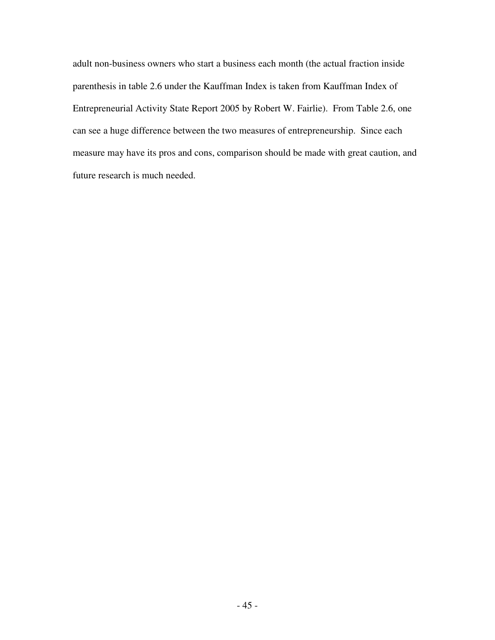adult non-business owners who start a business each month (the actual fraction inside parenthesis in table 2.6 under the Kauffman Index is taken from Kauffman Index of Entrepreneurial Activity State Report 2005 by Robert W. Fairlie). From Table 2.6, one can see a huge difference between the two measures of entrepreneurship. Since each measure may have its pros and cons, comparison should be made with great caution, and future research is much needed.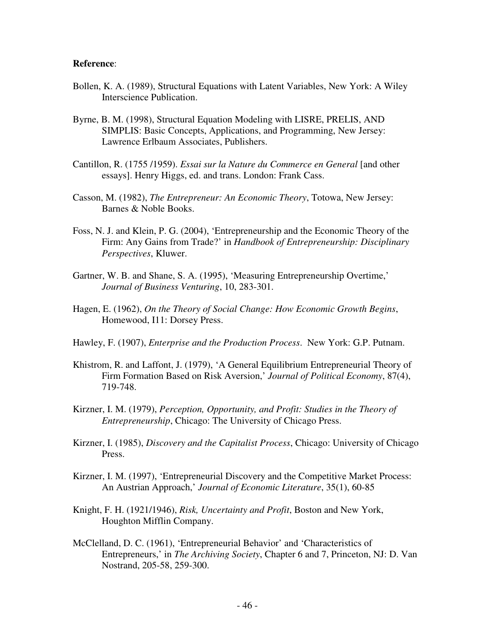#### **Reference**:

- Bollen, K. A. (1989), Structural Equations with Latent Variables, New York: A Wiley Interscience Publication.
- Byrne, B. M. (1998), Structural Equation Modeling with LISRE, PRELIS, AND SIMPLIS: Basic Concepts, Applications, and Programming, New Jersey: Lawrence Erlbaum Associates, Publishers.
- Cantillon, R. (1755 /1959). *Essai sur la Nature du Commerce en General* [and other essays]. Henry Higgs, ed. and trans. London: Frank Cass.
- Casson, M. (1982), *The Entrepreneur: An Economic Theory*, Totowa, New Jersey: Barnes & Noble Books.
- Foss, N. J. and Klein, P. G. (2004), 'Entrepreneurship and the Economic Theory of the Firm: Any Gains from Trade?' in *Handbook of Entrepreneurship: Disciplinary Perspectives*, Kluwer.
- Gartner, W. B. and Shane, S. A. (1995), 'Measuring Entrepreneurship Overtime,' *Journal of Business Venturing*, 10, 283-301.
- Hagen, E. (1962), *On the Theory of Social Change: How Economic Growth Begins*, Homewood, I11: Dorsey Press.
- Hawley, F. (1907), *Enterprise and the Production Process*. New York: G.P. Putnam.
- Khistrom, R. and Laffont, J. (1979), 'A General Equilibrium Entrepreneurial Theory of Firm Formation Based on Risk Aversion,' *Journal of Political Economy*, 87(4), 719-748.
- Kirzner, I. M. (1979), *Perception, Opportunity, and Profit: Studies in the Theory of Entrepreneurship*, Chicago: The University of Chicago Press.
- Kirzner, I. (1985), *Discovery and the Capitalist Process*, Chicago: University of Chicago Press.
- Kirzner, I. M. (1997), 'Entrepreneurial Discovery and the Competitive Market Process: An Austrian Approach,' *Journal of Economic Literature*, 35(1), 60-85
- Knight, F. H. (1921/1946), *Risk, Uncertainty and Profit*, Boston and New York, Houghton Mifflin Company.
- McClelland, D. C. (1961), 'Entrepreneurial Behavior' and 'Characteristics of Entrepreneurs,' in *The Archiving Society*, Chapter 6 and 7, Princeton, NJ: D. Van Nostrand, 205-58, 259-300.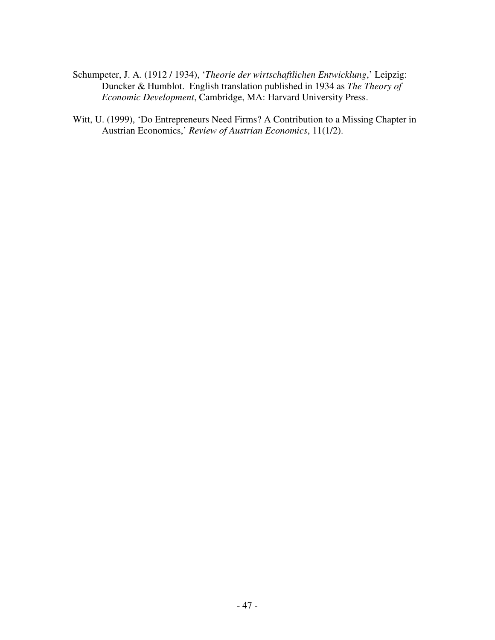- Schumpeter, J. A. (1912 / 1934), '*Theorie der wirtschaftlichen Entwicklung*,' Leipzig: Duncker & Humblot. English translation published in 1934 as *The Theory of Economic Development*, Cambridge, MA: Harvard University Press.
- Witt, U. (1999), 'Do Entrepreneurs Need Firms? A Contribution to a Missing Chapter in Austrian Economics,' *Review of Austrian Economics*, 11(1/2).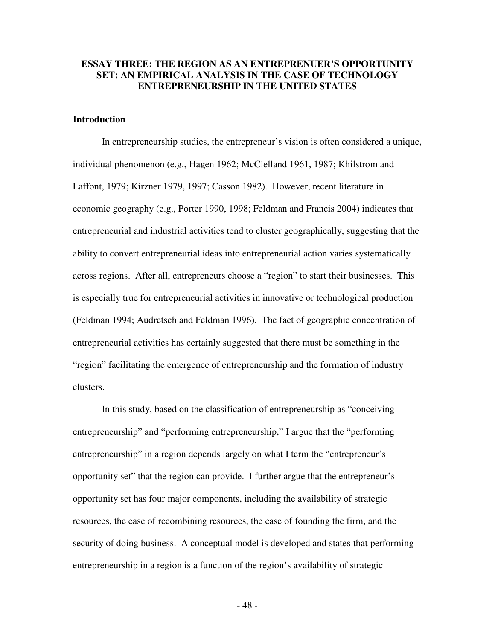# **ESSAY THREE: THE REGION AS AN ENTREPRENUER'S OPPORTUNITY SET: AN EMPIRICAL ANALYSIS IN THE CASE OF TECHNOLOGY ENTREPRENEURSHIP IN THE UNITED STATES**

## **Introduction**

 In entrepreneurship studies, the entrepreneur's vision is often considered a unique, individual phenomenon (e.g., Hagen 1962; McClelland 1961, 1987; Khilstrom and Laffont, 1979; Kirzner 1979, 1997; Casson 1982). However, recent literature in economic geography (e.g., Porter 1990, 1998; Feldman and Francis 2004) indicates that entrepreneurial and industrial activities tend to cluster geographically, suggesting that the ability to convert entrepreneurial ideas into entrepreneurial action varies systematically across regions. After all, entrepreneurs choose a "region" to start their businesses. This is especially true for entrepreneurial activities in innovative or technological production (Feldman 1994; Audretsch and Feldman 1996). The fact of geographic concentration of entrepreneurial activities has certainly suggested that there must be something in the "region" facilitating the emergence of entrepreneurship and the formation of industry clusters.

 In this study, based on the classification of entrepreneurship as "conceiving entrepreneurship" and "performing entrepreneurship," I argue that the "performing entrepreneurship" in a region depends largely on what I term the "entrepreneur's opportunity set" that the region can provide. I further argue that the entrepreneur's opportunity set has four major components, including the availability of strategic resources, the ease of recombining resources, the ease of founding the firm, and the security of doing business. A conceptual model is developed and states that performing entrepreneurship in a region is a function of the region's availability of strategic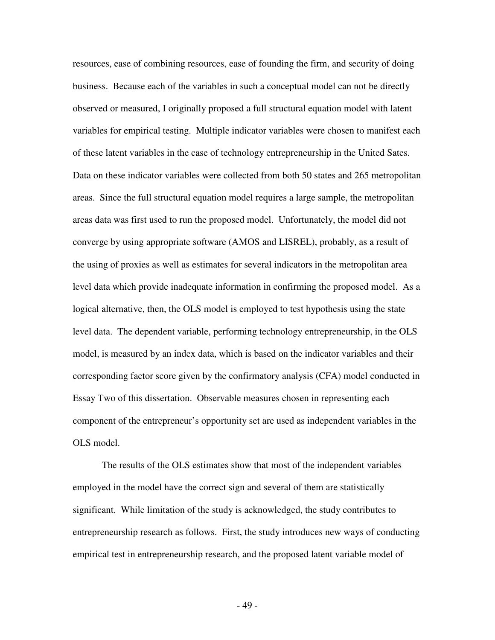resources, ease of combining resources, ease of founding the firm, and security of doing business. Because each of the variables in such a conceptual model can not be directly observed or measured, I originally proposed a full structural equation model with latent variables for empirical testing. Multiple indicator variables were chosen to manifest each of these latent variables in the case of technology entrepreneurship in the United Sates. Data on these indicator variables were collected from both 50 states and 265 metropolitan areas. Since the full structural equation model requires a large sample, the metropolitan areas data was first used to run the proposed model. Unfortunately, the model did not converge by using appropriate software (AMOS and LISREL), probably, as a result of the using of proxies as well as estimates for several indicators in the metropolitan area level data which provide inadequate information in confirming the proposed model. As a logical alternative, then, the OLS model is employed to test hypothesis using the state level data. The dependent variable, performing technology entrepreneurship, in the OLS model, is measured by an index data, which is based on the indicator variables and their corresponding factor score given by the confirmatory analysis (CFA) model conducted in Essay Two of this dissertation. Observable measures chosen in representing each component of the entrepreneur's opportunity set are used as independent variables in the OLS model.

 The results of the OLS estimates show that most of the independent variables employed in the model have the correct sign and several of them are statistically significant. While limitation of the study is acknowledged, the study contributes to entrepreneurship research as follows. First, the study introduces new ways of conducting empirical test in entrepreneurship research, and the proposed latent variable model of

- 49 -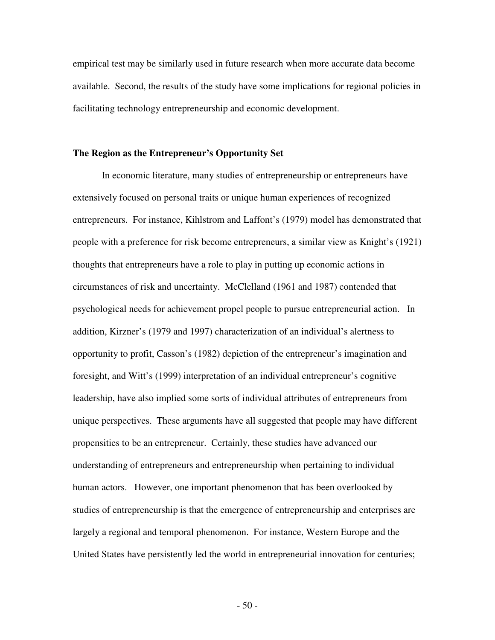empirical test may be similarly used in future research when more accurate data become available. Second, the results of the study have some implications for regional policies in facilitating technology entrepreneurship and economic development.

### **The Region as the Entrepreneur's Opportunity Set**

 In economic literature, many studies of entrepreneurship or entrepreneurs have extensively focused on personal traits or unique human experiences of recognized entrepreneurs. For instance, Kihlstrom and Laffont's (1979) model has demonstrated that people with a preference for risk become entrepreneurs, a similar view as Knight's (1921) thoughts that entrepreneurs have a role to play in putting up economic actions in circumstances of risk and uncertainty. McClelland (1961 and 1987) contended that psychological needs for achievement propel people to pursue entrepreneurial action. In addition, Kirzner's (1979 and 1997) characterization of an individual's alertness to opportunity to profit, Casson's (1982) depiction of the entrepreneur's imagination and foresight, and Witt's (1999) interpretation of an individual entrepreneur's cognitive leadership, have also implied some sorts of individual attributes of entrepreneurs from unique perspectives. These arguments have all suggested that people may have different propensities to be an entrepreneur. Certainly, these studies have advanced our understanding of entrepreneurs and entrepreneurship when pertaining to individual human actors. However, one important phenomenon that has been overlooked by studies of entrepreneurship is that the emergence of entrepreneurship and enterprises are largely a regional and temporal phenomenon. For instance, Western Europe and the United States have persistently led the world in entrepreneurial innovation for centuries;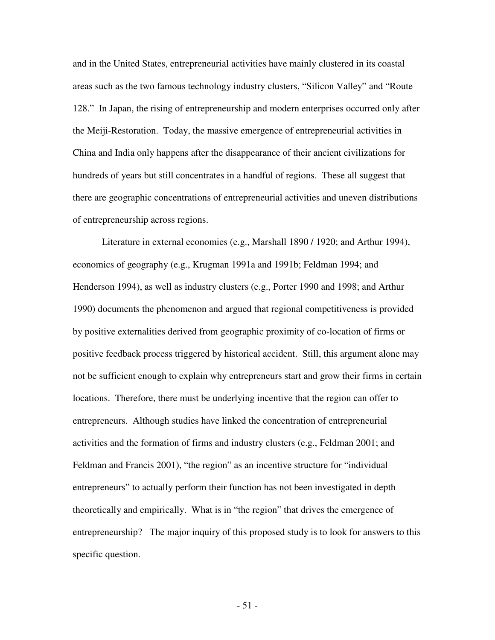and in the United States, entrepreneurial activities have mainly clustered in its coastal areas such as the two famous technology industry clusters, "Silicon Valley" and "Route 128." In Japan, the rising of entrepreneurship and modern enterprises occurred only after the Meiji-Restoration. Today, the massive emergence of entrepreneurial activities in China and India only happens after the disappearance of their ancient civilizations for hundreds of years but still concentrates in a handful of regions. These all suggest that there are geographic concentrations of entrepreneurial activities and uneven distributions of entrepreneurship across regions.

 Literature in external economies (e.g., Marshall 1890 / 1920; and Arthur 1994), economics of geography (e.g., Krugman 1991a and 1991b; Feldman 1994; and Henderson 1994), as well as industry clusters (e.g., Porter 1990 and 1998; and Arthur 1990) documents the phenomenon and argued that regional competitiveness is provided by positive externalities derived from geographic proximity of co-location of firms or positive feedback process triggered by historical accident. Still, this argument alone may not be sufficient enough to explain why entrepreneurs start and grow their firms in certain locations. Therefore, there must be underlying incentive that the region can offer to entrepreneurs. Although studies have linked the concentration of entrepreneurial activities and the formation of firms and industry clusters (e.g., Feldman 2001; and Feldman and Francis 2001), "the region" as an incentive structure for "individual entrepreneurs" to actually perform their function has not been investigated in depth theoretically and empirically. What is in "the region" that drives the emergence of entrepreneurship? The major inquiry of this proposed study is to look for answers to this specific question.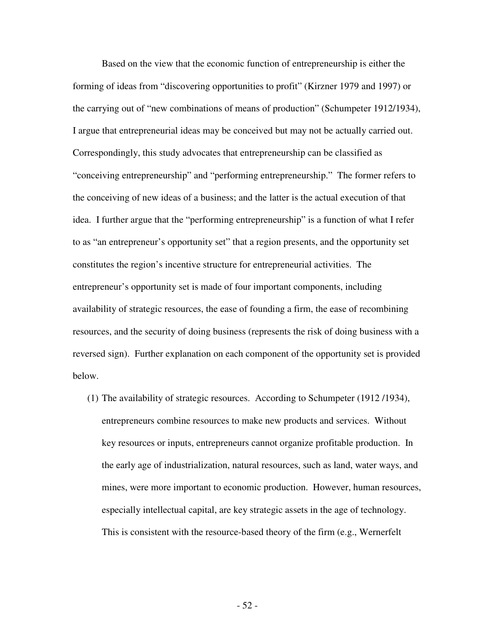Based on the view that the economic function of entrepreneurship is either the forming of ideas from "discovering opportunities to profit" (Kirzner 1979 and 1997) or the carrying out of "new combinations of means of production" (Schumpeter 1912/1934), I argue that entrepreneurial ideas may be conceived but may not be actually carried out. Correspondingly, this study advocates that entrepreneurship can be classified as "conceiving entrepreneurship" and "performing entrepreneurship." The former refers to the conceiving of new ideas of a business; and the latter is the actual execution of that idea. I further argue that the "performing entrepreneurship" is a function of what I refer to as "an entrepreneur's opportunity set" that a region presents, and the opportunity set constitutes the region's incentive structure for entrepreneurial activities. The entrepreneur's opportunity set is made of four important components, including availability of strategic resources, the ease of founding a firm, the ease of recombining resources, and the security of doing business (represents the risk of doing business with a reversed sign). Further explanation on each component of the opportunity set is provided below.

(1) The availability of strategic resources. According to Schumpeter (1912 /1934), entrepreneurs combine resources to make new products and services. Without key resources or inputs, entrepreneurs cannot organize profitable production. In the early age of industrialization, natural resources, such as land, water ways, and mines, were more important to economic production. However, human resources, especially intellectual capital, are key strategic assets in the age of technology. This is consistent with the resource-based theory of the firm (e.g., Wernerfelt

- 52 -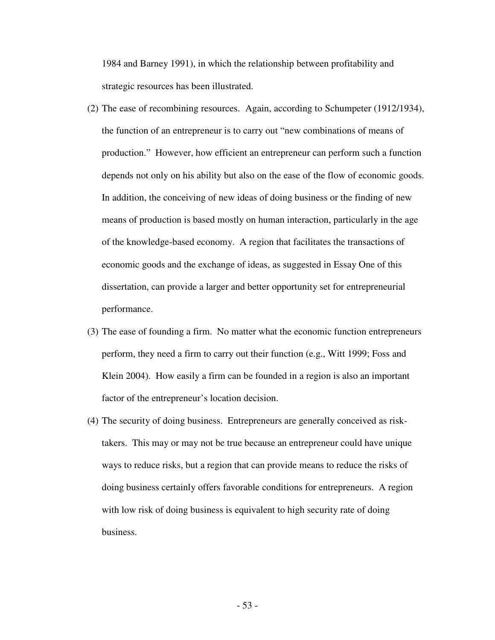1984 and Barney 1991), in which the relationship between profitability and strategic resources has been illustrated.

- (2) The ease of recombining resources. Again, according to Schumpeter (1912/1934), the function of an entrepreneur is to carry out "new combinations of means of production." However, how efficient an entrepreneur can perform such a function depends not only on his ability but also on the ease of the flow of economic goods. In addition, the conceiving of new ideas of doing business or the finding of new means of production is based mostly on human interaction, particularly in the age of the knowledge-based economy. A region that facilitates the transactions of economic goods and the exchange of ideas, as suggested in Essay One of this dissertation, can provide a larger and better opportunity set for entrepreneurial performance.
- (3) The ease of founding a firm. No matter what the economic function entrepreneurs perform, they need a firm to carry out their function (e.g., Witt 1999; Foss and Klein 2004). How easily a firm can be founded in a region is also an important factor of the entrepreneur's location decision.
- (4) The security of doing business. Entrepreneurs are generally conceived as risktakers. This may or may not be true because an entrepreneur could have unique ways to reduce risks, but a region that can provide means to reduce the risks of doing business certainly offers favorable conditions for entrepreneurs. A region with low risk of doing business is equivalent to high security rate of doing business.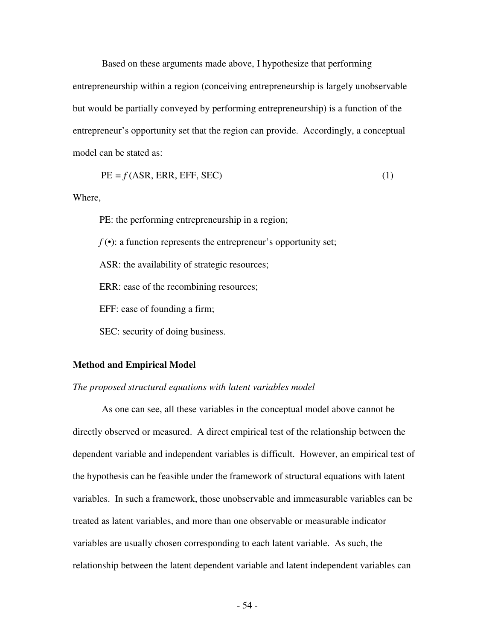Based on these arguments made above, I hypothesize that performing entrepreneurship within a region (conceiving entrepreneurship is largely unobservable but would be partially conveyed by performing entrepreneurship) is a function of the entrepreneur's opportunity set that the region can provide. Accordingly, a conceptual model can be stated as:

$$
PE = f(ASR, ERR, EFF, SEC)
$$
 (1)

Where,

PE: the performing entrepreneurship in a region;

 $f(\cdot)$ : a function represents the entrepreneur's opportunity set;

ASR: the availability of strategic resources;

ERR: ease of the recombining resources;

EFF: ease of founding a firm;

SEC: security of doing business.

#### **Method and Empirical Model**

#### *The proposed structural equations with latent variables model*

 As one can see, all these variables in the conceptual model above cannot be directly observed or measured. A direct empirical test of the relationship between the dependent variable and independent variables is difficult. However, an empirical test of the hypothesis can be feasible under the framework of structural equations with latent variables. In such a framework, those unobservable and immeasurable variables can be treated as latent variables, and more than one observable or measurable indicator variables are usually chosen corresponding to each latent variable. As such, the relationship between the latent dependent variable and latent independent variables can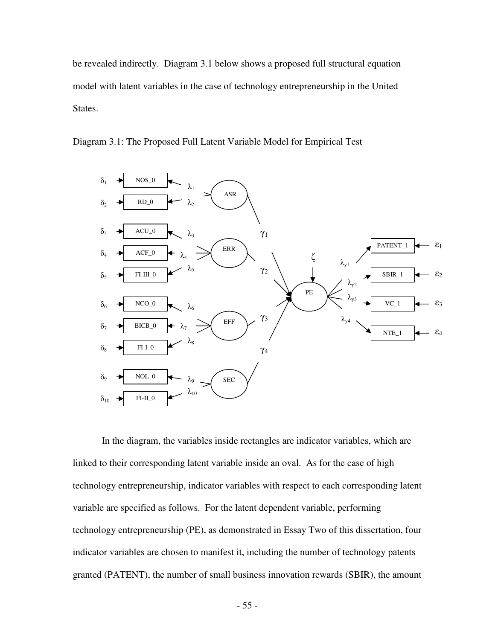be revealed indirectly. Diagram 3.1 below shows a proposed full structural equation model with latent variables in the case of technology entrepreneurship in the United States.



Diagram 3.1: The Proposed Full Latent Variable Model for Empirical Test

 In the diagram, the variables inside rectangles are indicator variables, which are linked to their corresponding latent variable inside an oval. As for the case of high technology entrepreneurship, indicator variables with respect to each corresponding latent variable are specified as follows. For the latent dependent variable, performing technology entrepreneurship (PE), as demonstrated in Essay Two of this dissertation, four indicator variables are chosen to manifest it, including the number of technology patents granted (PATENT), the number of small business innovation rewards (SBIR), the amount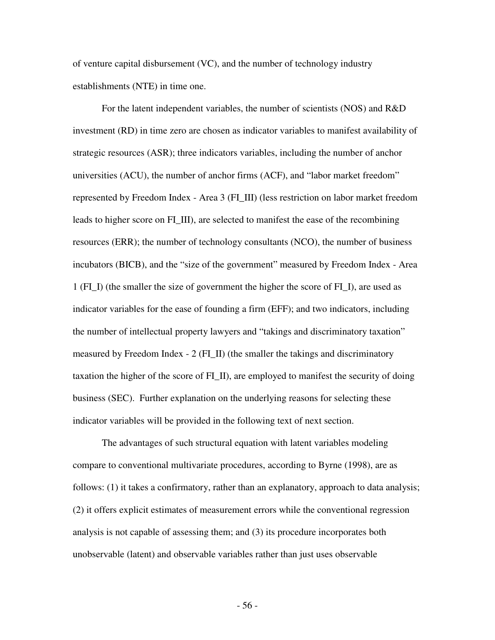of venture capital disbursement (VC), and the number of technology industry establishments (NTE) in time one.

 For the latent independent variables, the number of scientists (NOS) and R&D investment (RD) in time zero are chosen as indicator variables to manifest availability of strategic resources (ASR); three indicators variables, including the number of anchor universities (ACU), the number of anchor firms (ACF), and "labor market freedom" represented by Freedom Index - Area 3 (FI\_III) (less restriction on labor market freedom leads to higher score on FI\_III), are selected to manifest the ease of the recombining resources (ERR); the number of technology consultants (NCO), the number of business incubators (BICB), and the "size of the government" measured by Freedom Index - Area 1 (FI\_I) (the smaller the size of government the higher the score of FI\_I), are used as indicator variables for the ease of founding a firm (EFF); and two indicators, including the number of intellectual property lawyers and "takings and discriminatory taxation" measured by Freedom Index  $-2$  (FI II) (the smaller the takings and discriminatory taxation the higher of the score of FI\_II), are employed to manifest the security of doing business (SEC). Further explanation on the underlying reasons for selecting these indicator variables will be provided in the following text of next section.

 The advantages of such structural equation with latent variables modeling compare to conventional multivariate procedures, according to Byrne (1998), are as follows: (1) it takes a confirmatory, rather than an explanatory, approach to data analysis; (2) it offers explicit estimates of measurement errors while the conventional regression analysis is not capable of assessing them; and (3) its procedure incorporates both unobservable (latent) and observable variables rather than just uses observable

- 56 -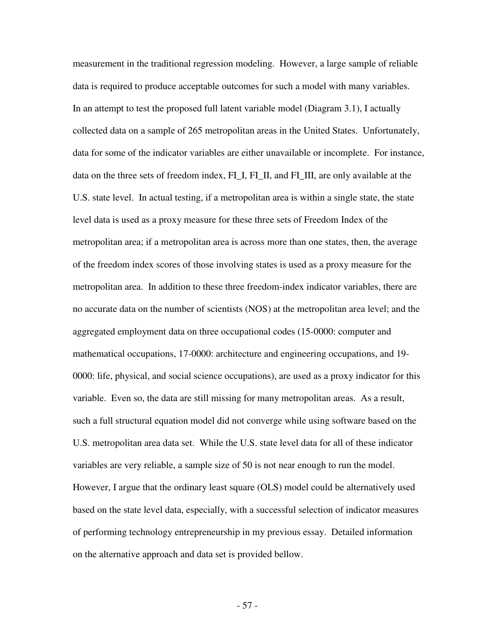measurement in the traditional regression modeling. However, a large sample of reliable data is required to produce acceptable outcomes for such a model with many variables. In an attempt to test the proposed full latent variable model (Diagram 3.1), I actually collected data on a sample of 265 metropolitan areas in the United States. Unfortunately, data for some of the indicator variables are either unavailable or incomplete. For instance, data on the three sets of freedom index, FI\_I, FI\_II, and FI\_III, are only available at the U.S. state level. In actual testing, if a metropolitan area is within a single state, the state level data is used as a proxy measure for these three sets of Freedom Index of the metropolitan area; if a metropolitan area is across more than one states, then, the average of the freedom index scores of those involving states is used as a proxy measure for the metropolitan area. In addition to these three freedom-index indicator variables, there are no accurate data on the number of scientists (NOS) at the metropolitan area level; and the aggregated employment data on three occupational codes (15-0000: computer and mathematical occupations, 17-0000: architecture and engineering occupations, and 19- 0000: life, physical, and social science occupations), are used as a proxy indicator for this variable. Even so, the data are still missing for many metropolitan areas. As a result, such a full structural equation model did not converge while using software based on the U.S. metropolitan area data set. While the U.S. state level data for all of these indicator variables are very reliable, a sample size of 50 is not near enough to run the model. However, I argue that the ordinary least square (OLS) model could be alternatively used based on the state level data, especially, with a successful selection of indicator measures of performing technology entrepreneurship in my previous essay. Detailed information on the alternative approach and data set is provided bellow.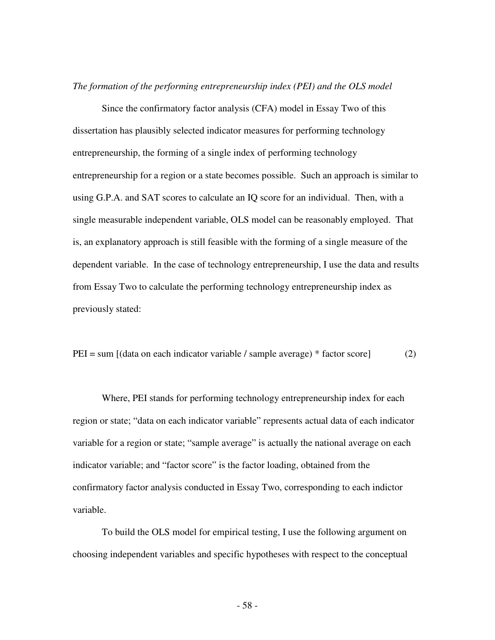*The formation of the performing entrepreneurship index (PEI) and the OLS model* 

 Since the confirmatory factor analysis (CFA) model in Essay Two of this dissertation has plausibly selected indicator measures for performing technology entrepreneurship, the forming of a single index of performing technology entrepreneurship for a region or a state becomes possible. Such an approach is similar to using G.P.A. and SAT scores to calculate an IQ score for an individual. Then, with a single measurable independent variable, OLS model can be reasonably employed. That is, an explanatory approach is still feasible with the forming of a single measure of the dependent variable. In the case of technology entrepreneurship, I use the data and results from Essay Two to calculate the performing technology entrepreneurship index as previously stated:

 $PEI = sum [(data on each indicator variable / sample average) * factor score]$  (2)

 Where, PEI stands for performing technology entrepreneurship index for each region or state; "data on each indicator variable" represents actual data of each indicator variable for a region or state; "sample average" is actually the national average on each indicator variable; and "factor score" is the factor loading, obtained from the confirmatory factor analysis conducted in Essay Two, corresponding to each indictor variable.

 To build the OLS model for empirical testing, I use the following argument on choosing independent variables and specific hypotheses with respect to the conceptual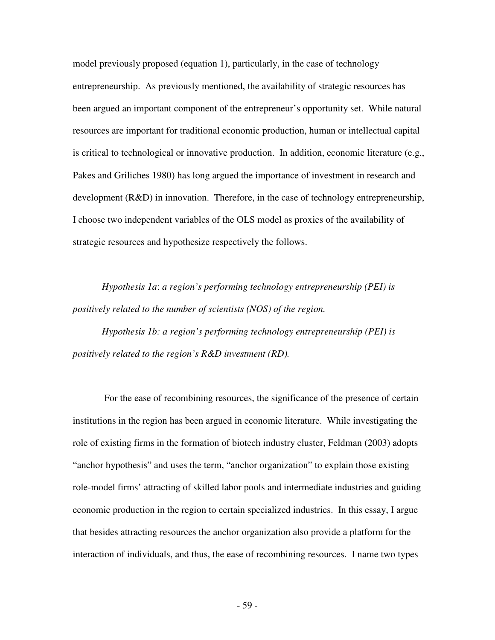model previously proposed (equation 1), particularly, in the case of technology entrepreneurship. As previously mentioned, the availability of strategic resources has been argued an important component of the entrepreneur's opportunity set. While natural resources are important for traditional economic production, human or intellectual capital is critical to technological or innovative production. In addition, economic literature (e.g., Pakes and Griliches 1980) has long argued the importance of investment in research and development (R&D) in innovation. Therefore, in the case of technology entrepreneurship, I choose two independent variables of the OLS model as proxies of the availability of strategic resources and hypothesize respectively the follows.

 *Hypothesis 1a*: *a region's performing technology entrepreneurship (PEI) is positively related to the number of scientists (NOS) of the region.* 

 *Hypothesis 1b: a region's performing technology entrepreneurship (PEI) is positively related to the region's R&D investment (RD).* 

 For the ease of recombining resources, the significance of the presence of certain institutions in the region has been argued in economic literature. While investigating the role of existing firms in the formation of biotech industry cluster, Feldman (2003) adopts "anchor hypothesis" and uses the term, "anchor organization" to explain those existing role-model firms' attracting of skilled labor pools and intermediate industries and guiding economic production in the region to certain specialized industries. In this essay, I argue that besides attracting resources the anchor organization also provide a platform for the interaction of individuals, and thus, the ease of recombining resources. I name two types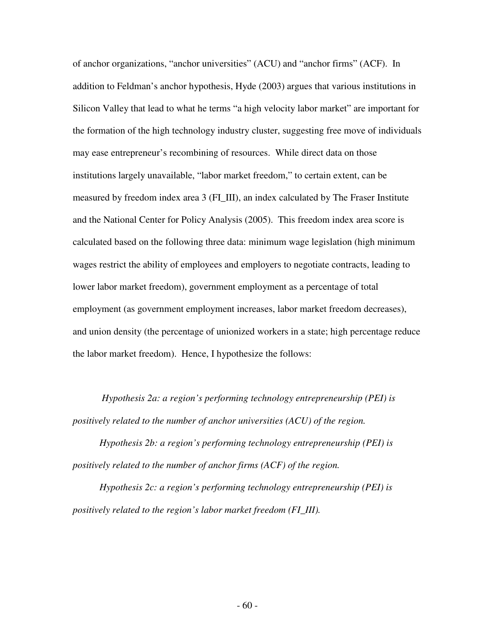of anchor organizations, "anchor universities" (ACU) and "anchor firms" (ACF). In addition to Feldman's anchor hypothesis, Hyde (2003) argues that various institutions in Silicon Valley that lead to what he terms "a high velocity labor market" are important for the formation of the high technology industry cluster, suggesting free move of individuals may ease entrepreneur's recombining of resources. While direct data on those institutions largely unavailable, "labor market freedom," to certain extent, can be measured by freedom index area 3 (FI\_III), an index calculated by The Fraser Institute and the National Center for Policy Analysis (2005). This freedom index area score is calculated based on the following three data: minimum wage legislation (high minimum wages restrict the ability of employees and employers to negotiate contracts, leading to lower labor market freedom), government employment as a percentage of total employment (as government employment increases, labor market freedom decreases), and union density (the percentage of unionized workers in a state; high percentage reduce the labor market freedom). Hence, I hypothesize the follows:

 *Hypothesis 2a: a region's performing technology entrepreneurship (PEI) is positively related to the number of anchor universities (ACU) of the region.* 

 *Hypothesis 2b: a region's performing technology entrepreneurship (PEI) is positively related to the number of anchor firms (ACF) of the region.* 

 *Hypothesis 2c: a region's performing technology entrepreneurship (PEI) is positively related to the region's labor market freedom (FI\_III).*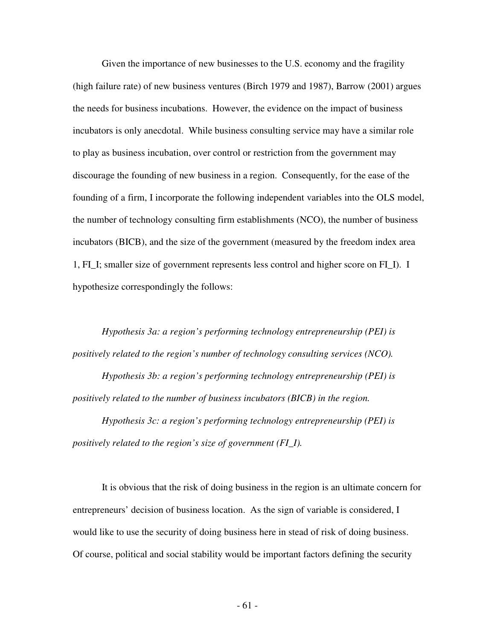Given the importance of new businesses to the U.S. economy and the fragility (high failure rate) of new business ventures (Birch 1979 and 1987), Barrow (2001) argues the needs for business incubations. However, the evidence on the impact of business incubators is only anecdotal. While business consulting service may have a similar role to play as business incubation, over control or restriction from the government may discourage the founding of new business in a region. Consequently, for the ease of the founding of a firm, I incorporate the following independent variables into the OLS model, the number of technology consulting firm establishments (NCO), the number of business incubators (BICB), and the size of the government (measured by the freedom index area 1, FI\_I; smaller size of government represents less control and higher score on FI\_I). I hypothesize correspondingly the follows:

 *Hypothesis 3a: a region's performing technology entrepreneurship (PEI) is positively related to the region's number of technology consulting services (NCO).*

 *Hypothesis 3b: a region's performing technology entrepreneurship (PEI) is positively related to the number of business incubators (BICB) in the region.* 

*Hypothesis 3c: a region's performing technology entrepreneurship (PEI) is positively related to the region's size of government (FI\_I).* 

 It is obvious that the risk of doing business in the region is an ultimate concern for entrepreneurs' decision of business location. As the sign of variable is considered, I would like to use the security of doing business here in stead of risk of doing business. Of course, political and social stability would be important factors defining the security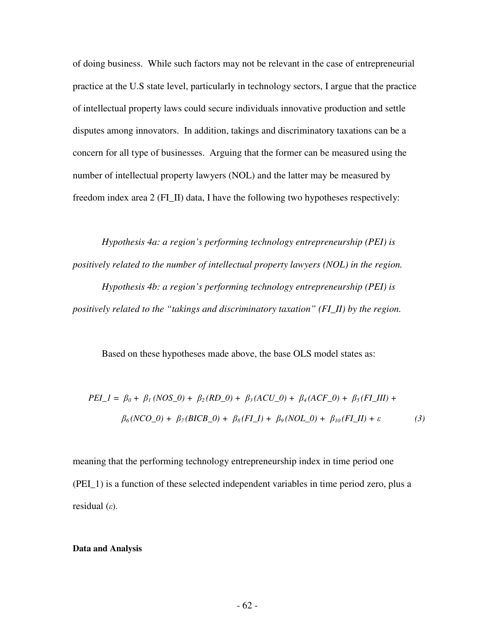of doing business. While such factors may not be relevant in the case of entrepreneurial practice at the U.S state level, particularly in technology sectors, I argue that the practice of intellectual property laws could secure individuals innovative production and settle disputes among innovators. In addition, takings and discriminatory taxations can be a concern for all type of businesses. Arguing that the former can be measured using the number of intellectual property lawyers (NOL) and the latter may be measured by freedom index area 2 (FI\_II) data, I have the following two hypotheses respectively:

 *Hypothesis 4a: a region's performing technology entrepreneurship (PEI) is positively related to the number of intellectual property lawyers (NOL) in the region. Hypothesis 4b: a region's performing technology entrepreneurship (PEI) is positively related to the "takings and discriminatory taxation" (FI\_II) by the region.*

Based on these hypotheses made above, the base OLS model states as:

$$
PEI_{\perp}1 = \beta_0 + \beta_1 (NOS_{\perp}0) + \beta_2 (RD_{\perp}0) + \beta_3 (ACU_{\perp}0) + \beta_4 (ACF_{\perp}0) + \beta_5 (FI_{\perp}III) + \beta_6 (NCO_{\perp}0) + \beta_7 (BICB_{\perp}0) + \beta_8 (FI_{\perp}1) + \beta_9 (NOL_{\perp}0) + \beta_{10} (FI_{\perp}II) + \varepsilon
$$
\n(3)

meaning that the performing technology entrepreneurship index in time period one (PEI\_1) is a function of these selected independent variables in time period zero, plus a residual  $(\varepsilon)$ .

## **Data and Analysis**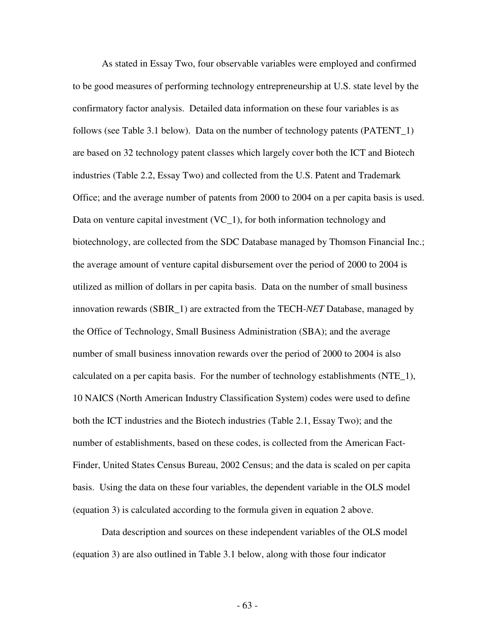As stated in Essay Two, four observable variables were employed and confirmed to be good measures of performing technology entrepreneurship at U.S. state level by the confirmatory factor analysis. Detailed data information on these four variables is as follows (see Table 3.1 below). Data on the number of technology patents (PATENT\_1) are based on 32 technology patent classes which largely cover both the ICT and Biotech industries (Table 2.2, Essay Two) and collected from the U.S. Patent and Trademark Office; and the average number of patents from 2000 to 2004 on a per capita basis is used. Data on venture capital investment  $(VC_1)$ , for both information technology and biotechnology, are collected from the SDC Database managed by Thomson Financial Inc.; the average amount of venture capital disbursement over the period of 2000 to 2004 is utilized as million of dollars in per capita basis. Data on the number of small business innovation rewards (SBIR\_1) are extracted from the TECH-*NET* Database, managed by the Office of Technology, Small Business Administration (SBA); and the average number of small business innovation rewards over the period of 2000 to 2004 is also calculated on a per capita basis. For the number of technology establishments (NTE\_1), 10 NAICS (North American Industry Classification System) codes were used to define both the ICT industries and the Biotech industries (Table 2.1, Essay Two); and the number of establishments, based on these codes, is collected from the American Fact-Finder, United States Census Bureau, 2002 Census; and the data is scaled on per capita basis. Using the data on these four variables, the dependent variable in the OLS model (equation 3) is calculated according to the formula given in equation 2 above.

 Data description and sources on these independent variables of the OLS model (equation 3) are also outlined in Table 3.1 below, along with those four indicator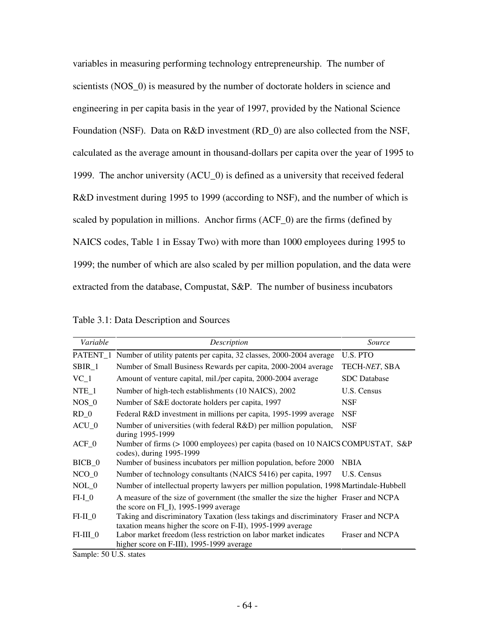variables in measuring performing technology entrepreneurship. The number of scientists (NOS\_0) is measured by the number of doctorate holders in science and engineering in per capita basis in the year of 1997, provided by the National Science Foundation (NSF). Data on R&D investment (RD\_0) are also collected from the NSF, calculated as the average amount in thousand-dollars per capita over the year of 1995 to 1999. The anchor university (ACU\_0) is defined as a university that received federal R&D investment during 1995 to 1999 (according to NSF), and the number of which is scaled by population in millions. Anchor firms (ACF\_0) are the firms (defined by NAICS codes, Table 1 in Essay Two) with more than 1000 employees during 1995 to 1999; the number of which are also scaled by per million population, and the data were extracted from the database, Compustat, S&P. The number of business incubators

Table 3.1: Data Description and Sources

| Variable        | Description                                                                                                                                        | Source          |
|-----------------|----------------------------------------------------------------------------------------------------------------------------------------------------|-----------------|
|                 | PATENT <sub>1</sub> Number of utility patents per capita, 32 classes, 2000-2004 average                                                            | U.S. PTO        |
| SBIR_1          | Number of Small Business Rewards per capita, 2000-2004 average                                                                                     | TECH-NET, SBA   |
| $VC_1$          | Amount of venture capital, mil./per capita, 2000-2004 average                                                                                      | SDC Database    |
| $NTE_1$         | Number of high-tech establishments (10 NAICS), 2002                                                                                                | U.S. Census     |
| NOS 0           | Number of S&E doctorate holders per capita, 1997                                                                                                   | <b>NSF</b>      |
| RD <sub>0</sub> | Federal R&D investment in millions per capita, 1995-1999 average                                                                                   | <b>NSF</b>      |
| $ACU_0$         | Number of universities (with federal R&D) per million population,<br>during 1995-1999                                                              | <b>NSF</b>      |
| $ACF_0$         | Number of firms (> 1000 employees) per capita (based on 10 NAICS COMPUSTAT, S&P<br>codes), during 1995-1999                                        |                 |
| BICB_0          | Number of business incubators per million population, before 2000                                                                                  | <b>NBIA</b>     |
| $NCO_0$         | Number of technology consultants (NAICS 5416) per capita, 1997                                                                                     | U.S. Census     |
| $NOL_0$         | Number of intellectual property lawyers per million population, 1998 Martindale-Hubbell                                                            |                 |
| $FI-I$ 0        | A measure of the size of government (the smaller the size the higher Fraser and NCPA<br>the score on FL <sub>I</sub> , 1995-1999 average           |                 |
| $FI-II_0$       | Taking and discriminatory Taxation (less takings and discriminatory Fraser and NCPA<br>taxation means higher the score on F-II), 1995-1999 average |                 |
| $FI-III_0$      | Labor market freedom (less restriction on labor market indicates<br>higher score on F-III), 1995-1999 average                                      | Fraser and NCPA |

Sample: 50 U.S. states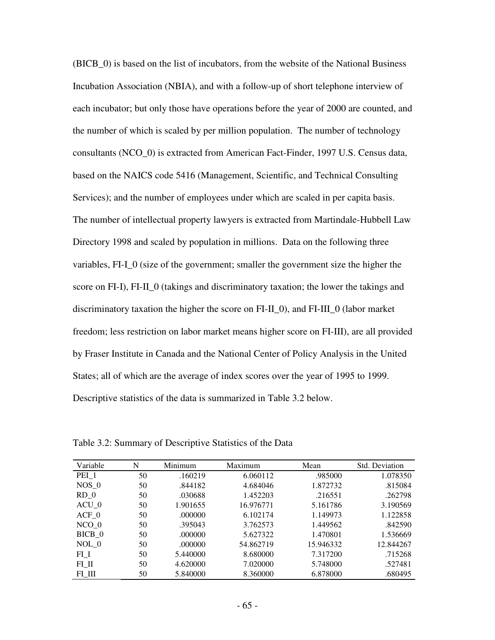(BICB\_0) is based on the list of incubators, from the website of the National Business Incubation Association (NBIA), and with a follow-up of short telephone interview of each incubator; but only those have operations before the year of 2000 are counted, and the number of which is scaled by per million population. The number of technology consultants (NCO\_0) is extracted from American Fact-Finder, 1997 U.S. Census data, based on the NAICS code 5416 (Management, Scientific, and Technical Consulting Services); and the number of employees under which are scaled in per capita basis. The number of intellectual property lawyers is extracted from Martindale-Hubbell Law Directory 1998 and scaled by population in millions. Data on the following three variables, FI-I\_0 (size of the government; smaller the government size the higher the score on FI-I), FI-II\_0 (takings and discriminatory taxation; the lower the takings and discriminatory taxation the higher the score on FI-II\_0), and FI-III\_0 (labor market freedom; less restriction on labor market means higher score on FI-III), are all provided by Fraser Institute in Canada and the National Center of Policy Analysis in the United States; all of which are the average of index scores over the year of 1995 to 1999. Descriptive statistics of the data is summarized in Table 3.2 below.

Table 3.2: Summary of Descriptive Statistics of the Data

| Variable | N  | Minimum  | Maximum   | Mean      | Std. Deviation |
|----------|----|----------|-----------|-----------|----------------|
| PEI_1    | 50 | .160219  | 6.060112  | .985000   | 1.078350       |
| $NOS$ 0  | 50 | .844182  | 4.684046  | 1.872732  | .815084        |
| $RD_0$   | 50 | .030688  | 1.452203  | .216551   | .262798        |
| $ACU_0$  | 50 | 1.901655 | 16.976771 | 5.161786  | 3.190569       |
| $ACF$ 0  | 50 | .000000  | 6.102174  | 1.149973  | 1.122858       |
| $NCO$ 0  | 50 | .395043  | 3.762573  | 1.449562  | .842590        |
| BICB 0   | 50 | .000000  | 5.627322  | 1.470801  | 1.536669       |
| NOL 0    | 50 | .000000  | 54.862719 | 15.946332 | 12.844267      |
| $FI_I$   | 50 | 5.440000 | 8.680000  | 7.317200  | .715268        |
| $FL_II$  | 50 | 4.620000 | 7.020000  | 5.748000  | .527481        |
| FI III   | 50 | 5.840000 | 8.360000  | 6.878000  | .680495        |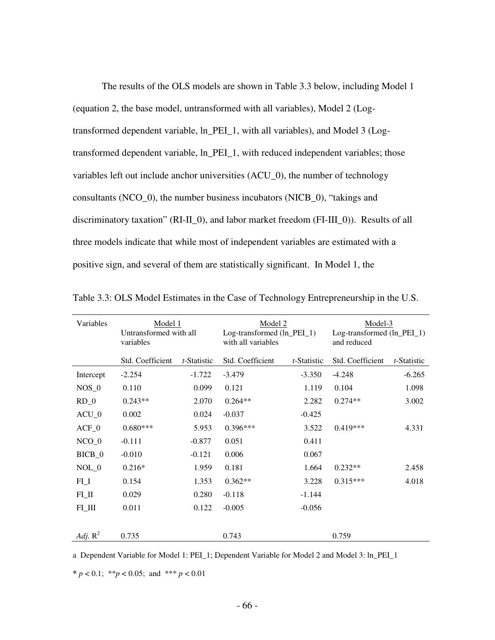The results of the OLS models are shown in Table 3.3 below, including Model 1 (equation 2, the base model, untransformed with all variables), Model 2 (Logtransformed dependent variable, ln\_PEI\_1, with all variables), and Model 3 (Logtransformed dependent variable, ln\_PEI\_1, with reduced independent variables; those variables left out include anchor universities (ACU\_0), the number of technology consultants (NCO\_0), the number business incubators (NICB\_0), "takings and discriminatory taxation" (RI-II\_0), and labor market freedom (FI-III\_0)). Results of all three models indicate that while most of independent variables are estimated with a positive sign, and several of them are statistically significant. In Model 1, the

| Variables  | Model 1<br>Untransformed with all<br>variables |             | Model 2<br>$Log-transformed (ln_PEL_1)$<br>with all variables |                     | and reduced      | Model-3<br>Log-transformed (ln_PEI_1) |  |
|------------|------------------------------------------------|-------------|---------------------------------------------------------------|---------------------|------------------|---------------------------------------|--|
|            | Std. Coefficient                               | t-Statistic | Std. Coefficient                                              | <i>t</i> -Statistic | Std. Coefficient | t-Statistic                           |  |
| Intercept  | $-2.254$                                       | $-1.722$    | $-3.479$                                                      | $-3.350$            | $-4.248$         | $-6.265$                              |  |
| $NOS_0$    | 0.110                                          | 0.099       | 0.121                                                         | 1.119               | 0.104            | 1.098                                 |  |
| $RD_0$     | $0.243**$                                      | 2.070       | $0.264**$                                                     | 2.282               | $0.274**$        | 3.002                                 |  |
| $ACU_0$    | 0.002                                          | 0.024       | $-0.037$                                                      | $-0.425$            |                  |                                       |  |
| $ACF_0$    | $0.680***$                                     | 5.953       | $0.396***$                                                    | 3.522               | $0.419***$       | 4.331                                 |  |
| $NCO_0$    | $-0.111$                                       | $-0.877$    | 0.051                                                         | 0.411               |                  |                                       |  |
| BICB_0     | $-0.010$                                       | $-0.121$    | 0.006                                                         | 0.067               |                  |                                       |  |
| $NOL_0$    | $0.216*$                                       | 1.959       | 0.181                                                         | 1.664               | $0.232**$        | 2.458                                 |  |
| $FI_I$     | 0.154                                          | 1.353       | $0.362**$                                                     | 3.228               | $0.315***$       | 4.018                                 |  |
| $FL$ $II$  | 0.029                                          | 0.280       | $-0.118$                                                      | $-1.144$            |                  |                                       |  |
| $FL$ $III$ | 0.011                                          | 0.122       | $-0.005$                                                      | $-0.056$            |                  |                                       |  |
|            |                                                |             |                                                               |                     |                  |                                       |  |
| Adj. $R^2$ | 0.735                                          |             | 0.743                                                         |                     | 0.759            |                                       |  |

Table 3.3: OLS Model Estimates in the Case of Technology Entrepreneurship in the U.S.

a Dependent Variable for Model 1: PEI\_1; Dependent Variable for Model 2 and Model 3: ln\_PEI\_1

**\*** *p* < 0.1; \*\**p* < 0.05; and \*\*\* *p* < 0.01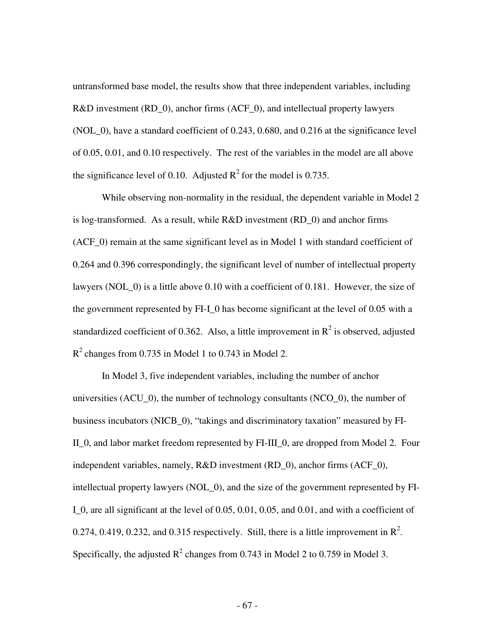untransformed base model, the results show that three independent variables, including R&D investment (RD\_0), anchor firms (ACF\_0), and intellectual property lawyers (NOL\_0), have a standard coefficient of 0.243, 0.680, and 0.216 at the significance level of 0.05, 0.01, and 0.10 respectively. The rest of the variables in the model are all above the significance level of 0.10. Adjusted  $R^2$  for the model is 0.735.

While observing non-normality in the residual, the dependent variable in Model 2 is log-transformed. As a result, while  $R&D$  investment  $(RD_0)$  and anchor firms (ACF\_0) remain at the same significant level as in Model 1 with standard coefficient of 0.264 and 0.396 correspondingly, the significant level of number of intellectual property lawyers (NOL\_0) is a little above 0.10 with a coefficient of 0.181. However, the size of the government represented by FI-I\_0 has become significant at the level of 0.05 with a standardized coefficient of 0.362. Also, a little improvement in  $R^2$  is observed, adjusted  $R^2$  changes from 0.735 in Model 1 to 0.743 in Model 2.

 In Model 3, five independent variables, including the number of anchor universities (ACU\_0), the number of technology consultants (NCO\_0), the number of business incubators (NICB\_0), "takings and discriminatory taxation" measured by FI-II\_0, and labor market freedom represented by FI-III\_0, are dropped from Model 2. Four independent variables, namely, R&D investment (RD\_0), anchor firms (ACF\_0), intellectual property lawyers (NOL\_0), and the size of the government represented by FI-I\_0, are all significant at the level of 0.05, 0.01, 0.05, and 0.01, and with a coefficient of 0.274, 0.419, 0.232, and 0.315 respectively. Still, there is a little improvement in  $\mathbb{R}^2$ . Specifically, the adjusted  $R^2$  changes from 0.743 in Model 2 to 0.759 in Model 3.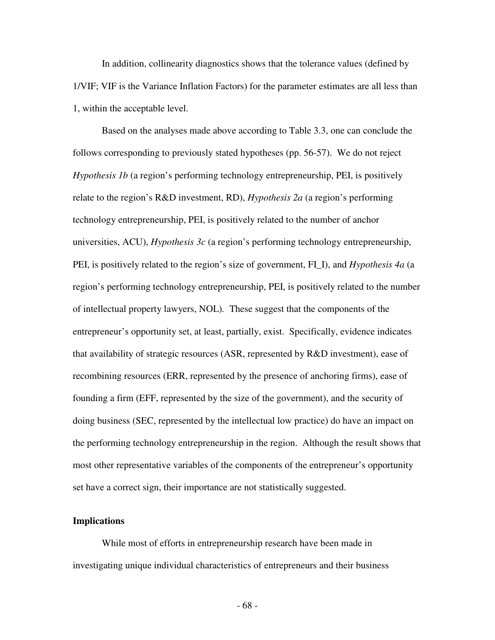In addition, collinearity diagnostics shows that the tolerance values (defined by 1/VIF; VIF is the Variance Inflation Factors) for the parameter estimates are all less than 1, within the acceptable level.

Based on the analyses made above according to Table 3.3, one can conclude the follows corresponding to previously stated hypotheses (pp. 56-57). We do not reject *Hypothesis 1b* (a region's performing technology entrepreneurship, PEI, is positively relate to the region's R&D investment, RD), *Hypothesis 2a* (a region's performing technology entrepreneurship, PEI, is positively related to the number of anchor universities, ACU), *Hypothesis 3c* (a region's performing technology entrepreneurship, PEI, is positively related to the region's size of government, FI\_I), and *Hypothesis 4a* (a region's performing technology entrepreneurship, PEI, is positively related to the number of intellectual property lawyers, NOL)*.* These suggest that the components of the entrepreneur's opportunity set, at least, partially, exist. Specifically, evidence indicates that availability of strategic resources (ASR, represented by R&D investment), ease of recombining resources (ERR, represented by the presence of anchoring firms), ease of founding a firm (EFF, represented by the size of the government), and the security of doing business (SEC, represented by the intellectual low practice) do have an impact on the performing technology entrepreneurship in the region. Although the result shows that most other representative variables of the components of the entrepreneur's opportunity set have a correct sign, their importance are not statistically suggested.

## **Implications**

 While most of efforts in entrepreneurship research have been made in investigating unique individual characteristics of entrepreneurs and their business

- 68 -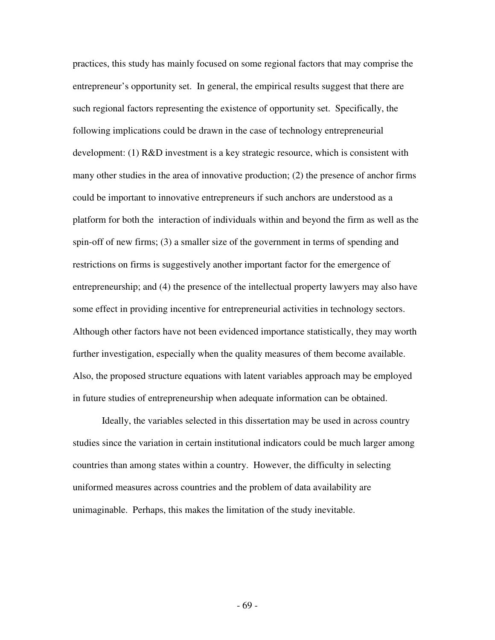practices, this study has mainly focused on some regional factors that may comprise the entrepreneur's opportunity set. In general, the empirical results suggest that there are such regional factors representing the existence of opportunity set. Specifically, the following implications could be drawn in the case of technology entrepreneurial development: (1) R&D investment is a key strategic resource, which is consistent with many other studies in the area of innovative production; (2) the presence of anchor firms could be important to innovative entrepreneurs if such anchors are understood as a platform for both the interaction of individuals within and beyond the firm as well as the spin-off of new firms; (3) a smaller size of the government in terms of spending and restrictions on firms is suggestively another important factor for the emergence of entrepreneurship; and (4) the presence of the intellectual property lawyers may also have some effect in providing incentive for entrepreneurial activities in technology sectors. Although other factors have not been evidenced importance statistically, they may worth further investigation, especially when the quality measures of them become available. Also, the proposed structure equations with latent variables approach may be employed in future studies of entrepreneurship when adequate information can be obtained.

 Ideally, the variables selected in this dissertation may be used in across country studies since the variation in certain institutional indicators could be much larger among countries than among states within a country. However, the difficulty in selecting uniformed measures across countries and the problem of data availability are unimaginable. Perhaps, this makes the limitation of the study inevitable.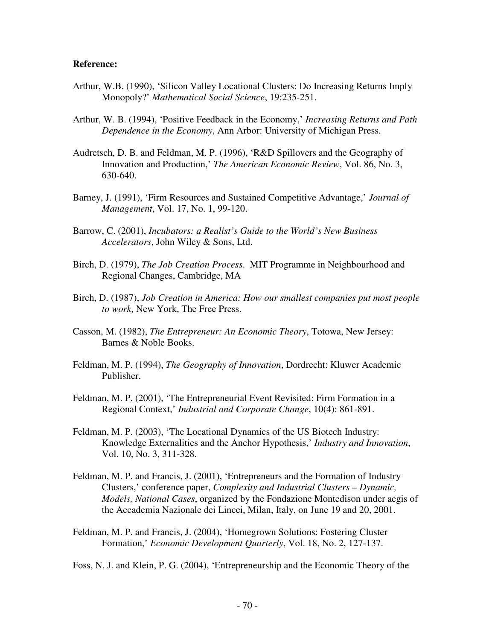## **Reference:**

- Arthur, W.B. (1990), 'Silicon Valley Locational Clusters: Do Increasing Returns Imply Monopoly?' *Mathematical Social Science*, 19:235-251.
- Arthur, W. B. (1994), 'Positive Feedback in the Economy,' *Increasing Returns and Path Dependence in the Economy*, Ann Arbor: University of Michigan Press.
- Audretsch, D. B. and Feldman, M. P. (1996), 'R&D Spillovers and the Geography of Innovation and Production,' *The American Economic Review*, Vol. 86, No. 3, 630-640.
- Barney, J. (1991), 'Firm Resources and Sustained Competitive Advantage,' *Journal of Management*, Vol. 17, No. 1, 99-120.
- Barrow, C. (2001), *Incubators: a Realist's Guide to the World's New Business Accelerators*, John Wiley & Sons, Ltd.
- Birch, D. (1979), *The Job Creation Process*. MIT Programme in Neighbourhood and Regional Changes, Cambridge, MA
- Birch, D. (1987), *Job Creation in America: How our smallest companies put most people to work*, New York, The Free Press.
- Casson, M. (1982), *The Entrepreneur: An Economic Theory*, Totowa, New Jersey: Barnes & Noble Books.
- Feldman, M. P. (1994), *The Geography of Innovation*, Dordrecht: Kluwer Academic Publisher.
- Feldman, M. P. (2001), 'The Entrepreneurial Event Revisited: Firm Formation in a Regional Context,' *Industrial and Corporate Change*, 10(4): 861-891.
- Feldman, M. P. (2003), 'The Locational Dynamics of the US Biotech Industry: Knowledge Externalities and the Anchor Hypothesis,' *Industry and Innovation*, Vol. 10, No. 3, 311-328.
- Feldman, M. P. and Francis, J. (2001), 'Entrepreneurs and the Formation of Industry Clusters,' conference paper, *Complexity and Industrial Clusters – Dynamic, Models, National Cases*, organized by the Fondazione Montedison under aegis of the Accademia Nazionale dei Lincei, Milan, Italy, on June 19 and 20, 2001.
- Feldman, M. P. and Francis, J. (2004), 'Homegrown Solutions: Fostering Cluster Formation,' *Economic Development Quarterly*, Vol. 18, No. 2, 127-137.

Foss, N. J. and Klein, P. G. (2004), 'Entrepreneurship and the Economic Theory of the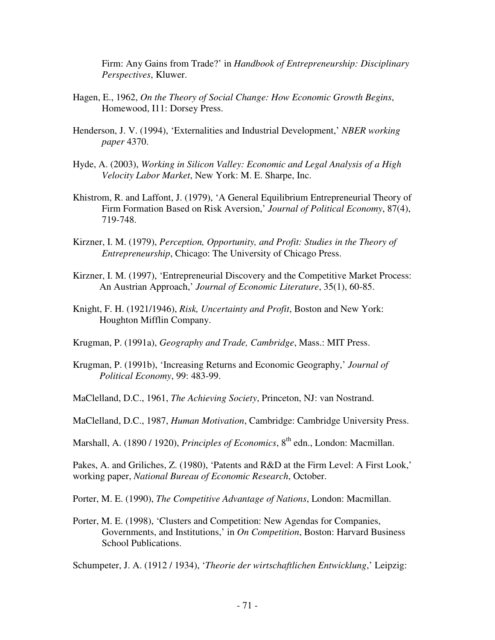Firm: Any Gains from Trade?' in *Handbook of Entrepreneurship: Disciplinary Perspectives*, Kluwer.

- Hagen, E., 1962, *On the Theory of Social Change: How Economic Growth Begins*, Homewood, I11: Dorsey Press.
- Henderson, J. V. (1994), 'Externalities and Industrial Development,' *NBER working paper* 4370.
- Hyde, A. (2003), *Working in Silicon Valley: Economic and Legal Analysis of a High Velocity Labor Market*, New York: M. E. Sharpe, Inc.
- Khistrom, R. and Laffont, J. (1979), 'A General Equilibrium Entrepreneurial Theory of Firm Formation Based on Risk Aversion,' *Journal of Political Economy*, 87(4), 719-748.
- Kirzner, I. M. (1979), *Perception, Opportunity, and Profit: Studies in the Theory of Entrepreneurship*, Chicago: The University of Chicago Press.
- Kirzner, I. M. (1997), 'Entrepreneurial Discovery and the Competitive Market Process: An Austrian Approach,' *Journal of Economic Literature*, 35(1), 60-85.
- Knight, F. H. (1921/1946), *Risk, Uncertainty and Profit*, Boston and New York: Houghton Mifflin Company.
- Krugman, P. (1991a), *Geography and Trade, Cambridge*, Mass.: MIT Press.
- Krugman, P. (1991b), 'Increasing Returns and Economic Geography,' *Journal of Political Economy*, 99: 483-99.

MaClelland, D.C., 1961, *The Achieving Society*, Princeton, NJ: van Nostrand.

MaClelland, D.C., 1987, *Human Motivation*, Cambridge: Cambridge University Press.

Marshall, A. (1890 / 1920), *Principles of Economics*, 8<sup>th</sup> edn., London: Macmillan.

Pakes, A. and Griliches, Z. (1980), 'Patents and R&D at the Firm Level: A First Look,' working paper, *National Bureau of Economic Research*, October.

Porter, M. E. (1990), *The Competitive Advantage of Nations*, London: Macmillan.

Porter, M. E. (1998), 'Clusters and Competition: New Agendas for Companies, Governments, and Institutions,' in *On Competition*, Boston: Harvard Business School Publications.

Schumpeter, J. A. (1912 / 1934), '*Theorie der wirtschaftlichen Entwicklung*,' Leipzig: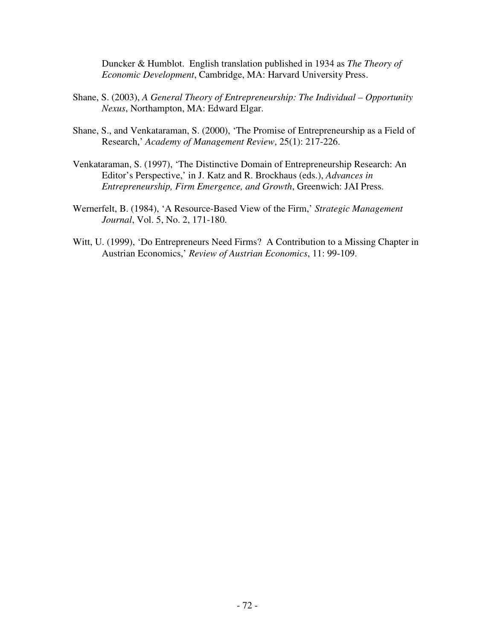Duncker & Humblot. English translation published in 1934 as *The Theory of Economic Development*, Cambridge, MA: Harvard University Press.

- Shane, S. (2003), *A General Theory of Entrepreneurship: The Individual Opportunity Nexus*, Northampton, MA: Edward Elgar.
- Shane, S., and Venkataraman, S. (2000), 'The Promise of Entrepreneurship as a Field of Research,' *Academy of Management Review*, 25(1): 217-226.
- Venkataraman, S. (1997), 'The Distinctive Domain of Entrepreneurship Research: An Editor's Perspective,' in J. Katz and R. Brockhaus (eds.), *Advances in Entrepreneurship, Firm Emergence, and Growth*, Greenwich: JAI Press.
- Wernerfelt, B. (1984), 'A Resource-Based View of the Firm,' *Strategic Management Journal*, Vol. 5, No. 2, 171-180.
- Witt, U. (1999), 'Do Entrepreneurs Need Firms? A Contribution to a Missing Chapter in Austrian Economics,' *Review of Austrian Economics*, 11: 99-109.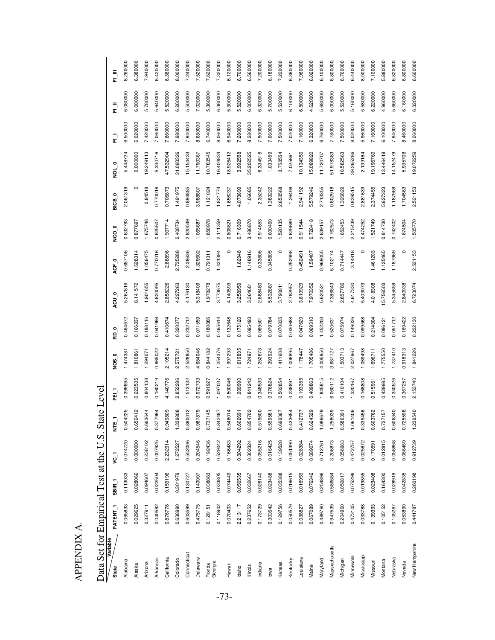| Data Set for Empirical Test at the U.S. State Level |  |
|-----------------------------------------------------|--|
|                                                     |  |
|                                                     |  |
|                                                     |  |
|                                                     |  |
|                                                     |  |
|                                                     |  |
|                                                     |  |
|                                                     |  |

| Variable<br>State | PATENT <sub>1</sub> | SBIR <sub>1</sub> | r J      | Ĕ        | 핉        | o<br>Sok | $\circ$<br>읉 | ອນ       | 。<br>とこ  | 。<br>2   | $\circ$<br>BICB | $\circ$<br>ğ | 司        | E.       | 匸        |
|-------------------|---------------------|-------------------|----------|----------|----------|----------|--------------|----------|----------|----------|-----------------|--------------|----------|----------|----------|
| Alabama           | 0.085833            | 0.113033          | 0.074720 | 0.504225 | 0.399895 | 1.47438  | 0.464672     | 267816   | 0.687106 | 0.632793 | 2.061319        | 5.448724     | 6.500000 | 6.080000 | 8.260000 |
| Alaska            | 0.029625            | 0.028066          | 0.000000 | 0.652412 | 0.223535 | 1.810861 | 0.166837     | 8.141572 | 1.628314 | 0.877697 | 0               | 0.000000     | 6.020000 | 6.000000 | 6.380000 |
| Arizona           | 0.327911            | 0.094607          | 0.238102 | 0.663644 | 0.804138 | .294071  | 0.188116     | 1.901655 | 1.056475 | 1.675748 | 0.84518         | 9.249113     | 7.420000 | 5.780000 | 7.940000 |
| Arkansas          | 0.040582            | 0.022504          | 0.007925 | 0.377964 | 0.160219 | 865022   | 0.041966     | 4.620095 | 0.770016 | 0.625507 | 0.770016        | 5.330716     | 7.060000 | 5.640000 | 6.420000 |
| California        | 0.876778            | 0.159196          | 2.232914 | 0.949809 | 4.140776 | 2.105214 | 0.410674     | 2.858226 | 2.88896  | 1.907714 | 0.706873        | 47.532904    | 7.660000 | 5.520000 | 6.380000 |
| Colorado          | 0.636990            | 0.301979          | 1.272527 | 1.339808 | 2.852286 | 575721   | 0.320377     | 4.227263 | 2.735288 | 2.408734 | 1.491975        | 31.093326    | 7.980000 | 6.260000 | 8.000000 |
| Connecticut       | 0.603599            | 0.130727          | 0.552006 | 0.890012 | 1.513132 | 528850   | 0.232712     | 4.176130 | 2.38636  | 2.820549 | 0.894885        | 15.154433    | 7.940000 | 5.500000 | 7.240000 |
| Delaware          | 0.475775            | 0.140007          | 0.204546 | 0.987879 | 0.972733 | 4.684046 | 0.071559     | 5.318409 | 1.329602 | 1.065887 | 3.988807        | 11.790367    | 8.680000 | 7.020000 | 7.520000 |
| Florida           | 0.128151            | 0.038883          | 0.192436 | 0.737145 | 0.591927 | 0.844182 | 0.180886     | 1.978278 | 0.791311 | 1.858978 | 1.121024        | 10.783545    | 6.740000 | 5.360000 | 7.620000 |
| Georgia           | 0.118902            | 0.033805          | 0.529042 | 0.842487 | 1.097037 | 1.254376 | 0.465614     | 3.773675 | 1.431394 | 2.111359 | 1.821774        | 16.404834    | 8.060000 | 6.360000 | 7.320000 |
| Hawaii            | 0.070403            | 0.074449          | 0.166483 | 0.546014 | 0.500046 | 1.997293 | 0.132648     | 4.140593 | 0        | 0.808821 | 1.656237        | 18.926412    | 6.940000 | 5.300000 | 6.120000 |
| ldaho             | 2.213117            | 0.050535          | 0.304292 | 0.602691 | 1.939990 | 1.619835 | 0.175120     | 3.258959 | 1.62948  | 0.716309 | 4.073699        | 3.992558     | 7.280000 | 5.520000 | 6.700000 |
| lllinois          | 0.237652            | 0.032667          | 0.302324 | 0.854702 | 0.841242 | 1.724971 | 0.095493     | 3.364681 | 1.148916 | 3.486870 | 1.06685         | 35.202525    | 8.280000 | 6.000000 | 6.560000 |
| Indiana           | 0.173729            | 0.026140          | 0.055216 | 0.519600 | 0.348530 | 1.252673 | 0.069501     | 2.688480 | 0.33606  | 0.914653 | 2.35242         | 6.334516     | 7.900000 | 6.320000 | 7.200000 |
| lowa              | 0.303642            | 0.023488          | 0.016425 | 0.559581 | 0.376824 | 1.393924 | 0.079784     | 5.532887 | 0.345805 | 0.600460 | 1.383222        | 1.033459     | 7.660000 | 5.700000 | 6.180000 |
| Kansas            | 0.129756            | 0.035388          | 0.139528 | 0.699367 | 0.502854 | 1.411608 | 0.070835     | 3.790811 | $\circ$  | 1.520135 | 2.653568        | 3.758554     | 7.500000 | 5.520000 | 7.220000 |
| Kentucky          | 0.050579            | 0.016615          | 0.051390 | 0.433654 | 0.238891 | 1.006895 | 0.030688     | 2.782957 | 0.252996 | 0.629689 | 1.26498         | 7.025661     | 7.020000 | 6.100000 | 6.360000 |
| Louisiana         | 0.038827            | 0.016959          | 0.028384 | 0.412737 | 0.193355 | 1.178447 | 0.047629     | 3.619929 | 0.452491 | 0.911544 | 2.941192        | 10.134350    | 7.160000 | 6.500000 | 7.960000 |
| Maine             | 0.067089            | 0.076342          | 0.089074 | 0.624529 | 0.409863 | 1.705486 | 0.069310     | 7.970352 | 1.59407  | 0.728418 | 5.579246        | 15.089820    | 6.320000 | 4.620000 | 6.020000 |
| Maryland          | 0.489760            | 0.254896          | 0.712761 | 1.086679 | 1.845815 | 4.005950 | 1.452203     | 5.620521 | 0.969055 | 2.639157 | 2.713355        | 11.720707    | 6.760000 | 5.680000 | 6.100000 |
| Massachusetts     | 0.947539            | 0.586684          | 3.206873 | 1.258039 | 6.060112 | 3.687727 | 0.520631     | 7.386843 | 6.102174 | 3.762573 | 0.802918        | 51.978383    | 7.780000 | 6.000000 | 6.800000 |
| Michigan          | 0.204960            | 0.050817          | 0.056983 | 0.586391 | 0.410104 | 1.503713 | 0.075974     | 2.857786 | 0.714447 | 1.652453 | 1.326829        | 18.582563    | 7.560000 | 5.520000 | 6.760000 |
| Minnesota         | 0.473105            | 0.075298          | 0.472757 | 1.061406 | 1.320167 | 2.027967 | 0.149026     | 4.617330 | 3.14818  | 2.215439 | 0.839515        | 39.265286    | 8.020000 | 5.160000 | 6.440000 |
| Mississippi       | 0.033788            | 0.019855          | 0.025672 | 0.339456 | 0.168808 | 1.069498 | 0.099568     | 5.403073 | $\circ$  | 0.474252 | 2.881639        | 2.139164     | 5.960000 | 5.580000 | 8.000000 |
| Missouri          | 0.139393            | 0.023408          | 0.170591 | 0.603762 | 0.515951 | 1.696711 | 0.214304     | 4.018308 | 1.461203 | 1.521749 | 2.374455        | 19.196760    | 7.160000 | 6.220000 | 7.100000 |
| Montana           | 0.105152            | 0.164300          | 0.012815 | 0.727157 | 0.429985 | 1.775550 | 0.086121     | 5.756503 | 1.125465 | 0.814730 | 5.627323        | 13.446418    | 6.100000 | 4.960000 | 5.880000 |
| Nebraska          | 0.105267            | 0.028919          | 0.058868 | 0.606340 | 0.340526 | 1.737410 | 0.051712     | 5.345859 | 1.187969 | 0.742402 | 1.187969        | 14.152479    | 7.940000 | 5.660000 | 6.820000 |
| Nevada            | 0.053890            | 0.042835          | 0.066469 | 0.725598 | 0.367257 | 0.918313 | 0.169422     | 2.840938 | $\circ$  | 1.674504 | 1.704563        | 5.935708     | 8.460000 | 6.160000 | 6.800000 |
| New Hampshire     | 0.441787            | 0.260198          | 0.912739 | 1.239540 | 2.153740 | 1.841226 | 0.222130     | 6.723074 | 2.521153 | 1.505770 | 2.521153        | 19.072259    | 8.260000 | 6.320000 | 6.600000 |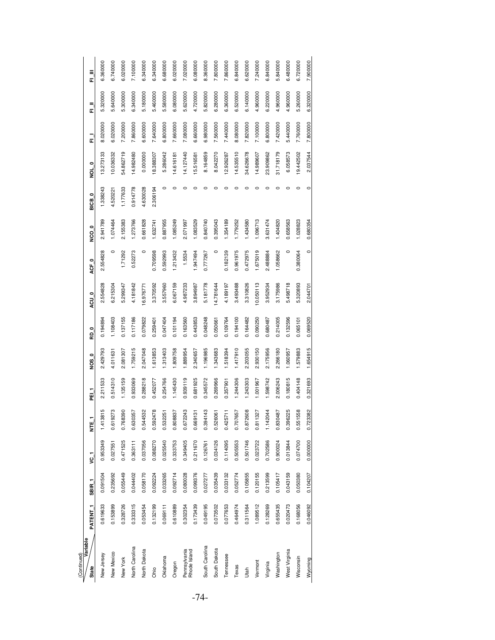| (Continued)                  |          |                   |          |                      |          |          |          |           |                  |          |                   |           |          |          |               |
|------------------------------|----------|-------------------|----------|----------------------|----------|----------|----------|-----------|------------------|----------|-------------------|-----------|----------|----------|---------------|
| Variable<br>State            | PATENT 1 | SBIR <sub>1</sub> | r J      | Ë                    | FEI T    | NOS 0    | RD 0     | ACU 0     | ACF <sub>0</sub> | O OSN    | BICB <sub>0</sub> | NOL 0     | —<br>교   | ー<br>正   | $\frac{1}{2}$ |
| New Jersey                   | 0.619633 | 0.091504          | 0.953349 | 815<br>1.413         | 2.211533 | 2.429793 | 0.194894 | 2.554828  | 2.554828         | 2.941789 | 1.338243          | 13.273133 | 8.020000 | 5.320000 | 6.360000      |
| New Mexico                   | 0.153899 | 0.235692          | 0.027551 | 273<br>0.619         | 0.514310 | 4.011631 | 1.108403 | 6.215304  | $\circ$          | 1.074464 | 4.520221          | 10.036332 | 6.020000 | 5.640000 | 6.740000      |
| New York                     | 0.328726 | 0.055449          | 0.471525 | 0.768390             | 1.135159 | 2.081307 | 0.137155 | 5.299347  | 1.71292          | 2.155383 | 1.177633          | 54.862719 | 7.200000 | 5.300000 | 3.020000      |
| North Carolina               | 0.333315 | 0.044402          | 0.363111 | 0.630357             | 0.933069 | 1.759215 | 0.117186 | 4.181842  | 0.52273          | 1.273766 | 0.914778          | 14.982480 | 7.860000 | 6.340000 | 7.100000      |
| North Dakota                 | 0.053454 | 0.058170          | 0.037056 | <b>1532</b><br>0.544 | 0.288218 | 2.047048 | 0.079822 | 16.976771 |                  | 0.661828 | 4.630028          | 0.000000  | 6.600000 | 5.180000 | 6.340000      |
| Ohio                         | 0.132199 | 0.092224          | 0.088270 | 0.592478             | 0.452077 | 1.613853 | 0.259401 | 3.370592  | 0.709598         | 1.632741 | 2.306194          | 18.388307 | 7.640000 | 5.460000 | 6.340000      |
| Oklahoma                     | 0.069111 | 0.033265          | 0.025540 | 0.532251             | 0.254766 | 1.313403 | 0.047404 | 3.557960  | 0.592993         | 0.887955 | $\circ$           | 5.286042  | 6.800000 | 5.580000 | 6.680000      |
| Oregon                       | 0.610889 | 0.092714          | 0.333753 | 0.808837             | 1.145430 | 1.809758 | 0.101194 | 6.067159  | 1.213432         | 1.085249 | 0                 | 14.616181 | 7.660000 | 6.080000 | 6.020000      |
| Pennsylvania<br>Rhode Island | 0.302354 | 0.080028          | 0.349405 | 0.672243             | 0.939119 | 1.889954 | 0.163560 | 4.987233  | 1.5534           | 2.071997 | $\circ$           | 14.127440 | 7.080000 | 5.620000 | 7.020000      |
|                              | 0.173439 | 0.099376          | 0.211670 | 0.669131             | 0.681925 | 2.340657 | 0.443853 | 3.894987  | 1.947494         | 1.083529 | 0                 | 15.516581 | 6.660000 | 4.720000 | 6.080000      |
| South Carolina               | 0.049195 | 0.027277          | 0.126761 | 0.394143             | 0.345572 | 1.196985 | 0.048248 | 5.181778  | 0.777267         | 0.840740 | c                 | 8.164859  | 6.980000 | 5.820000 | 8.360000      |
| South Dakota                 | 0.073502 | 0.035439          | 0.034126 | 0.526061             | 0.269966 | 1.343683 | 0.050661 | 14.781644 | $\circ$          | 0.395043 | 0                 | 8.042270  | 7.560000 | 6.280000 | 7.800000      |
| Tennessee                    | 0.077653 | 0.033132          | 0.114095 | 0.425711             | 0.357901 | 1.518394 | 0.109764 | 4.189197  | 0.182139         | 1.354189 | $\circ$           | 12.926287 | 7.440000 | 6.360000 | 7.860000      |
| Texas                        | 0.464974 | 0.052774          | 0.505553 | 0.707657             | 1.244306 | 1.417910 | 0.194100 | 3.493488  | 0.961975         | 1.779252 | c                 | 14.535510 | 8.080000 | 6.520000 | 6.840000      |
| Utah                         | 0.311564 | 0.105855          | 0.501746 | 0.872608             | 1.243303 | 2.203055 | 0.164482 | 3.310826  | 0.472975         | 1,434580 | 0                 | 34.626678 | 7.820000 | 6.140000 | 6.620000      |
| Vermont                      | 1.089512 | 0.120155          | 0.023722 | 1327<br>0.811        | 1.001967 | 2.930150 | 0.090250 | 10.050113 | 1.675019         | 1.096713 | $\circ$           | 14.989607 | 7.100000 | 4.960000 | 7.240000      |
| Virginia                     | 0.128269 | 0.213599          | 0.702586 | 1.142044             | 1.598742 | 2.175956 | 0.680487 | 3.952934  | 2.488884         | 3.631474 | c                 | 23.909862 | 6.800000 | 6.220000 | 6.840000      |
| Washington                   | 0.655435 | 0.105417          | 0.900024 | 0.830487             | 2.006243 | 2.266180 | 0.214005 | 3.175986  | 1.058662         | 1.404820 | c                 | 31.718179 | 7.420000 | 4.960000 | 5.840000      |
| West Virginia                | 0.020473 | 0.043159          | 0.013844 | 6225<br>0.396        | 0.180815 | 1.060957 | 0.132596 | 5.498718  | $\circ$          | 0.658563 | 0                 | 6.058573  | 5.440000 | 4.960000 | 6.480000      |
| Wisconsin                    | 0.168056 | 0.050380          | 0.074700 | 558<br>0.551         | 0.404148 | 1.579883 | 0.065101 | 5.320893  | 0.380064         | 1.028823 | 0                 | 19.442502 | 7.760000 | 5.260000 | 6.720000      |
| Wyoming                      | 0.046092 | 0.104207          | 0.000000 | 0.723382             | 0.321693 | 1.654915 | 0.069520 | 2.044701  | $\circ$          | 0.680354 | $\circ$           | 2.037544  | 7.800000 | 6.320000 | 7.900000      |
|                              |          |                   |          |                      |          |          |          |           |                  |          |                   |           |          |          |               |